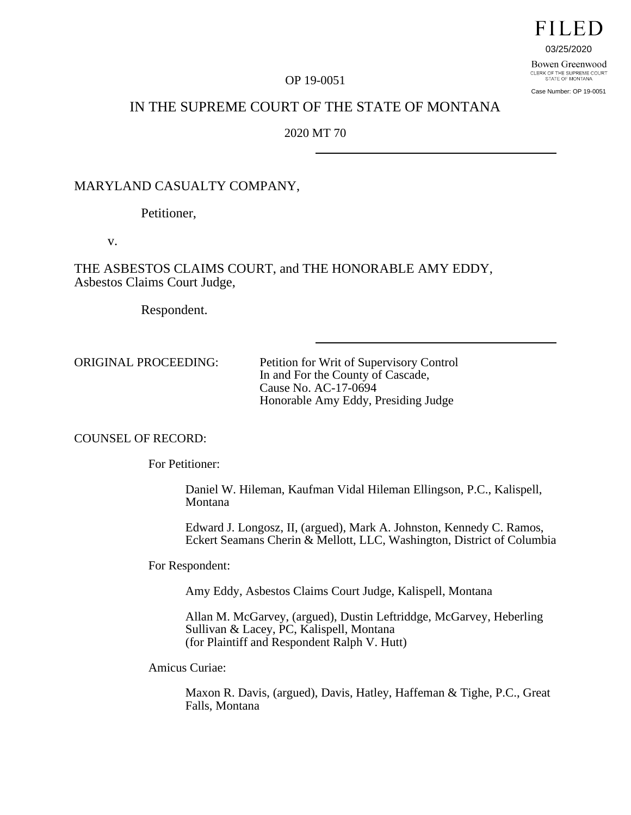# **FILED**

03/25/2020

Bowen Greenwood CLERK OF THE SUPREME COURT<br>STATE OF MONTANA

Case Number: OP 19-0051

### OP 19-0051

# IN THE SUPREME COURT OF THE STATE OF MONTANA

2020 MT 70

# MARYLAND CASUALTY COMPANY,

Petitioner,

v.

THE ASBESTOS CLAIMS COURT, and THE HONORABLE AMY EDDY, Asbestos Claims Court Judge,

Respondent.

ORIGINAL PROCEEDING: Petition for Writ of Supervisory Control In and For the County of Cascade, Cause No. AC-17-0694 Honorable Amy Eddy, Presiding Judge

# COUNSEL OF RECORD:

For Petitioner:

Daniel W. Hileman, Kaufman Vidal Hileman Ellingson, P.C., Kalispell, Montana

Edward J. Longosz, II, (argued), Mark A. Johnston, Kennedy C. Ramos, Eckert Seamans Cherin & Mellott, LLC, Washington, District of Columbia

For Respondent:

Amy Eddy, Asbestos Claims Court Judge, Kalispell, Montana

Allan M. McGarvey, (argued), Dustin Leftriddge, McGarvey, Heberling Sullivan & Lacey, PC, Kalispell, Montana (for Plaintiff and Respondent Ralph V. Hutt)

Amicus Curiae:

Maxon R. Davis, (argued), Davis, Hatley, Haffeman & Tighe, P.C., Great Falls, Montana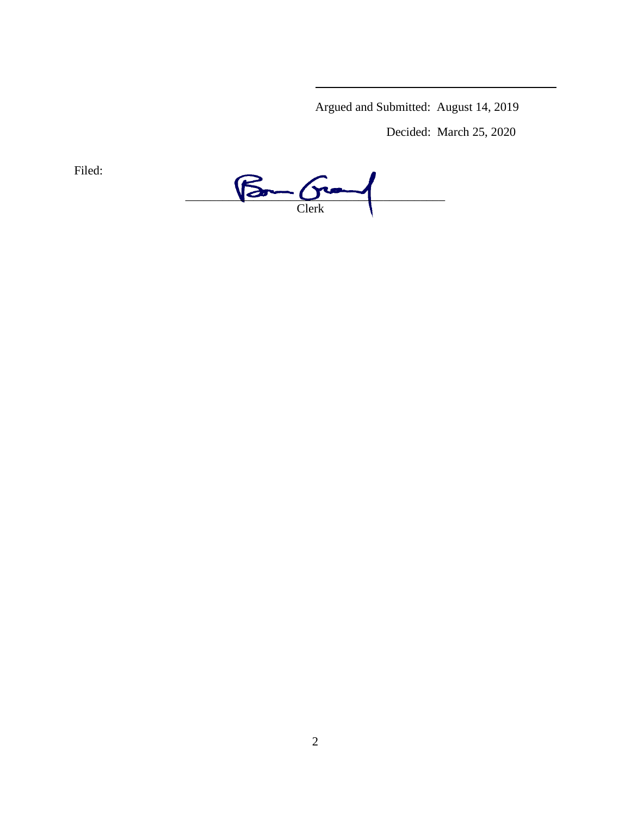Argued and Submitted: August 14, 2019

Decided: March 25, 2020

Filed:

 $\frac{1}{\sqrt{2}}\frac{1}{\sqrt{2}}\frac{1}{\sqrt{2}}\frac{1}{\sqrt{2}}\frac{1}{\sqrt{2}}\frac{1}{\sqrt{2}}\frac{1}{\sqrt{2}}\frac{1}{\sqrt{2}}\frac{1}{\sqrt{2}}\frac{1}{\sqrt{2}}\frac{1}{\sqrt{2}}\frac{1}{\sqrt{2}}\frac{1}{\sqrt{2}}\frac{1}{\sqrt{2}}\frac{1}{\sqrt{2}}\frac{1}{\sqrt{2}}\frac{1}{\sqrt{2}}\frac{1}{\sqrt{2}}\frac{1}{\sqrt{2}}\frac{1}{\sqrt{2}}\frac{1}{\sqrt{2}}\frac{1}{\sqrt{2}}$ Clerk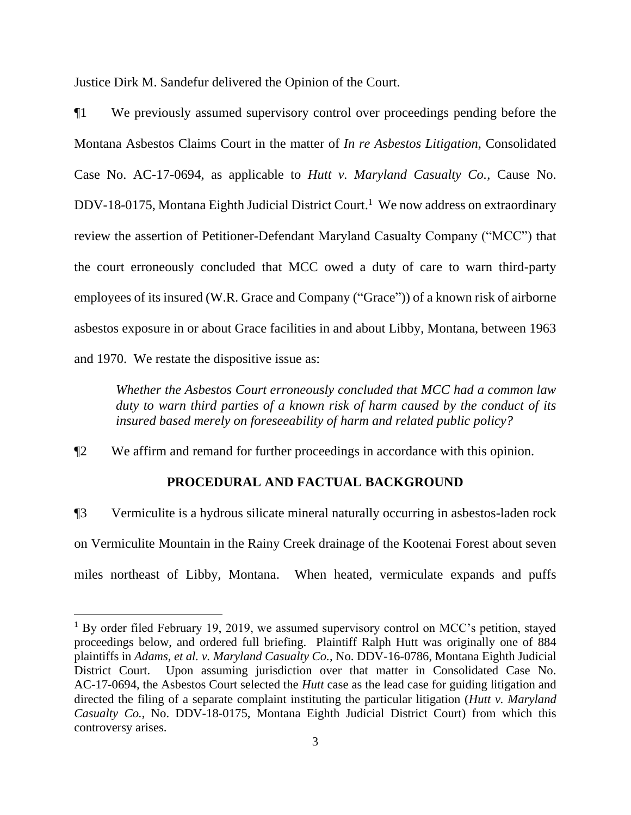Justice Dirk M. Sandefur delivered the Opinion of the Court.

¶1 We previously assumed supervisory control over proceedings pending before the Montana Asbestos Claims Court in the matter of *In re Asbestos Litigation*, Consolidated Case No. AC-17-0694, as applicable to *Hutt v. Maryland Casualty Co.*, Cause No. DDV-18-0175, Montana Eighth Judicial District Court. <sup>1</sup> We now address on extraordinary review the assertion of Petitioner-Defendant Maryland Casualty Company ("MCC") that the court erroneously concluded that MCC owed a duty of care to warn third-party employees of its insured (W.R. Grace and Company ("Grace")) of a known risk of airborne asbestos exposure in or about Grace facilities in and about Libby, Montana, between 1963 and 1970. We restate the dispositive issue as:

*Whether the Asbestos Court erroneously concluded that MCC had a common law duty to warn third parties of a known risk of harm caused by the conduct of its insured based merely on foreseeability of harm and related public policy?* 

¶2 We affirm and remand for further proceedings in accordance with this opinion.

# **PROCEDURAL AND FACTUAL BACKGROUND**

¶3 Vermiculite is a hydrous silicate mineral naturally occurring in asbestos-laden rock on Vermiculite Mountain in the Rainy Creek drainage of the Kootenai Forest about seven miles northeast of Libby, Montana. When heated, vermiculate expands and puffs

<sup>&</sup>lt;sup>1</sup> By order filed February 19, 2019, we assumed supervisory control on MCC's petition, stayed proceedings below, and ordered full briefing. Plaintiff Ralph Hutt was originally one of 884 plaintiffs in *Adams, et al. v. Maryland Casualty Co.*, No. DDV-16-0786, Montana Eighth Judicial District Court. Upon assuming jurisdiction over that matter in Consolidated Case No. AC-17-0694, the Asbestos Court selected the *Hutt* case as the lead case for guiding litigation and directed the filing of a separate complaint instituting the particular litigation (*Hutt v. Maryland Casualty Co.*, No. DDV-18-0175, Montana Eighth Judicial District Court) from which this controversy arises.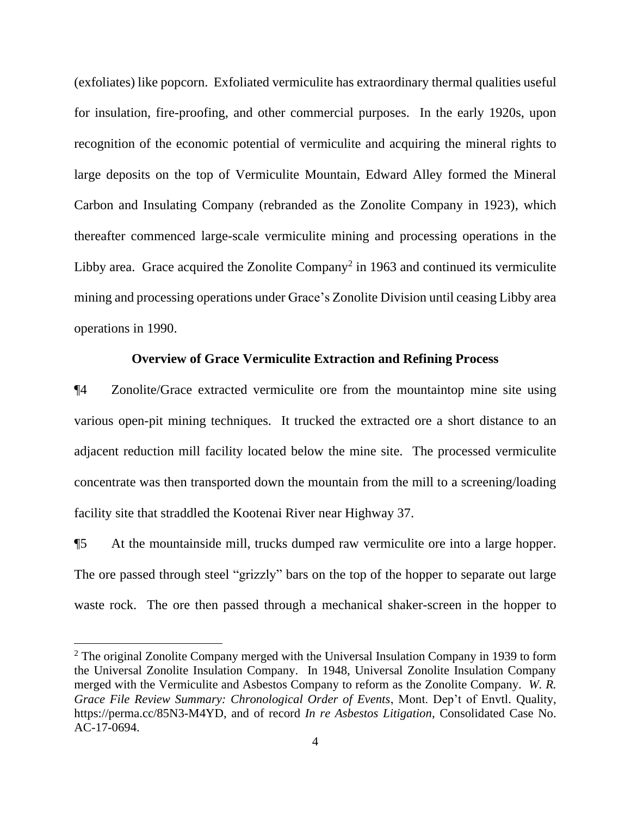(exfoliates) like popcorn. Exfoliated vermiculite has extraordinary thermal qualities useful for insulation, fire-proofing, and other commercial purposes. In the early 1920s, upon recognition of the economic potential of vermiculite and acquiring the mineral rights to large deposits on the top of Vermiculite Mountain, Edward Alley formed the Mineral Carbon and Insulating Company (rebranded as the Zonolite Company in 1923), which thereafter commenced large-scale vermiculite mining and processing operations in the Libby area. Grace acquired the Zonolite Company<sup>2</sup> in 1963 and continued its vermiculite mining and processing operations under Grace's Zonolite Division until ceasing Libby area operations in 1990.

# **Overview of Grace Vermiculite Extraction and Refining Process**

¶4 Zonolite/Grace extracted vermiculite ore from the mountaintop mine site using various open-pit mining techniques. It trucked the extracted ore a short distance to an adjacent reduction mill facility located below the mine site. The processed vermiculite concentrate was then transported down the mountain from the mill to a screening/loading facility site that straddled the Kootenai River near Highway 37.

¶5 At the mountainside mill, trucks dumped raw vermiculite ore into a large hopper. The ore passed through steel "grizzly" bars on the top of the hopper to separate out large waste rock. The ore then passed through a mechanical shaker-screen in the hopper to

 $2$  The original Zonolite Company merged with the Universal Insulation Company in 1939 to form the Universal Zonolite Insulation Company. In 1948, Universal Zonolite Insulation Company merged with the Vermiculite and Asbestos Company to reform as the Zonolite Company. *W. R. Grace File Review Summary: Chronological Order of Events*, Mont. Dep't of Envtl. Quality, https://perma.cc/85N3-M4YD, and of record *In re Asbestos Litigation*, Consolidated Case No. AC-17-0694.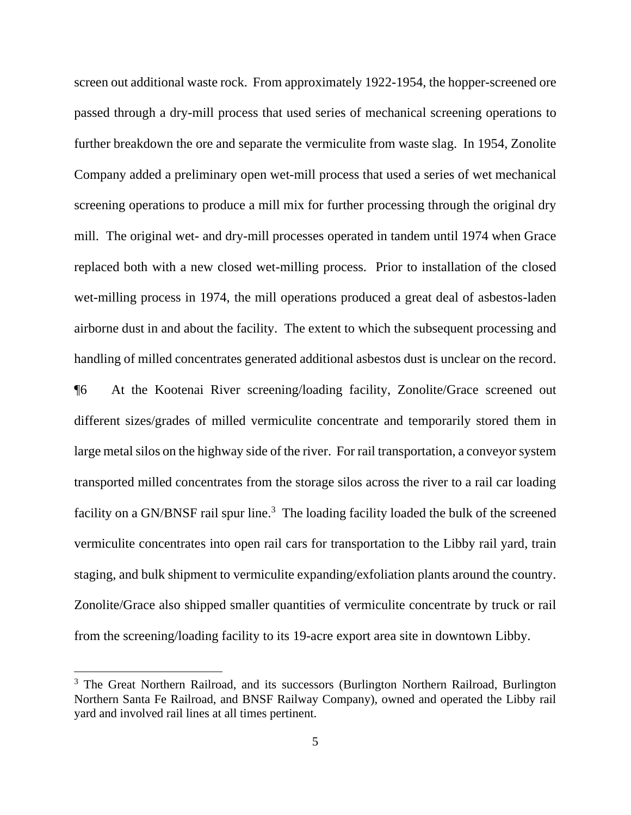screen out additional waste rock. From approximately 1922-1954, the hopper-screened ore passed through a dry-mill process that used series of mechanical screening operations to further breakdown the ore and separate the vermiculite from waste slag. In 1954, Zonolite Company added a preliminary open wet-mill process that used a series of wet mechanical screening operations to produce a mill mix for further processing through the original dry mill. The original wet- and dry-mill processes operated in tandem until 1974 when Grace replaced both with a new closed wet-milling process. Prior to installation of the closed wet-milling process in 1974, the mill operations produced a great deal of asbestos-laden airborne dust in and about the facility. The extent to which the subsequent processing and handling of milled concentrates generated additional asbestos dust is unclear on the record.

¶6 At the Kootenai River screening/loading facility, Zonolite/Grace screened out different sizes/grades of milled vermiculite concentrate and temporarily stored them in large metal silos on the highway side of the river. For rail transportation, a conveyor system transported milled concentrates from the storage silos across the river to a rail car loading facility on a GN/BNSF rail spur line.<sup>3</sup> The loading facility loaded the bulk of the screened vermiculite concentrates into open rail cars for transportation to the Libby rail yard, train staging, and bulk shipment to vermiculite expanding/exfoliation plants around the country. Zonolite/Grace also shipped smaller quantities of vermiculite concentrate by truck or rail from the screening/loading facility to its 19-acre export area site in downtown Libby.

<sup>&</sup>lt;sup>3</sup> The Great Northern Railroad, and its successors (Burlington Northern Railroad, Burlington Northern Santa Fe Railroad, and BNSF Railway Company), owned and operated the Libby rail yard and involved rail lines at all times pertinent.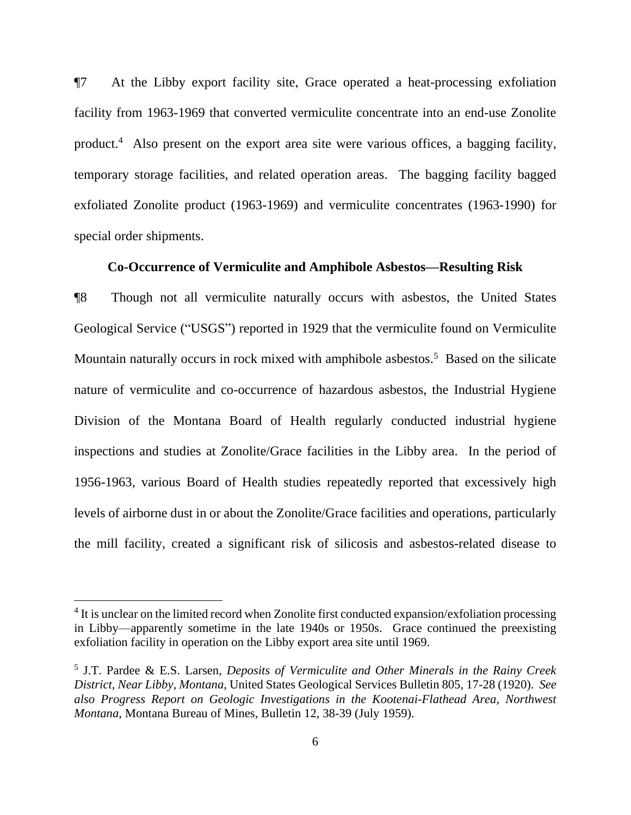¶7 At the Libby export facility site, Grace operated a heat-processing exfoliation facility from 1963-1969 that converted vermiculite concentrate into an end-use Zonolite product.<sup>4</sup> Also present on the export area site were various offices, a bagging facility, temporary storage facilities, and related operation areas. The bagging facility bagged exfoliated Zonolite product (1963-1969) and vermiculite concentrates (1963-1990) for special order shipments.

### **Co-Occurrence of Vermiculite and Amphibole Asbestos—Resulting Risk**

¶8 Though not all vermiculite naturally occurs with asbestos, the United States Geological Service ("USGS") reported in 1929 that the vermiculite found on Vermiculite Mountain naturally occurs in rock mixed with amphibole asbestos.<sup>5</sup> Based on the silicate nature of vermiculite and co-occurrence of hazardous asbestos, the Industrial Hygiene Division of the Montana Board of Health regularly conducted industrial hygiene inspections and studies at Zonolite/Grace facilities in the Libby area. In the period of 1956-1963, various Board of Health studies repeatedly reported that excessively high levels of airborne dust in or about the Zonolite/Grace facilities and operations, particularly the mill facility, created a significant risk of silicosis and asbestos-related disease to

<sup>&</sup>lt;sup>4</sup> It is unclear on the limited record when Zonolite first conducted expansion/exfoliation processing in Libby—apparently sometime in the late 1940s or 1950s. Grace continued the preexisting exfoliation facility in operation on the Libby export area site until 1969.

<sup>5</sup> J.T. Pardee & E.S. Larsen, *Deposits of Vermiculite and Other Minerals in the Rainy Creek District, Near Libby, Montana*, United States Geological Services Bulletin 805, 17-28 (1920). *See also Progress Report on Geologic Investigations in the Kootenai-Flathead Area, Northwest Montana*, Montana Bureau of Mines, Bulletin 12, 38-39 (July 1959).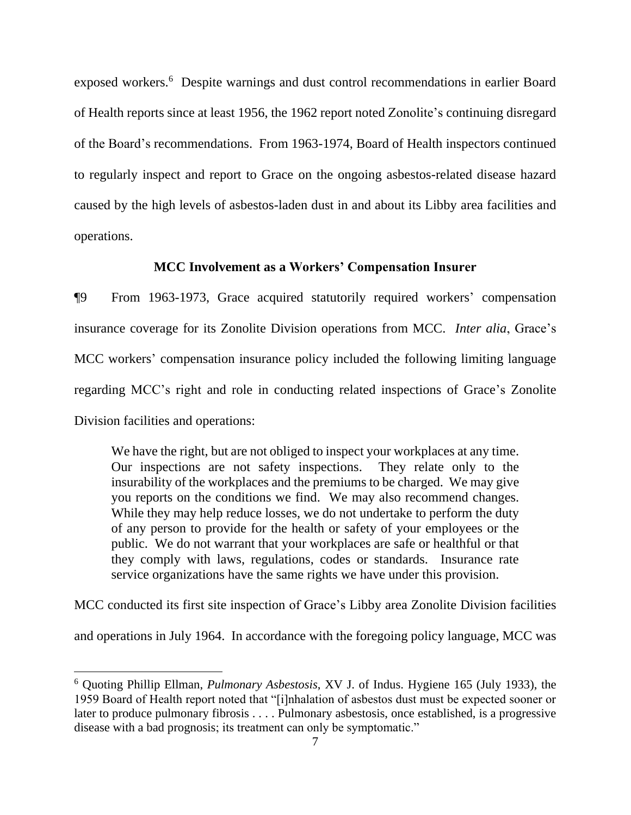exposed workers.<sup>6</sup> Despite warnings and dust control recommendations in earlier Board of Health reports since at least 1956, the 1962 report noted Zonolite's continuing disregard of the Board's recommendations. From 1963-1974, Board of Health inspectors continued to regularly inspect and report to Grace on the ongoing asbestos-related disease hazard caused by the high levels of asbestos-laden dust in and about its Libby area facilities and operations.

# **MCC Involvement as a Workers' Compensation Insurer**

¶9 From 1963-1973, Grace acquired statutorily required workers' compensation insurance coverage for its Zonolite Division operations from MCC. *Inter alia*, Grace's MCC workers' compensation insurance policy included the following limiting language regarding MCC's right and role in conducting related inspections of Grace's Zonolite Division facilities and operations:

We have the right, but are not obliged to inspect your workplaces at any time. Our inspections are not safety inspections. They relate only to the insurability of the workplaces and the premiums to be charged. We may give you reports on the conditions we find. We may also recommend changes. While they may help reduce losses, we do not undertake to perform the duty of any person to provide for the health or safety of your employees or the public. We do not warrant that your workplaces are safe or healthful or that they comply with laws, regulations, codes or standards. Insurance rate service organizations have the same rights we have under this provision.

MCC conducted its first site inspection of Grace's Libby area Zonolite Division facilities

and operations in July 1964. In accordance with the foregoing policy language, MCC was

<sup>6</sup> Quoting Phillip Ellman, *Pulmonary Asbestosis*, XV J. of Indus. Hygiene 165 (July 1933), the 1959 Board of Health report noted that "[i]nhalation of asbestos dust must be expected sooner or later to produce pulmonary fibrosis . . . . Pulmonary asbestosis, once established, is a progressive disease with a bad prognosis; its treatment can only be symptomatic."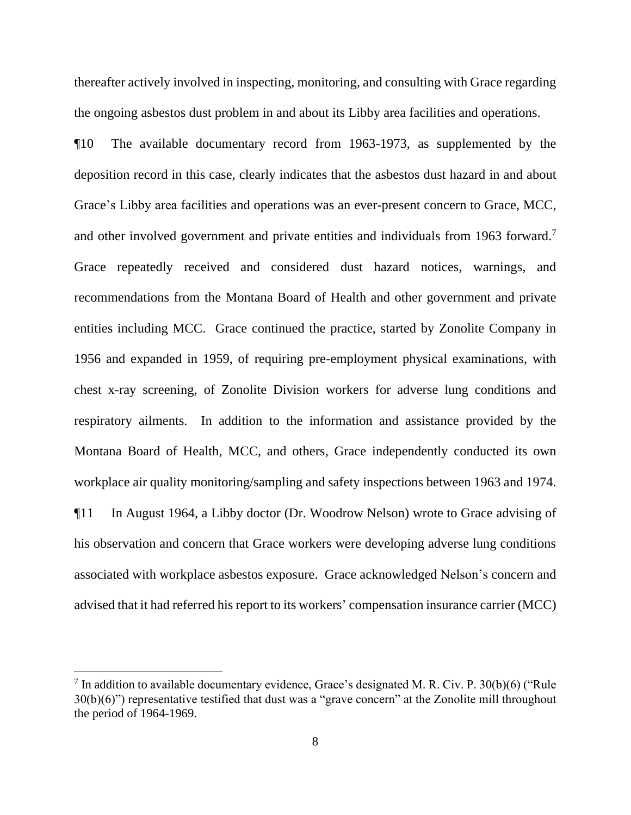thereafter actively involved in inspecting, monitoring, and consulting with Grace regarding the ongoing asbestos dust problem in and about its Libby area facilities and operations.

¶10 The available documentary record from 1963-1973, as supplemented by the deposition record in this case, clearly indicates that the asbestos dust hazard in and about Grace's Libby area facilities and operations was an ever-present concern to Grace, MCC, and other involved government and private entities and individuals from 1963 forward.<sup>7</sup> Grace repeatedly received and considered dust hazard notices, warnings, and recommendations from the Montana Board of Health and other government and private entities including MCC. Grace continued the practice, started by Zonolite Company in 1956 and expanded in 1959, of requiring pre-employment physical examinations, with chest x-ray screening, of Zonolite Division workers for adverse lung conditions and respiratory ailments. In addition to the information and assistance provided by the Montana Board of Health, MCC, and others, Grace independently conducted its own workplace air quality monitoring/sampling and safety inspections between 1963 and 1974. ¶11 In August 1964, a Libby doctor (Dr. Woodrow Nelson) wrote to Grace advising of his observation and concern that Grace workers were developing adverse lung conditions associated with workplace asbestos exposure. Grace acknowledged Nelson's concern and

advised that it had referred his report to its workers' compensation insurance carrier (MCC)

<sup>&</sup>lt;sup>7</sup> In addition to available documentary evidence, Grace's designated M. R. Civ. P. 30(b)(6) ("Rule" 30(b)(6)") representative testified that dust was a "grave concern" at the Zonolite mill throughout the period of 1964-1969.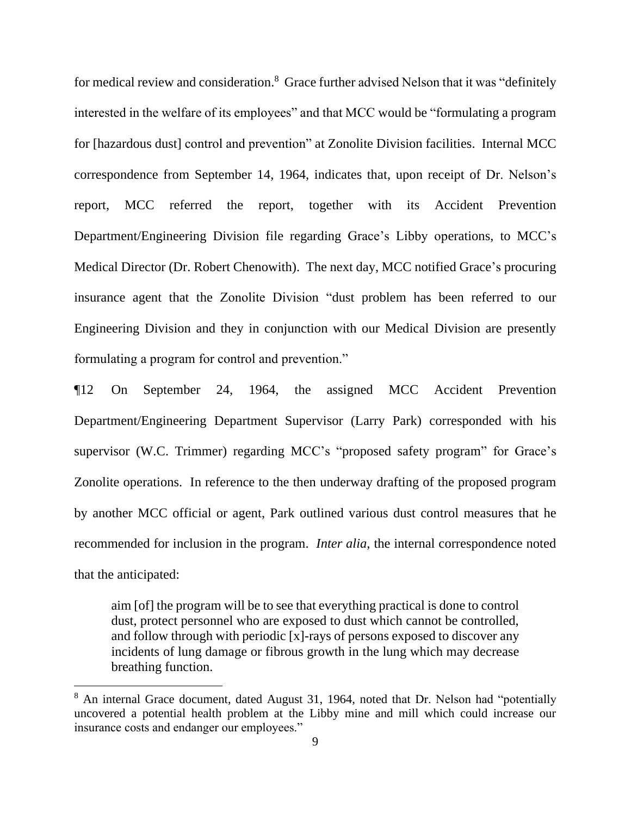for medical review and consideration.<sup>8</sup> Grace further advised Nelson that it was "definitely interested in the welfare of its employees" and that MCC would be "formulating a program for [hazardous dust] control and prevention" at Zonolite Division facilities. Internal MCC correspondence from September 14, 1964, indicates that, upon receipt of Dr. Nelson's report, MCC referred the report, together with its Accident Prevention Department/Engineering Division file regarding Grace's Libby operations, to MCC's Medical Director (Dr. Robert Chenowith). The next day, MCC notified Grace's procuring insurance agent that the Zonolite Division "dust problem has been referred to our Engineering Division and they in conjunction with our Medical Division are presently formulating a program for control and prevention."

¶12 On September 24, 1964, the assigned MCC Accident Prevention Department/Engineering Department Supervisor (Larry Park) corresponded with his supervisor (W.C. Trimmer) regarding MCC's "proposed safety program" for Grace's Zonolite operations. In reference to the then underway drafting of the proposed program by another MCC official or agent, Park outlined various dust control measures that he recommended for inclusion in the program. *Inter alia*, the internal correspondence noted that the anticipated:

aim [of] the program will be to see that everything practical is done to control dust, protect personnel who are exposed to dust which cannot be controlled, and follow through with periodic [x]-rays of persons exposed to discover any incidents of lung damage or fibrous growth in the lung which may decrease breathing function.

<sup>&</sup>lt;sup>8</sup> An internal Grace document, dated August 31, 1964, noted that Dr. Nelson had "potentially uncovered a potential health problem at the Libby mine and mill which could increase our insurance costs and endanger our employees."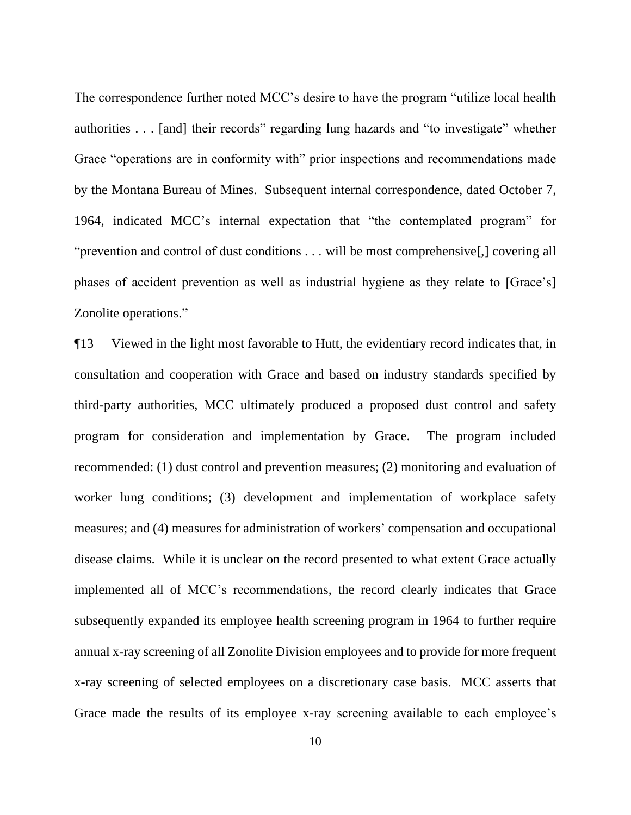The correspondence further noted MCC's desire to have the program "utilize local health authorities . . . [and] their records" regarding lung hazards and "to investigate" whether Grace "operations are in conformity with" prior inspections and recommendations made by the Montana Bureau of Mines. Subsequent internal correspondence, dated October 7, 1964, indicated MCC's internal expectation that "the contemplated program" for "prevention and control of dust conditions . . . will be most comprehensive[,] covering all phases of accident prevention as well as industrial hygiene as they relate to [Grace's] Zonolite operations."

¶13 Viewed in the light most favorable to Hutt, the evidentiary record indicates that, in consultation and cooperation with Grace and based on industry standards specified by third-party authorities, MCC ultimately produced a proposed dust control and safety program for consideration and implementation by Grace. The program included recommended: (1) dust control and prevention measures; (2) monitoring and evaluation of worker lung conditions; (3) development and implementation of workplace safety measures; and (4) measures for administration of workers' compensation and occupational disease claims. While it is unclear on the record presented to what extent Grace actually implemented all of MCC's recommendations, the record clearly indicates that Grace subsequently expanded its employee health screening program in 1964 to further require annual x-ray screening of all Zonolite Division employees and to provide for more frequent x-ray screening of selected employees on a discretionary case basis. MCC asserts that Grace made the results of its employee x-ray screening available to each employee's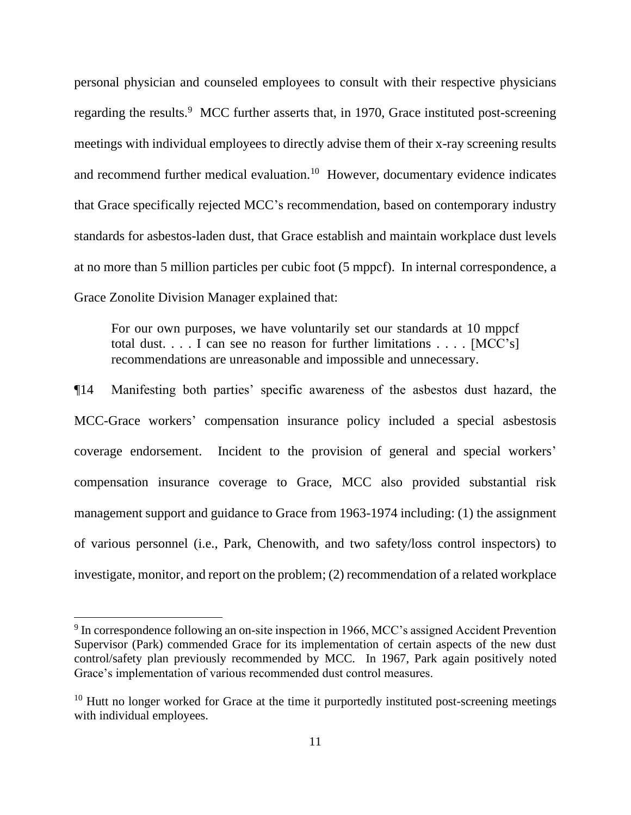personal physician and counseled employees to consult with their respective physicians regarding the results.<sup>9</sup> MCC further asserts that, in 1970, Grace instituted post-screening meetings with individual employees to directly advise them of their x-ray screening results and recommend further medical evaluation.<sup>10</sup> However, documentary evidence indicates that Grace specifically rejected MCC's recommendation, based on contemporary industry standards for asbestos-laden dust, that Grace establish and maintain workplace dust levels at no more than 5 million particles per cubic foot (5 mppcf). In internal correspondence, a Grace Zonolite Division Manager explained that:

For our own purposes, we have voluntarily set our standards at 10 mppcf total dust. . . . I can see no reason for further limitations . . . . [MCC's] recommendations are unreasonable and impossible and unnecessary.

¶14 Manifesting both parties' specific awareness of the asbestos dust hazard, the MCC-Grace workers' compensation insurance policy included a special asbestosis coverage endorsement. Incident to the provision of general and special workers' compensation insurance coverage to Grace, MCC also provided substantial risk management support and guidance to Grace from 1963-1974 including: (1) the assignment of various personnel (i.e., Park, Chenowith, and two safety/loss control inspectors) to investigate, monitor, and report on the problem; (2) recommendation of a related workplace

<sup>&</sup>lt;sup>9</sup> In correspondence following an on-site inspection in 1966, MCC's assigned Accident Prevention Supervisor (Park) commended Grace for its implementation of certain aspects of the new dust control/safety plan previously recommended by MCC. In 1967, Park again positively noted Grace's implementation of various recommended dust control measures.

 $10$  Hutt no longer worked for Grace at the time it purportedly instituted post-screening meetings with individual employees.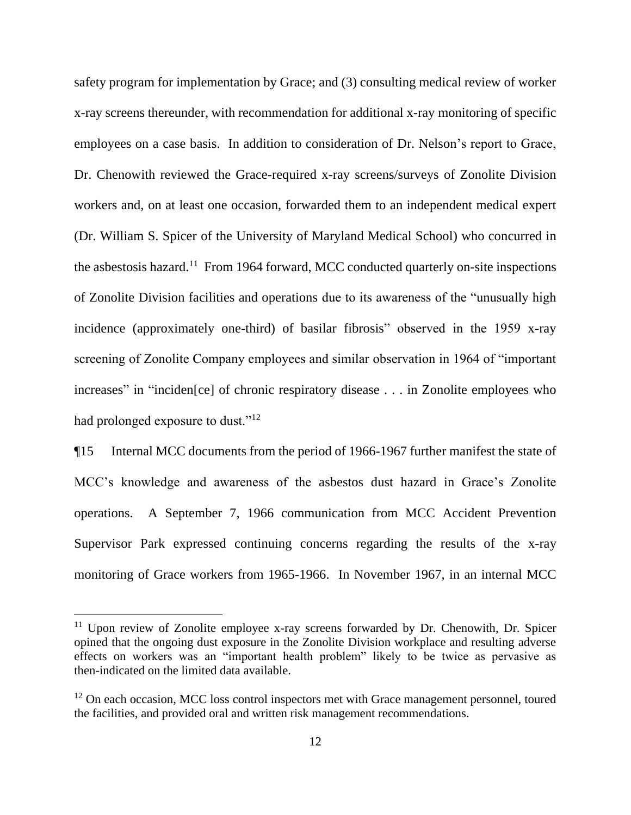safety program for implementation by Grace; and (3) consulting medical review of worker x-ray screens thereunder, with recommendation for additional x-ray monitoring of specific employees on a case basis. In addition to consideration of Dr. Nelson's report to Grace, Dr. Chenowith reviewed the Grace-required x-ray screens/surveys of Zonolite Division workers and, on at least one occasion, forwarded them to an independent medical expert (Dr. William S. Spicer of the University of Maryland Medical School) who concurred in the asbestosis hazard.<sup>11</sup> From 1964 forward, MCC conducted quarterly on-site inspections of Zonolite Division facilities and operations due to its awareness of the "unusually high incidence (approximately one-third) of basilar fibrosis" observed in the 1959 x-ray screening of Zonolite Company employees and similar observation in 1964 of "important increases" in "inciden[ce] of chronic respiratory disease . . . in Zonolite employees who had prolonged exposure to dust."<sup>12</sup>

¶15 Internal MCC documents from the period of 1966-1967 further manifest the state of MCC's knowledge and awareness of the asbestos dust hazard in Grace's Zonolite operations. A September 7, 1966 communication from MCC Accident Prevention Supervisor Park expressed continuing concerns regarding the results of the x-ray monitoring of Grace workers from 1965-1966. In November 1967, in an internal MCC

<sup>&</sup>lt;sup>11</sup> Upon review of Zonolite employee x-ray screens forwarded by Dr. Chenowith, Dr. Spicer opined that the ongoing dust exposure in the Zonolite Division workplace and resulting adverse effects on workers was an "important health problem" likely to be twice as pervasive as then-indicated on the limited data available.

 $12$  On each occasion, MCC loss control inspectors met with Grace management personnel, toured the facilities, and provided oral and written risk management recommendations.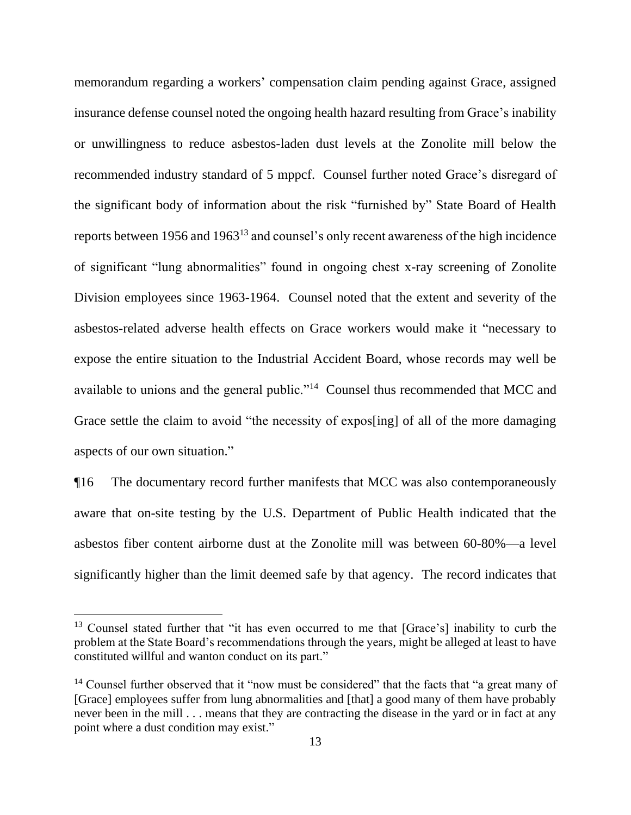memorandum regarding a workers' compensation claim pending against Grace, assigned insurance defense counsel noted the ongoing health hazard resulting from Grace's inability or unwillingness to reduce asbestos-laden dust levels at the Zonolite mill below the recommended industry standard of 5 mppcf. Counsel further noted Grace's disregard of the significant body of information about the risk "furnished by" State Board of Health reports between 1956 and 1963<sup>13</sup> and counsel's only recent awareness of the high incidence of significant "lung abnormalities" found in ongoing chest x-ray screening of Zonolite Division employees since 1963-1964. Counsel noted that the extent and severity of the asbestos-related adverse health effects on Grace workers would make it "necessary to expose the entire situation to the Industrial Accident Board, whose records may well be available to unions and the general public."<sup>14</sup> Counsel thus recommended that MCC and Grace settle the claim to avoid "the necessity of expos[ing] of all of the more damaging aspects of our own situation."

¶16 The documentary record further manifests that MCC was also contemporaneously aware that on-site testing by the U.S. Department of Public Health indicated that the asbestos fiber content airborne dust at the Zonolite mill was between 60-80%—a level significantly higher than the limit deemed safe by that agency. The record indicates that

<sup>&</sup>lt;sup>13</sup> Counsel stated further that "it has even occurred to me that [Grace's] inability to curb the problem at the State Board's recommendations through the years, might be alleged at least to have constituted willful and wanton conduct on its part."

<sup>&</sup>lt;sup>14</sup> Counsel further observed that it "now must be considered" that the facts that "a great many of [Grace] employees suffer from lung abnormalities and [that] a good many of them have probably never been in the mill . . . means that they are contracting the disease in the yard or in fact at any point where a dust condition may exist."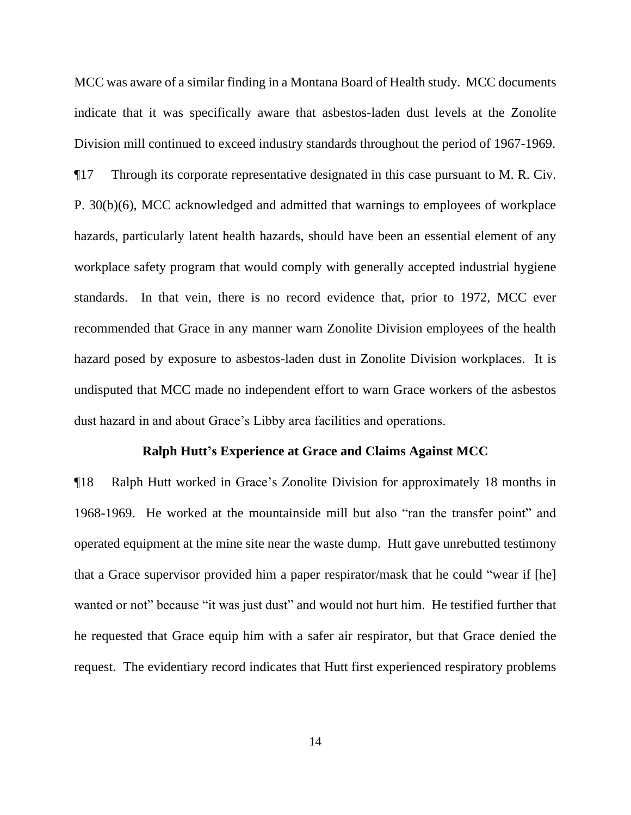MCC was aware of a similar finding in a Montana Board of Health study. MCC documents indicate that it was specifically aware that asbestos-laden dust levels at the Zonolite Division mill continued to exceed industry standards throughout the period of 1967-1969. ¶17 Through its corporate representative designated in this case pursuant to M. R. Civ. P. 30(b)(6), MCC acknowledged and admitted that warnings to employees of workplace hazards, particularly latent health hazards, should have been an essential element of any workplace safety program that would comply with generally accepted industrial hygiene standards. In that vein, there is no record evidence that, prior to 1972, MCC ever recommended that Grace in any manner warn Zonolite Division employees of the health hazard posed by exposure to asbestos-laden dust in Zonolite Division workplaces. It is undisputed that MCC made no independent effort to warn Grace workers of the asbestos dust hazard in and about Grace's Libby area facilities and operations.

#### **Ralph Hutt's Experience at Grace and Claims Against MCC**

¶18 Ralph Hutt worked in Grace's Zonolite Division for approximately 18 months in 1968-1969. He worked at the mountainside mill but also "ran the transfer point" and operated equipment at the mine site near the waste dump. Hutt gave unrebutted testimony that a Grace supervisor provided him a paper respirator/mask that he could "wear if [he] wanted or not" because "it was just dust" and would not hurt him. He testified further that he requested that Grace equip him with a safer air respirator, but that Grace denied the request. The evidentiary record indicates that Hutt first experienced respiratory problems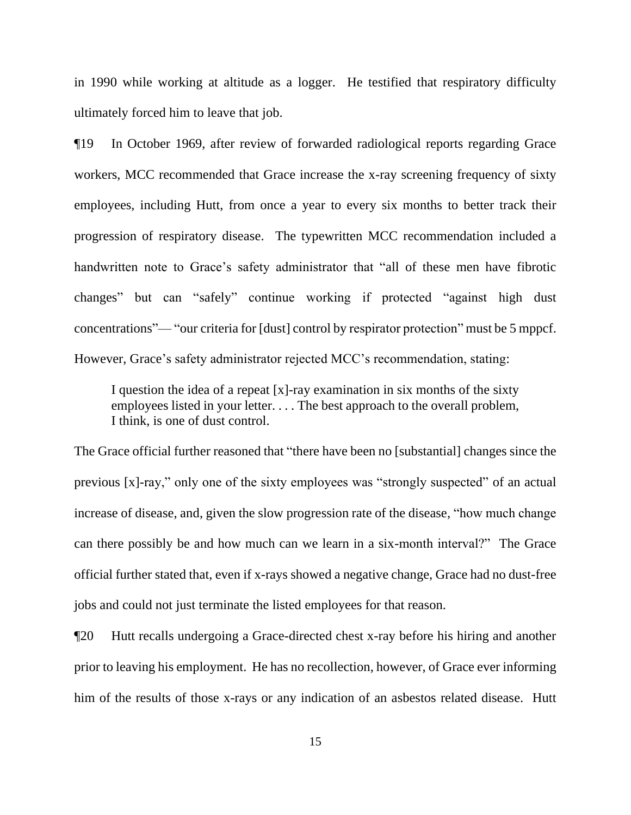in 1990 while working at altitude as a logger. He testified that respiratory difficulty ultimately forced him to leave that job.

¶19 In October 1969, after review of forwarded radiological reports regarding Grace workers, MCC recommended that Grace increase the x-ray screening frequency of sixty employees, including Hutt, from once a year to every six months to better track their progression of respiratory disease. The typewritten MCC recommendation included a handwritten note to Grace's safety administrator that "all of these men have fibrotic changes" but can "safely" continue working if protected "against high dust concentrations"— "our criteria for [dust] control by respirator protection" must be 5 mppcf. However, Grace's safety administrator rejected MCC's recommendation, stating:

I question the idea of a repeat [x]-ray examination in six months of the sixty employees listed in your letter. . . . The best approach to the overall problem, I think, is one of dust control.

The Grace official further reasoned that "there have been no [substantial] changes since the previous [x]-ray," only one of the sixty employees was "strongly suspected" of an actual increase of disease, and, given the slow progression rate of the disease, "how much change can there possibly be and how much can we learn in a six-month interval?" The Grace official further stated that, even if x-rays showed a negative change, Grace had no dust-free jobs and could not just terminate the listed employees for that reason.

¶20 Hutt recalls undergoing a Grace-directed chest x-ray before his hiring and another prior to leaving his employment. He has no recollection, however, of Grace ever informing him of the results of those x-rays or any indication of an asbestos related disease. Hutt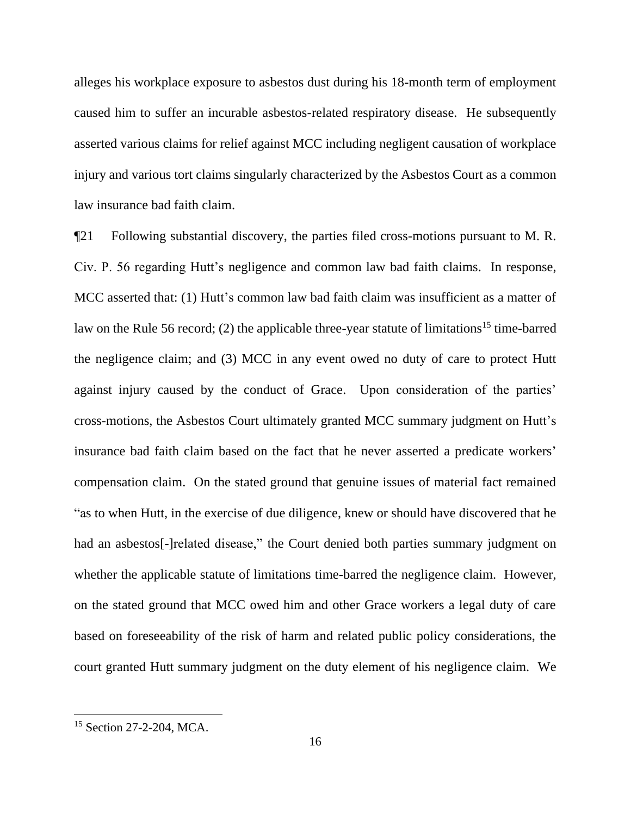alleges his workplace exposure to asbestos dust during his 18-month term of employment caused him to suffer an incurable asbestos-related respiratory disease. He subsequently asserted various claims for relief against MCC including negligent causation of workplace injury and various tort claims singularly characterized by the Asbestos Court as a common law insurance bad faith claim.

¶21 Following substantial discovery, the parties filed cross-motions pursuant to M. R. Civ. P. 56 regarding Hutt's negligence and common law bad faith claims. In response, MCC asserted that: (1) Hutt's common law bad faith claim was insufficient as a matter of law on the Rule 56 record; (2) the applicable three-year statute of limitations<sup>15</sup> time-barred the negligence claim; and (3) MCC in any event owed no duty of care to protect Hutt against injury caused by the conduct of Grace. Upon consideration of the parties' cross-motions, the Asbestos Court ultimately granted MCC summary judgment on Hutt's insurance bad faith claim based on the fact that he never asserted a predicate workers' compensation claim. On the stated ground that genuine issues of material fact remained "as to when Hutt, in the exercise of due diligence, knew or should have discovered that he had an asbestos<sup>[-]</sup>related disease," the Court denied both parties summary judgment on whether the applicable statute of limitations time-barred the negligence claim. However, on the stated ground that MCC owed him and other Grace workers a legal duty of care based on foreseeability of the risk of harm and related public policy considerations, the court granted Hutt summary judgment on the duty element of his negligence claim. We

<sup>&</sup>lt;sup>15</sup> Section 27-2-204, MCA.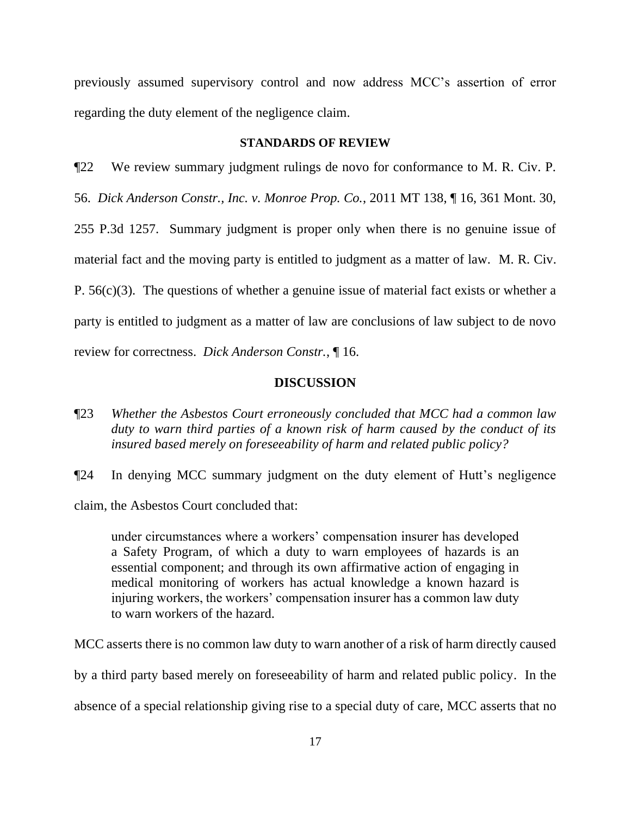previously assumed supervisory control and now address MCC's assertion of error regarding the duty element of the negligence claim.

# **STANDARDS OF REVIEW**

¶22 We review summary judgment rulings de novo for conformance to M. R. Civ. P. 56. *Dick Anderson Constr., Inc. v. Monroe Prop. Co.*, 2011 MT 138, ¶ 16, 361 Mont. 30, 255 P.3d 1257. Summary judgment is proper only when there is no genuine issue of material fact and the moving party is entitled to judgment as a matter of law. M. R. Civ. P.  $56(c)(3)$ . The questions of whether a genuine issue of material fact exists or whether a party is entitled to judgment as a matter of law are conclusions of law subject to de novo review for correctness. *Dick Anderson Constr.*, ¶ 16.

# **DISCUSSION**

¶23 *Whether the Asbestos Court erroneously concluded that MCC had a common law duty to warn third parties of a known risk of harm caused by the conduct of its insured based merely on foreseeability of harm and related public policy?*

¶24 In denying MCC summary judgment on the duty element of Hutt's negligence claim, the Asbestos Court concluded that:

under circumstances where a workers' compensation insurer has developed a Safety Program, of which a duty to warn employees of hazards is an essential component; and through its own affirmative action of engaging in medical monitoring of workers has actual knowledge a known hazard is injuring workers, the workers' compensation insurer has a common law duty to warn workers of the hazard.

MCC asserts there is no common law duty to warn another of a risk of harm directly caused

by a third party based merely on foreseeability of harm and related public policy. In the

absence of a special relationship giving rise to a special duty of care, MCC asserts that no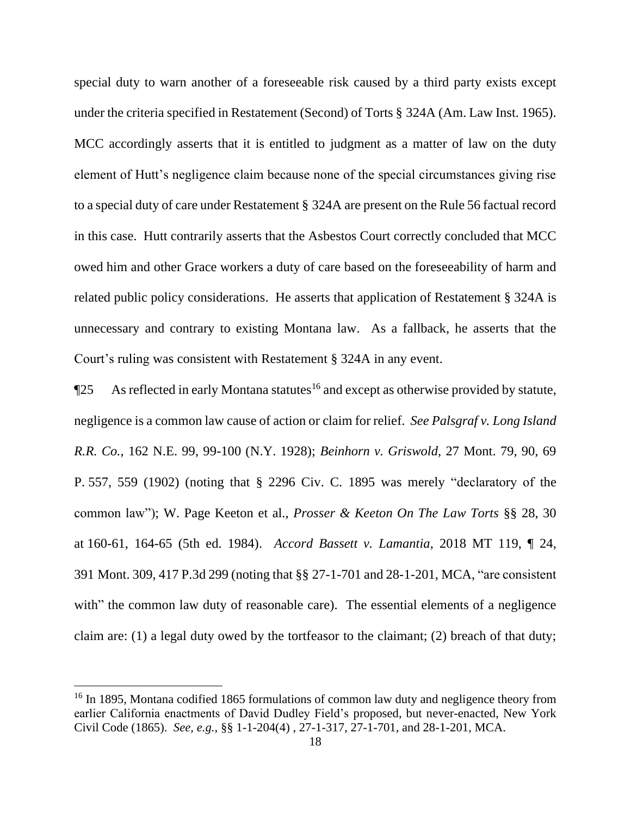special duty to warn another of a foreseeable risk caused by a third party exists except under the criteria specified in Restatement (Second) of Torts § 324A (Am. Law Inst. 1965). MCC accordingly asserts that it is entitled to judgment as a matter of law on the duty element of Hutt's negligence claim because none of the special circumstances giving rise to a special duty of care under Restatement § 324A are present on the Rule 56 factual record in this case. Hutt contrarily asserts that the Asbestos Court correctly concluded that MCC owed him and other Grace workers a duty of care based on the foreseeability of harm and related public policy considerations. He asserts that application of Restatement § 324A is unnecessary and contrary to existing Montana law. As a fallback, he asserts that the Court's ruling was consistent with Restatement § 324A in any event.

 $\P$ 25 As reflected in early Montana statutes<sup>16</sup> and except as otherwise provided by statute, negligence is a common law cause of action or claim for relief. *See Palsgraf v. Long Island R.R. Co.*, 162 N.E. 99, 99-100 (N.Y. 1928); *Beinhorn v. Griswold*, 27 Mont. 79, 90, 69 P. 557, 559 (1902) (noting that § 2296 Civ. C. 1895 was merely "declaratory of the common law"); W. Page Keeton et al., *Prosser & Keeton On The Law Torts* §§ 28, 30 at 160-61, 164-65 (5th ed. 1984). *Accord Bassett v. Lamantia*, 2018 MT 119, ¶ 24, 391 Mont. 309, 417 P.3d 299 (noting that §§ 27-1-701 and 28-1-201, MCA, "are consistent with" the common law duty of reasonable care). The essential elements of a negligence claim are: (1) a legal duty owed by the tortfeasor to the claimant; (2) breach of that duty;

<sup>&</sup>lt;sup>16</sup> In 1895, Montana codified 1865 formulations of common law duty and negligence theory from earlier California enactments of David Dudley Field's proposed, but never-enacted, New York Civil Code (1865). *See, e.g.*, §§ 1-1-204(4) , 27-1-317, 27-1-701, and 28-1-201, MCA.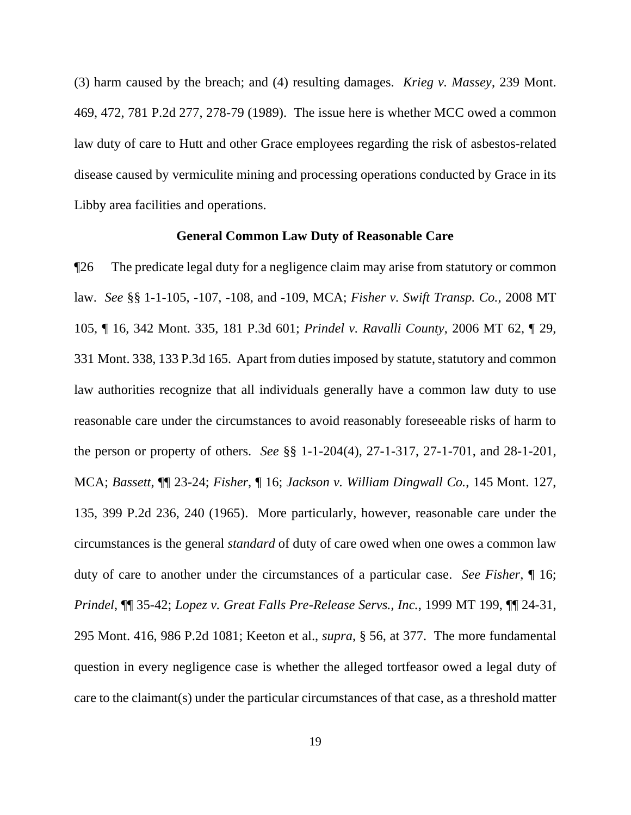(3) harm caused by the breach; and (4) resulting damages. *Krieg v. Massey*, 239 Mont. 469, 472, 781 P.2d 277, 278-79 (1989). The issue here is whether MCC owed a common law duty of care to Hutt and other Grace employees regarding the risk of asbestos-related disease caused by vermiculite mining and processing operations conducted by Grace in its Libby area facilities and operations.

### **General Common Law Duty of Reasonable Care**

¶26 The predicate legal duty for a negligence claim may arise from statutory or common law. *See* §§ 1-1-105, -107, -108, and -109, MCA; *Fisher v. Swift Transp. Co.*, 2008 MT 105, ¶ 16, 342 Mont. 335, 181 P.3d 601; *Prindel v. Ravalli County*, 2006 MT 62, ¶ 29, 331 Mont. 338, 133 P.3d 165. Apart from duties imposed by statute, statutory and common law authorities recognize that all individuals generally have a common law duty to use reasonable care under the circumstances to avoid reasonably foreseeable risks of harm to the person or property of others. *See* §§ 1-1-204(4), 27-1-317, 27-1-701, and 28-1-201, MCA; *Bassett*, ¶¶ 23-24; *Fisher*, ¶ 16; *Jackson v. William Dingwall Co.*, 145 Mont. 127, 135, 399 P.2d 236, 240 (1965). More particularly, however, reasonable care under the circumstances is the general *standard* of duty of care owed when one owes a common law duty of care to another under the circumstances of a particular case. *See Fisher*, ¶ 16; *Prindel*, ¶¶ 35-42; *Lopez v. Great Falls Pre-Release Servs., Inc.*, 1999 MT 199, ¶¶ 24-31, 295 Mont. 416, 986 P.2d 1081; Keeton et al., *supra*, § 56, at 377. The more fundamental question in every negligence case is whether the alleged tortfeasor owed a legal duty of care to the claimant(s) under the particular circumstances of that case, as a threshold matter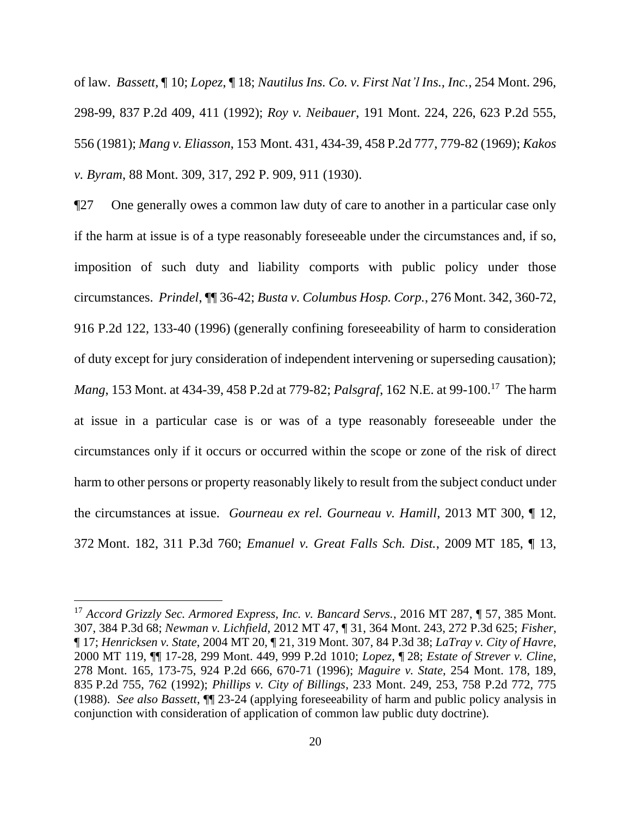of law. *Bassett*, ¶ 10; *Lopez*, ¶ 18; *Nautilus Ins. Co. v. First Nat'l Ins., Inc.*, 254 Mont. 296, 298-99, 837 P.2d 409, 411 (1992); *Roy v. Neibauer*, 191 Mont. 224, 226, 623 P.2d 555, 556 (1981); *Mang v. Eliasson*, 153 Mont. 431, 434-39, 458 P.2d 777, 779-82 (1969); *Kakos v. Byram*, 88 Mont. 309, 317, 292 P. 909, 911 (1930).

¶27 One generally owes a common law duty of care to another in a particular case only if the harm at issue is of a type reasonably foreseeable under the circumstances and, if so, imposition of such duty and liability comports with public policy under those circumstances. *Prindel*, ¶¶ 36-42; *Busta v. Columbus Hosp. Corp.*, 276 Mont. 342, 360-72, 916 P.2d 122, 133-40 (1996) (generally confining foreseeability of harm to consideration of duty except for jury consideration of independent intervening or superseding causation); *Mang*, 153 Mont. at 434-39, 458 P.2d at 779-82; *Palsgraf*, 162 N.E. at 99-100.<sup>17</sup> The harm at issue in a particular case is or was of a type reasonably foreseeable under the circumstances only if it occurs or occurred within the scope or zone of the risk of direct harm to other persons or property reasonably likely to result from the subject conduct under the circumstances at issue. *Gourneau ex rel. Gourneau v. Hamill*, 2013 MT 300, ¶ 12, 372 Mont. 182, 311 P.3d 760; *Emanuel v. Great Falls Sch. Dist.*, 2009 MT 185, ¶ 13,

<sup>17</sup> *Accord Grizzly Sec. Armored Express, Inc. v. Bancard Servs.*, 2016 MT 287, ¶ 57, 385 Mont. 307, 384 P.3d 68; *Newman v. Lichfield*, 2012 MT 47, ¶ 31, 364 Mont. 243, 272 P.3d 625; *Fisher*, ¶ 17; *Henricksen v. State*, 2004 MT 20, ¶ 21, 319 Mont. 307, 84 P.3d 38; *LaTray v. City of Havre*, 2000 MT 119, ¶¶ 17-28, 299 Mont. 449, 999 P.2d 1010; *Lopez*, ¶ 28; *Estate of Strever v. Cline*, 278 Mont. 165, 173-75, 924 P.2d 666, 670-71 (1996); *Maguire v. State*, 254 Mont. 178, 189, 835 P.2d 755, 762 (1992); *Phillips v. City of Billings*, 233 Mont. 249, 253, 758 P.2d 772, 775 (1988). *See also Bassett*, ¶¶ 23-24 (applying foreseeability of harm and public policy analysis in conjunction with consideration of application of common law public duty doctrine).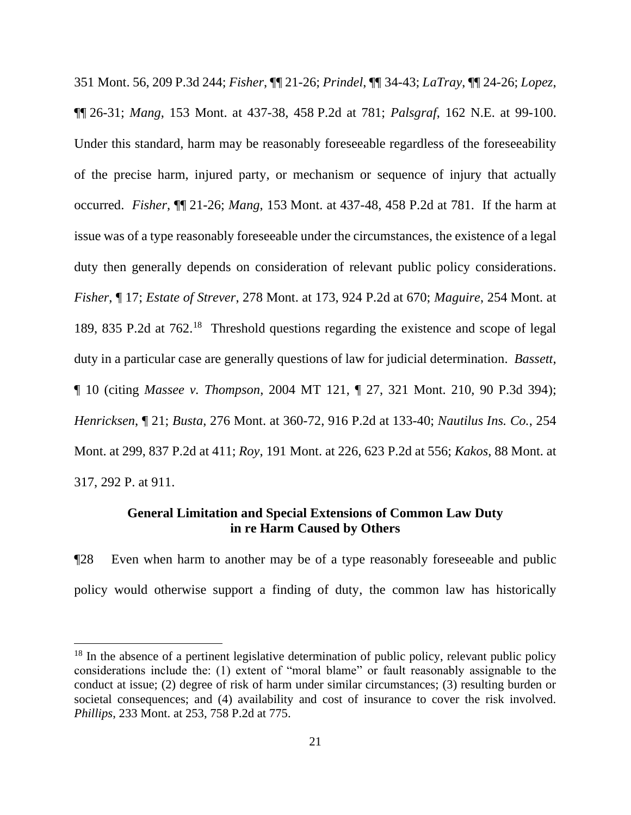351 Mont. 56, 209 P.3d 244; *Fisher*, ¶¶ 21-26; *Prindel*, ¶¶ 34-43; *LaTray*, ¶¶ 24-26; *Lopez*, ¶¶ 26-31; *Mang*, 153 Mont. at 437-38, 458 P.2d at 781; *Palsgraf*, 162 N.E. at 99-100. Under this standard, harm may be reasonably foreseeable regardless of the foreseeability of the precise harm, injured party, or mechanism or sequence of injury that actually occurred. *Fisher*, ¶¶ 21-26; *Mang*, 153 Mont. at 437-48, 458 P.2d at 781. If the harm at issue was of a type reasonably foreseeable under the circumstances, the existence of a legal duty then generally depends on consideration of relevant public policy considerations. *Fisher*, ¶ 17; *Estate of Strever*, 278 Mont. at 173, 924 P.2d at 670; *Maguire*, 254 Mont. at 189, 835 P.2d at 762.<sup>18</sup> Threshold questions regarding the existence and scope of legal duty in a particular case are generally questions of law for judicial determination. *Bassett*, ¶ 10 (citing *Massee v. Thompson*, 2004 MT 121, ¶ 27, 321 Mont. 210, 90 P.3d 394); *Henricksen*, ¶ 21; *Busta*, 276 Mont. at 360-72, 916 P.2d at 133-40; *Nautilus Ins. Co.*, 254 Mont. at 299, 837 P.2d at 411; *Roy*, 191 Mont. at 226, 623 P.2d at 556; *Kakos*, 88 Mont. at 317, 292 P. at 911.

# **General Limitation and Special Extensions of Common Law Duty in re Harm Caused by Others**

¶28 Even when harm to another may be of a type reasonably foreseeable and public policy would otherwise support a finding of duty, the common law has historically

<sup>&</sup>lt;sup>18</sup> In the absence of a pertinent legislative determination of public policy, relevant public policy considerations include the: (1) extent of "moral blame" or fault reasonably assignable to the conduct at issue; (2) degree of risk of harm under similar circumstances; (3) resulting burden or societal consequences; and (4) availability and cost of insurance to cover the risk involved. *Phillips*, 233 Mont. at 253, 758 P.2d at 775.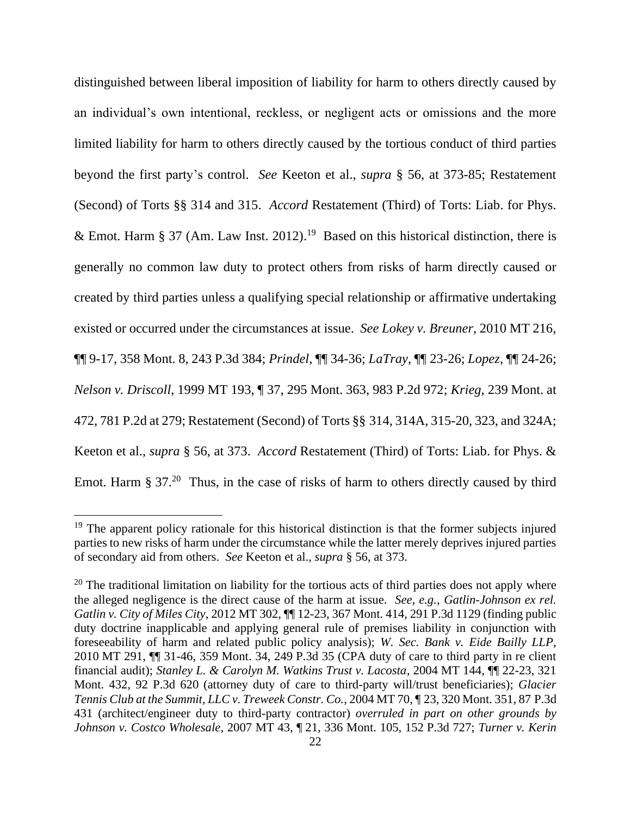distinguished between liberal imposition of liability for harm to others directly caused by an individual's own intentional, reckless, or negligent acts or omissions and the more limited liability for harm to others directly caused by the tortious conduct of third parties beyond the first party's control. *See* Keeton et al., *supra* § 56, at 373-85; Restatement (Second) of Torts §§ 314 and 315. *Accord* Restatement (Third) of Torts: Liab. for Phys. & Emot. Harm § 37 (Am. Law Inst. 2012).<sup>19</sup> Based on this historical distinction, there is generally no common law duty to protect others from risks of harm directly caused or created by third parties unless a qualifying special relationship or affirmative undertaking existed or occurred under the circumstances at issue. *See Lokey v. Breuner*, 2010 MT 216, ¶¶ 9-17, 358 Mont. 8, 243 P.3d 384; *Prindel*, ¶¶ 34-36; *LaTray*, ¶¶ 23-26; *Lopez*, ¶¶ 24-26; *Nelson v. Driscoll*, 1999 MT 193, ¶ 37, 295 Mont. 363, 983 P.2d 972; *Krieg*, 239 Mont. at 472, 781 P.2d at 279; Restatement (Second) of Torts §§ 314, 314A, 315-20, 323, and 324A; Keeton et al., *supra* § 56, at 373. *Accord* Restatement (Third) of Torts: Liab. for Phys. & Emot. Harm  $\S 37<sup>20</sup>$  Thus, in the case of risks of harm to others directly caused by third

<sup>&</sup>lt;sup>19</sup> The apparent policy rationale for this historical distinction is that the former subjects injured parties to new risks of harm under the circumstance while the latter merely deprives injured parties of secondary aid from others. *See* Keeton et al., *supra* § 56, at 373.

 $20$  The traditional limitation on liability for the tortious acts of third parties does not apply where the alleged negligence is the direct cause of the harm at issue. *See, e.g.*, *Gatlin-Johnson ex rel. Gatlin v. City of Miles City*, 2012 MT 302, ¶¶ 12-23, 367 Mont. 414, 291 P.3d 1129 (finding public duty doctrine inapplicable and applying general rule of premises liability in conjunction with foreseeability of harm and related public policy analysis); *W. Sec. Bank v. Eide Bailly LLP*, 2010 MT 291, ¶¶ 31-46, 359 Mont. 34, 249 P.3d 35 (CPA duty of care to third party in re client financial audit); *Stanley L. & Carolyn M. Watkins Trust v. Lacosta*, 2004 MT 144, ¶¶ 22-23, 321 Mont. 432, 92 P.3d 620 (attorney duty of care to third-party will/trust beneficiaries); *Glacier Tennis Club at the Summit, LLC v. Treweek Constr. Co.*, 2004 MT 70, ¶ 23, 320 Mont. 351, 87 P.3d 431 (architect/engineer duty to third-party contractor) *overruled in part on other grounds by Johnson v. Costco Wholesale*, 2007 MT 43, ¶ 21, 336 Mont. 105, 152 P.3d 727; *Turner v. Kerin*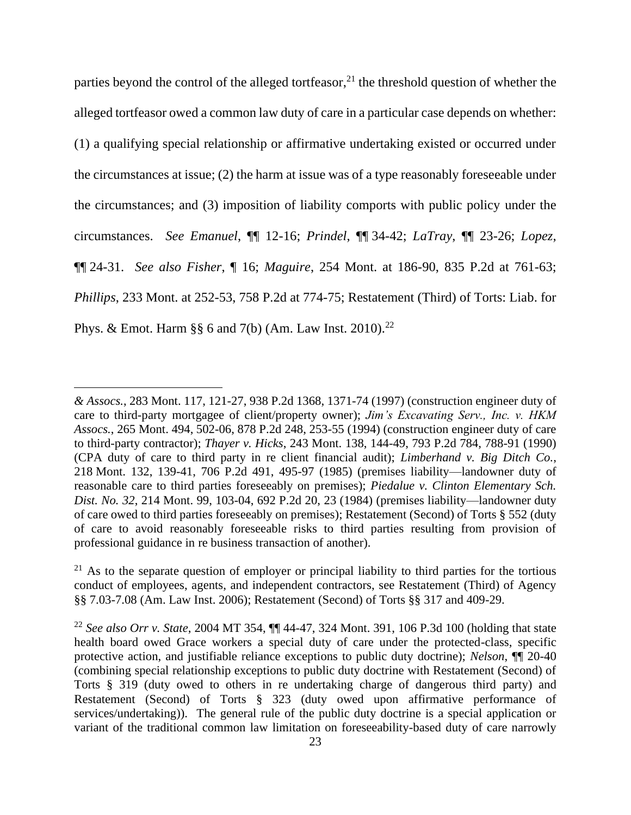parties beyond the control of the alleged tortfeasor,<sup>21</sup> the threshold question of whether the alleged tortfeasor owed a common law duty of care in a particular case depends on whether: (1) a qualifying special relationship or affirmative undertaking existed or occurred under the circumstances at issue; (2) the harm at issue was of a type reasonably foreseeable under the circumstances; and (3) imposition of liability comports with public policy under the circumstances. *See Emanuel*, ¶¶ 12-16; *Prindel*, ¶¶ 34-42; *LaTray*, ¶¶ 23-26; *Lopez*, ¶¶ 24-31. *See also Fisher*, ¶ 16; *Maguire*, 254 Mont. at 186-90, 835 P.2d at 761-63; *Phillips*, 233 Mont. at 252-53, 758 P.2d at 774-75; Restatement (Third) of Torts: Liab. for Phys. & Emot. Harm  $\S$ § 6 and 7(b) (Am. Law Inst. 2010).<sup>22</sup>

*<sup>&</sup>amp; Assocs.*, 283 Mont. 117, 121-27, 938 P.2d 1368, 1371-74 (1997) (construction engineer duty of care to third-party mortgagee of client/property owner); *Jim's Excavating Serv., Inc. v. HKM Assocs.*, 265 Mont. 494, 502-06, 878 P.2d 248, 253-55 (1994) (construction engineer duty of care to third-party contractor); *Thayer v. Hicks*, 243 Mont. 138, 144-49, 793 P.2d 784, 788-91 (1990) (CPA duty of care to third party in re client financial audit); *Limberhand v. Big Ditch Co.*, 218 Mont. 132, 139-41, 706 P.2d 491, 495-97 (1985) (premises liability—landowner duty of reasonable care to third parties foreseeably on premises); *Piedalue v. Clinton Elementary Sch. Dist. No. 32*, 214 Mont. 99, 103-04, 692 P.2d 20, 23 (1984) (premises liability—landowner duty of care owed to third parties foreseeably on premises); Restatement (Second) of Torts § 552 (duty of care to avoid reasonably foreseeable risks to third parties resulting from provision of professional guidance in re business transaction of another).

 $21$  As to the separate question of employer or principal liability to third parties for the tortious conduct of employees, agents, and independent contractors, see Restatement (Third) of Agency §§ 7.03-7.08 (Am. Law Inst. 2006); Restatement (Second) of Torts §§ 317 and 409-29.

<sup>22</sup> *See also Orr v. State*, 2004 MT 354, ¶¶ 44-47, 324 Mont. 391, 106 P.3d 100 (holding that state health board owed Grace workers a special duty of care under the protected-class, specific protective action, and justifiable reliance exceptions to public duty doctrine); *Nelson*, ¶¶ 20-40 (combining special relationship exceptions to public duty doctrine with Restatement (Second) of Torts § 319 (duty owed to others in re undertaking charge of dangerous third party) and Restatement (Second) of Torts § 323 (duty owed upon affirmative performance of services/undertaking)). The general rule of the public duty doctrine is a special application or variant of the traditional common law limitation on foreseeability-based duty of care narrowly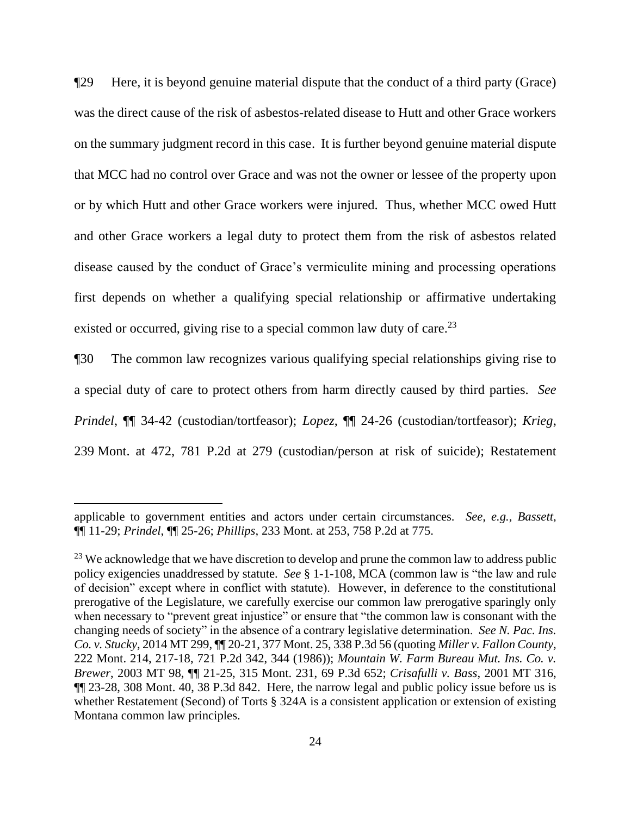¶29 Here, it is beyond genuine material dispute that the conduct of a third party (Grace) was the direct cause of the risk of asbestos-related disease to Hutt and other Grace workers on the summary judgment record in this case. It is further beyond genuine material dispute that MCC had no control over Grace and was not the owner or lessee of the property upon or by which Hutt and other Grace workers were injured. Thus, whether MCC owed Hutt and other Grace workers a legal duty to protect them from the risk of asbestos related disease caused by the conduct of Grace's vermiculite mining and processing operations first depends on whether a qualifying special relationship or affirmative undertaking existed or occurred, giving rise to a special common law duty of care.<sup>23</sup>

¶30 The common law recognizes various qualifying special relationships giving rise to a special duty of care to protect others from harm directly caused by third parties. *See Prindel*, ¶¶ 34-42 (custodian/tortfeasor); *Lopez*, ¶¶ 24-26 (custodian/tortfeasor); *Krieg*, 239 Mont. at 472, 781 P.2d at 279 (custodian/person at risk of suicide); Restatement

applicable to government entities and actors under certain circumstances. *See, e.g.*, *Bassett*, ¶¶ 11-29; *Prindel*, ¶¶ 25-26; *Phillips*, 233 Mont. at 253, 758 P.2d at 775.

<sup>&</sup>lt;sup>23</sup> We acknowledge that we have discretion to develop and prune the common law to address public policy exigencies unaddressed by statute. *See* § 1-1-108, MCA (common law is "the law and rule of decision" except where in conflict with statute). However, in deference to the constitutional prerogative of the Legislature, we carefully exercise our common law prerogative sparingly only when necessary to "prevent great injustice" or ensure that "the common law is consonant with the changing needs of society" in the absence of a contrary legislative determination. *See N. Pac. Ins. Co. v. Stucky*, 2014 MT 299, ¶¶ 20-21, 377 Mont. 25, 338 P.3d 56 (quoting *Miller v. Fallon County,* 222 Mont. 214, 217-18, 721 P.2d 342, 344 (1986)); *Mountain W. Farm Bureau Mut. Ins. Co. v. Brewer*, 2003 MT 98, ¶¶ 21-25, 315 Mont. 231, 69 P.3d 652; *Crisafulli v. Bass*, 2001 MT 316, ¶¶ 23-28, 308 Mont. 40, 38 P.3d 842. Here, the narrow legal and public policy issue before us is whether Restatement (Second) of Torts § 324A is a consistent application or extension of existing Montana common law principles.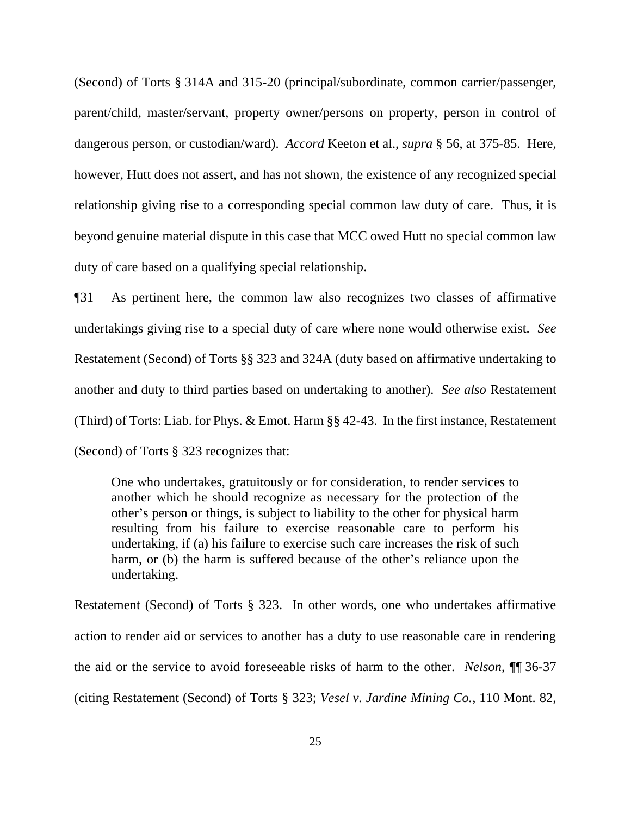(Second) of Torts § 314A and 315-20 (principal/subordinate, common carrier/passenger, parent/child, master/servant, property owner/persons on property, person in control of dangerous person, or custodian/ward). *Accord* Keeton et al., *supra* § 56, at 375-85. Here, however, Hutt does not assert, and has not shown, the existence of any recognized special relationship giving rise to a corresponding special common law duty of care. Thus, it is beyond genuine material dispute in this case that MCC owed Hutt no special common law duty of care based on a qualifying special relationship.

¶31 As pertinent here, the common law also recognizes two classes of affirmative undertakings giving rise to a special duty of care where none would otherwise exist. *See*  Restatement (Second) of Torts §§ 323 and 324A (duty based on affirmative undertaking to another and duty to third parties based on undertaking to another). *See also* Restatement (Third) of Torts: Liab. for Phys. & Emot. Harm §§ 42-43. In the first instance, Restatement (Second) of Torts § 323 recognizes that:

One who undertakes, gratuitously or for consideration, to render services to another which he should recognize as necessary for the protection of the other's person or things, is subject to liability to the other for physical harm resulting from his failure to exercise reasonable care to perform his undertaking, if (a) his failure to exercise such care increases the risk of such harm, or (b) the harm is suffered because of the other's reliance upon the undertaking.

Restatement (Second) of Torts § 323. In other words, one who undertakes affirmative action to render aid or services to another has a duty to use reasonable care in rendering the aid or the service to avoid foreseeable risks of harm to the other. *Nelson*, ¶¶ 36-37 (citing Restatement (Second) of Torts § 323; *Vesel v. Jardine Mining Co.*, 110 Mont. 82,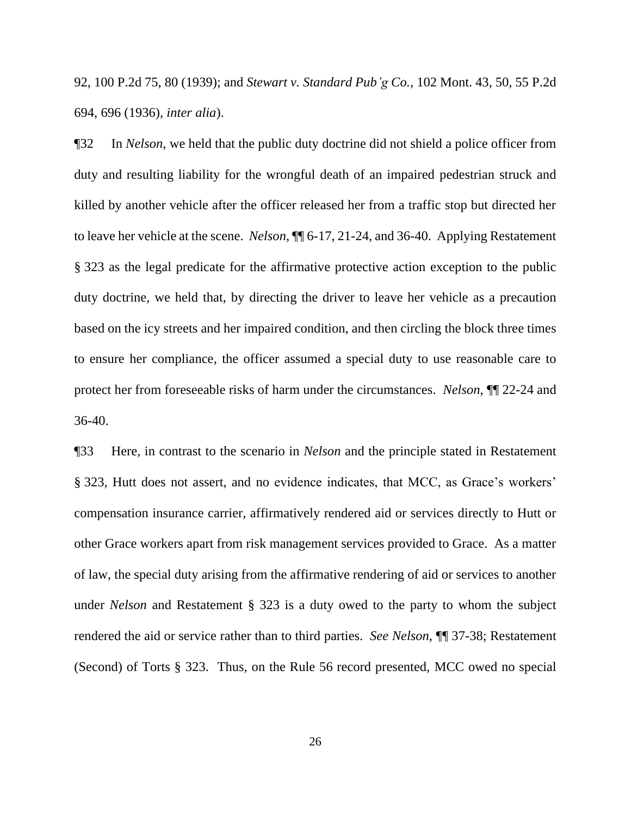92, 100 P.2d 75, 80 (1939); and *Stewart v. Standard Pub'g Co.*, 102 Mont. 43, 50, 55 P.2d 694, 696 (1936), *inter alia*).

¶32 In *Nelson*, we held that the public duty doctrine did not shield a police officer from duty and resulting liability for the wrongful death of an impaired pedestrian struck and killed by another vehicle after the officer released her from a traffic stop but directed her to leave her vehicle at the scene. *Nelson*, ¶¶ 6-17, 21-24, and 36-40. Applying Restatement § 323 as the legal predicate for the affirmative protective action exception to the public duty doctrine, we held that, by directing the driver to leave her vehicle as a precaution based on the icy streets and her impaired condition, and then circling the block three times to ensure her compliance, the officer assumed a special duty to use reasonable care to protect her from foreseeable risks of harm under the circumstances. *Nelson*, ¶¶ 22-24 and 36-40.

¶33 Here, in contrast to the scenario in *Nelson* and the principle stated in Restatement § 323, Hutt does not assert, and no evidence indicates, that MCC, as Grace's workers' compensation insurance carrier, affirmatively rendered aid or services directly to Hutt or other Grace workers apart from risk management services provided to Grace. As a matter of law, the special duty arising from the affirmative rendering of aid or services to another under *Nelson* and Restatement § 323 is a duty owed to the party to whom the subject rendered the aid or service rather than to third parties. *See Nelson*, ¶¶ 37-38; Restatement (Second) of Torts § 323. Thus, on the Rule 56 record presented, MCC owed no special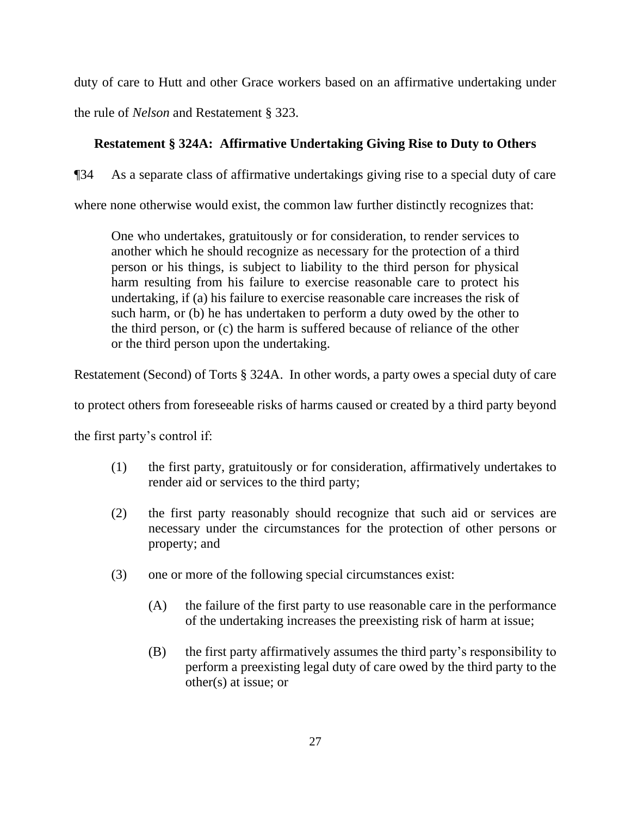duty of care to Hutt and other Grace workers based on an affirmative undertaking under the rule of *Nelson* and Restatement § 323.

# **Restatement § 324A: Affirmative Undertaking Giving Rise to Duty to Others**

¶34 As a separate class of affirmative undertakings giving rise to a special duty of care

where none otherwise would exist, the common law further distinctly recognizes that:

One who undertakes, gratuitously or for consideration, to render services to another which he should recognize as necessary for the protection of a third person or his things, is subject to liability to the third person for physical harm resulting from his failure to exercise reasonable care to protect his undertaking, if (a) his failure to exercise reasonable care increases the risk of such harm, or (b) he has undertaken to perform a duty owed by the other to the third person, or (c) the harm is suffered because of reliance of the other or the third person upon the undertaking.

Restatement (Second) of Torts § 324A. In other words, a party owes a special duty of care

to protect others from foreseeable risks of harms caused or created by a third party beyond

the first party's control if:

- (1) the first party, gratuitously or for consideration, affirmatively undertakes to render aid or services to the third party;
- (2) the first party reasonably should recognize that such aid or services are necessary under the circumstances for the protection of other persons or property; and
- (3) one or more of the following special circumstances exist:
	- (A) the failure of the first party to use reasonable care in the performance of the undertaking increases the preexisting risk of harm at issue;
	- (B) the first party affirmatively assumes the third party's responsibility to perform a preexisting legal duty of care owed by the third party to the other(s) at issue; or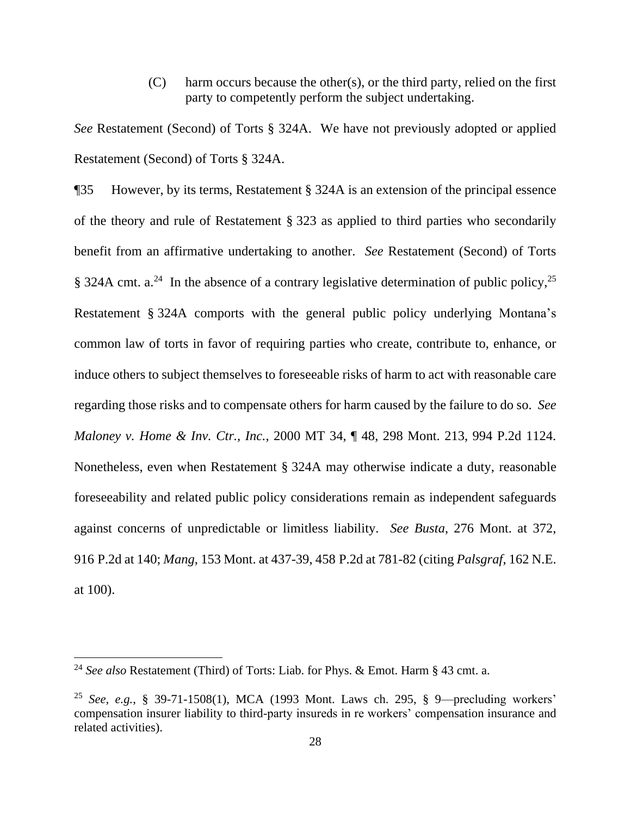(C) harm occurs because the other(s), or the third party, relied on the first party to competently perform the subject undertaking.

*See* Restatement (Second) of Torts § 324A. We have not previously adopted or applied Restatement (Second) of Torts § 324A.

¶35 However, by its terms, Restatement § 324A is an extension of the principal essence of the theory and rule of Restatement § 323 as applied to third parties who secondarily benefit from an affirmative undertaking to another. *See* Restatement (Second) of Torts § 324A cmt. a.<sup>24</sup> In the absence of a contrary legislative determination of public policy,<sup>25</sup> Restatement § 324A comports with the general public policy underlying Montana's common law of torts in favor of requiring parties who create, contribute to, enhance, or induce others to subject themselves to foreseeable risks of harm to act with reasonable care regarding those risks and to compensate others for harm caused by the failure to do so. *See Maloney v. Home & Inv. Ctr., Inc.*, 2000 MT 34, ¶ 48, 298 Mont. 213, 994 P.2d 1124. Nonetheless, even when Restatement § 324A may otherwise indicate a duty, reasonable foreseeability and related public policy considerations remain as independent safeguards against concerns of unpredictable or limitless liability. *See Busta*, 276 Mont. at 372, 916 P.2d at 140; *Mang*, 153 Mont. at 437-39, 458 P.2d at 781-82 (citing *Palsgraf*, 162 N.E. at 100).

<sup>24</sup> *See also* Restatement (Third) of Torts: Liab. for Phys. & Emot. Harm § 43 cmt. a.

<sup>25</sup> *See, e.g.*, § 39-71-1508(1), MCA (1993 Mont. Laws ch. 295, § 9—precluding workers' compensation insurer liability to third-party insureds in re workers' compensation insurance and related activities).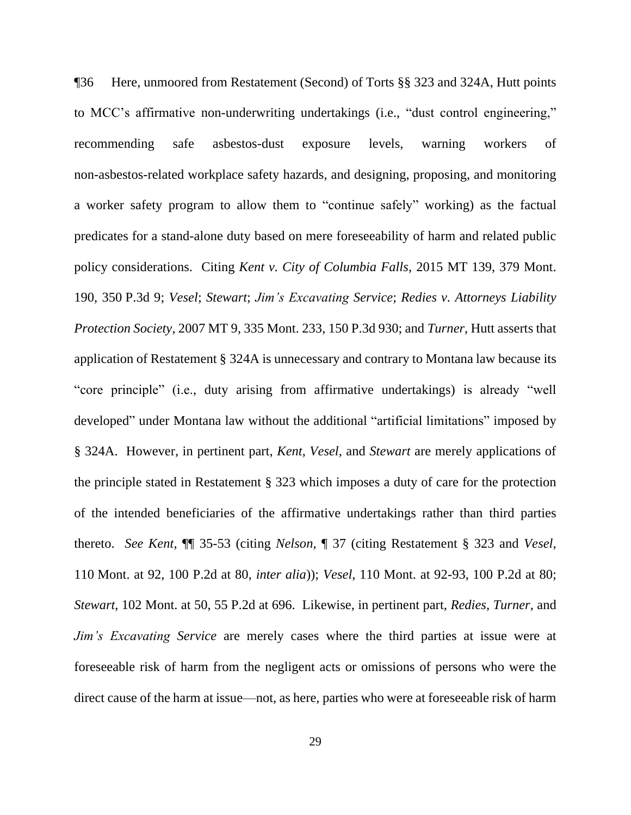¶36 Here, unmoored from Restatement (Second) of Torts §§ 323 and 324A, Hutt points to MCC's affirmative non-underwriting undertakings (i.e., "dust control engineering," recommending safe asbestos-dust exposure levels, warning workers of non-asbestos-related workplace safety hazards, and designing, proposing, and monitoring a worker safety program to allow them to "continue safely" working) as the factual predicates for a stand-alone duty based on mere foreseeability of harm and related public policy considerations. Citing *Kent v. City of Columbia Falls*, 2015 MT 139, 379 Mont. 190, 350 P.3d 9; *Vesel*; *Stewart*; *Jim's Excavating Service*; *Redies v. Attorneys Liability Protection Society*, 2007 MT 9, 335 Mont. 233, 150 P.3d 930; and *Turner*, Hutt asserts that application of Restatement § 324A is unnecessary and contrary to Montana law because its "core principle" (i.e., duty arising from affirmative undertakings) is already "well developed" under Montana law without the additional "artificial limitations" imposed by § 324A. However, in pertinent part, *Kent*, *Vesel*, and *Stewart* are merely applications of the principle stated in Restatement § 323 which imposes a duty of care for the protection of the intended beneficiaries of the affirmative undertakings rather than third parties thereto. *See Kent*, ¶¶ 35-53 (citing *Nelson*, ¶ 37 (citing Restatement § 323 and *Vesel*, 110 Mont. at 92, 100 P.2d at 80, *inter alia*)); *Vesel*, 110 Mont. at 92-93, 100 P.2d at 80; *Stewart*, 102 Mont. at 50, 55 P.2d at 696. Likewise, in pertinent part, *Redies*, *Turner*, and *Jim's Excavating Service* are merely cases where the third parties at issue were at foreseeable risk of harm from the negligent acts or omissions of persons who were the direct cause of the harm at issue—not, as here, parties who were at foreseeable risk of harm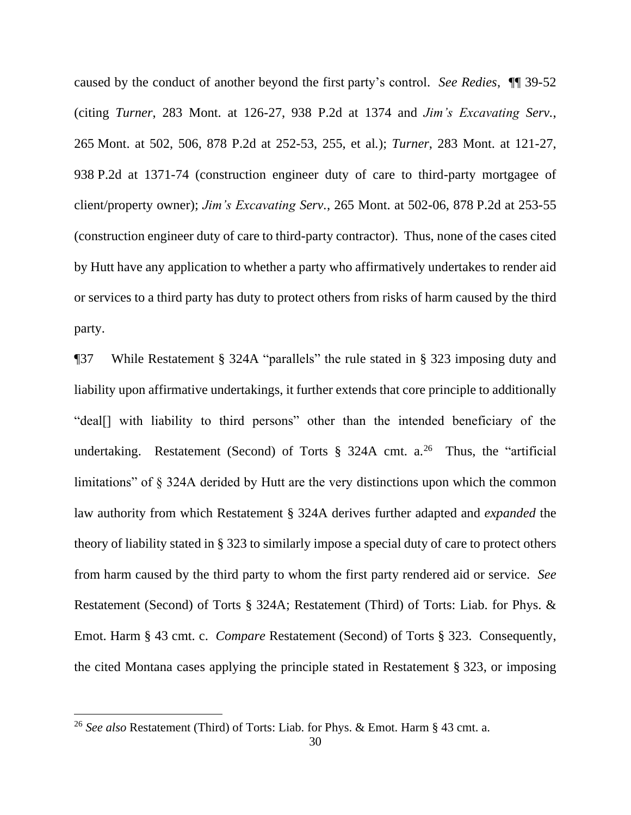caused by the conduct of another beyond the first party's control. *See Redies*, ¶¶ 39-52 (citing *Turner*, 283 Mont. at 126-27, 938 P.2d at 1374 and *Jim's Excavating Serv.*, 265 Mont. at 502, 506, 878 P.2d at 252-53, 255, et al*.*); *Turner*, 283 Mont. at 121-27, 938 P.2d at 1371-74 (construction engineer duty of care to third-party mortgagee of client/property owner); *Jim's Excavating Serv.*, 265 Mont. at 502-06, 878 P.2d at 253-55 (construction engineer duty of care to third-party contractor). Thus, none of the cases cited by Hutt have any application to whether a party who affirmatively undertakes to render aid or services to a third party has duty to protect others from risks of harm caused by the third party.

¶37 While Restatement § 324A "parallels" the rule stated in § 323 imposing duty and liability upon affirmative undertakings, it further extends that core principle to additionally "deal[] with liability to third persons" other than the intended beneficiary of the undertaking. Restatement (Second) of Torts  $\S$  324A cmt. a.<sup>26</sup> Thus, the "artificial limitations" of § 324A derided by Hutt are the very distinctions upon which the common law authority from which Restatement § 324A derives further adapted and *expanded* the theory of liability stated in § 323 to similarly impose a special duty of care to protect others from harm caused by the third party to whom the first party rendered aid or service. *See*  Restatement (Second) of Torts § 324A; Restatement (Third) of Torts: Liab. for Phys. & Emot. Harm § 43 cmt. c. *Compare* Restatement (Second) of Torts § 323. Consequently, the cited Montana cases applying the principle stated in Restatement § 323, or imposing

<sup>26</sup> *See also* Restatement (Third) of Torts: Liab. for Phys. & Emot. Harm § 43 cmt. a.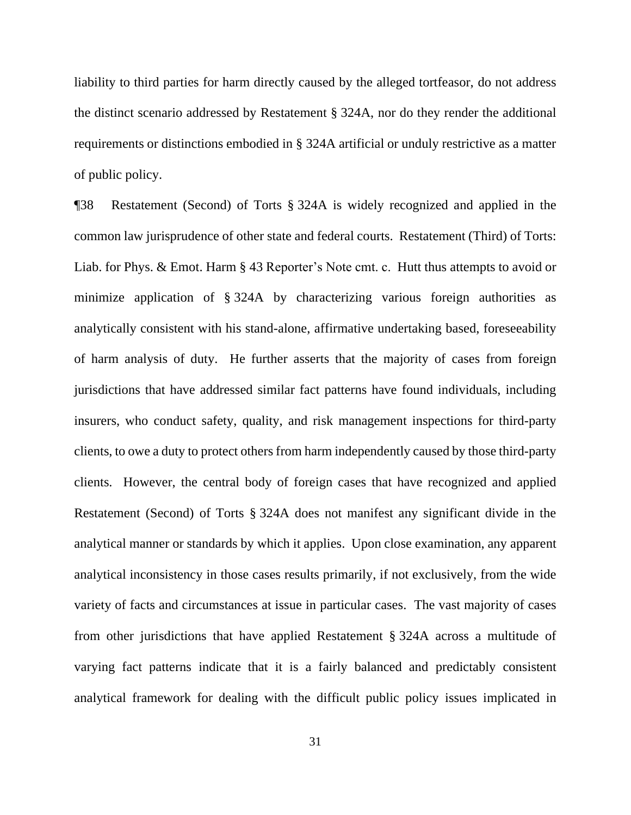liability to third parties for harm directly caused by the alleged tortfeasor, do not address the distinct scenario addressed by Restatement § 324A, nor do they render the additional requirements or distinctions embodied in § 324A artificial or unduly restrictive as a matter of public policy.

¶38 Restatement (Second) of Torts § 324A is widely recognized and applied in the common law jurisprudence of other state and federal courts. Restatement (Third) of Torts: Liab. for Phys. & Emot. Harm § 43 Reporter's Note cmt. c. Hutt thus attempts to avoid or minimize application of § 324A by characterizing various foreign authorities as analytically consistent with his stand-alone, affirmative undertaking based, foreseeability of harm analysis of duty. He further asserts that the majority of cases from foreign jurisdictions that have addressed similar fact patterns have found individuals, including insurers, who conduct safety, quality, and risk management inspections for third-party clients, to owe a duty to protect others from harm independently caused by those third-party clients. However, the central body of foreign cases that have recognized and applied Restatement (Second) of Torts § 324A does not manifest any significant divide in the analytical manner or standards by which it applies. Upon close examination, any apparent analytical inconsistency in those cases results primarily, if not exclusively, from the wide variety of facts and circumstances at issue in particular cases. The vast majority of cases from other jurisdictions that have applied Restatement § 324A across a multitude of varying fact patterns indicate that it is a fairly balanced and predictably consistent analytical framework for dealing with the difficult public policy issues implicated in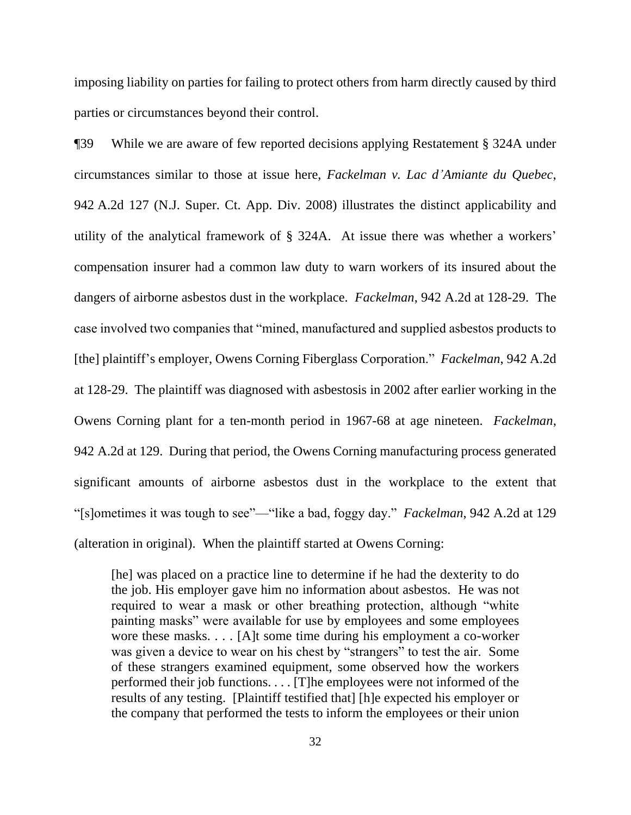imposing liability on parties for failing to protect others from harm directly caused by third parties or circumstances beyond their control.

¶39 While we are aware of few reported decisions applying Restatement § 324A under circumstances similar to those at issue here, *Fackelman v. Lac d'Amiante du Quebec*, 942 A.2d 127 (N.J. Super. Ct. App. Div. 2008) illustrates the distinct applicability and utility of the analytical framework of § 324A. At issue there was whether a workers' compensation insurer had a common law duty to warn workers of its insured about the dangers of airborne asbestos dust in the workplace. *Fackelman*, 942 A.2d at 128-29. The case involved two companies that "mined, manufactured and supplied asbestos products to [the] plaintiff's employer, Owens Corning Fiberglass Corporation." *Fackelman*, 942 A.2d at 128-29. The plaintiff was diagnosed with asbestosis in 2002 after earlier working in the Owens Corning plant for a ten-month period in 1967-68 at age nineteen. *Fackelman*, 942 A.2d at 129. During that period, the Owens Corning manufacturing process generated significant amounts of airborne asbestos dust in the workplace to the extent that "[s]ometimes it was tough to see"—"like a bad, foggy day." *Fackelman*, 942 A.2d at 129 (alteration in original). When the plaintiff started at Owens Corning:

[he] was placed on a practice line to determine if he had the dexterity to do the job. His employer gave him no information about asbestos. He was not required to wear a mask or other breathing protection, although "white painting masks" were available for use by employees and some employees wore these masks. . . . [A]t some time during his employment a co-worker was given a device to wear on his chest by "strangers" to test the air. Some of these strangers examined equipment, some observed how the workers performed their job functions. . . . [T]he employees were not informed of the results of any testing. [Plaintiff testified that] [h]e expected his employer or the company that performed the tests to inform the employees or their union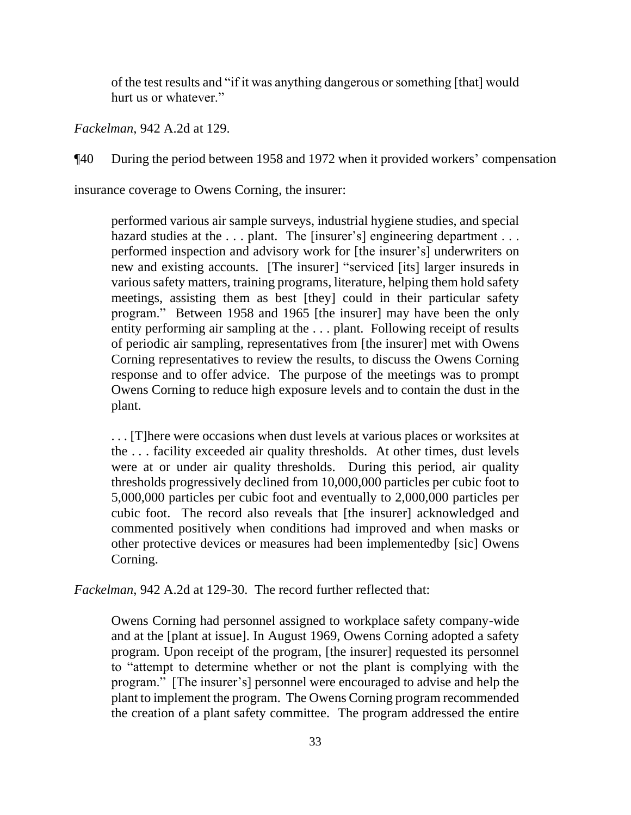of the test results and "if it was anything dangerous or something [that] would hurt us or whatever."

*Fackelman*, 942 A.2d at 129.

¶40 During the period between 1958 and 1972 when it provided workers' compensation

insurance coverage to Owens Corning, the insurer:

performed various air sample surveys, industrial hygiene studies, and special hazard studies at the ... plant. The [insurer's] engineering department ... performed inspection and advisory work for [the insurer's] underwriters on new and existing accounts. [The insurer] "serviced [its] larger insureds in various safety matters, training programs, literature, helping them hold safety meetings, assisting them as best [they] could in their particular safety program." Between 1958 and 1965 [the insurer] may have been the only entity performing air sampling at the . . . plant. Following receipt of results of periodic air sampling, representatives from [the insurer] met with Owens Corning representatives to review the results, to discuss the Owens Corning response and to offer advice. The purpose of the meetings was to prompt Owens Corning to reduce high exposure levels and to contain the dust in the plant.

. . . [T]here were occasions when dust levels at various places or worksites at the . . . facility exceeded air quality thresholds. At other times, dust levels were at or under air quality thresholds. During this period, air quality thresholds progressively declined from 10,000,000 particles per cubic foot to 5,000,000 particles per cubic foot and eventually to 2,000,000 particles per cubic foot. The record also reveals that [the insurer] acknowledged and commented positively when conditions had improved and when masks or other protective devices or measures had been implementedby [sic] Owens Corning.

*Fackelman*, 942 A.2d at 129-30. The record further reflected that:

Owens Corning had personnel assigned to workplace safety company-wide and at the [plant at issue]. In August 1969, Owens Corning adopted a safety program. Upon receipt of the program, [the insurer] requested its personnel to "attempt to determine whether or not the plant is complying with the program." [The insurer's] personnel were encouraged to advise and help the plant to implement the program. The Owens Corning program recommended the creation of a plant safety committee. The program addressed the entire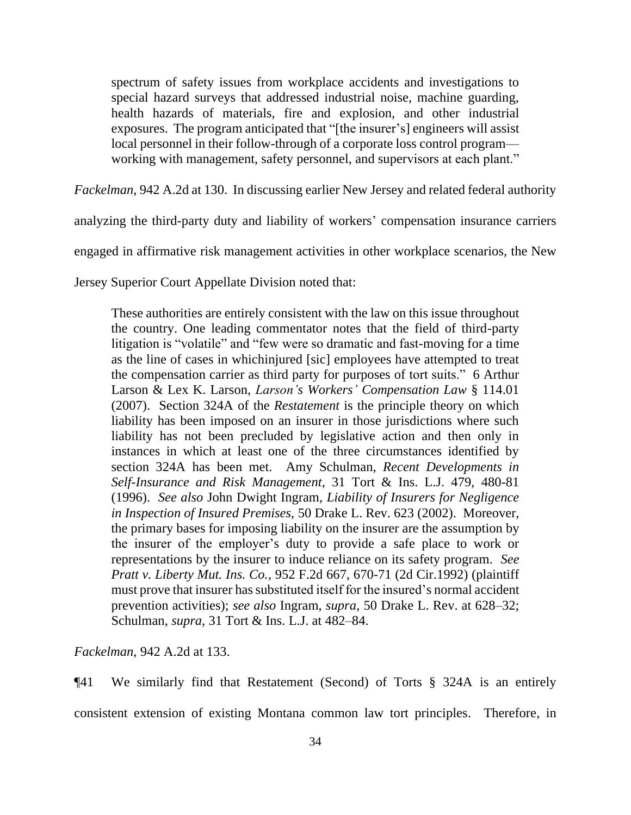spectrum of safety issues from workplace accidents and investigations to special hazard surveys that addressed industrial noise, machine guarding, health hazards of materials, fire and explosion, and other industrial exposures. The program anticipated that "[the insurer's] engineers will assist local personnel in their follow-through of a corporate loss control program working with management, safety personnel, and supervisors at each plant."

*Fackelman*, 942 A.2d at 130. In discussing earlier New Jersey and related federal authority

analyzing the third-party duty and liability of workers' compensation insurance carriers

engaged in affirmative risk management activities in other workplace scenarios, the New

Jersey Superior Court Appellate Division noted that:

These authorities are entirely consistent with the law on this issue throughout the country. One leading commentator notes that the field of third-party litigation is "volatile" and "few were so dramatic and fast-moving for a time as the line of cases in whichinjured [sic] employees have attempted to treat the compensation carrier as third party for purposes of tort suits." 6 Arthur Larson & Lex K. Larson, *Larson's Workers' Compensation Law* § 114.01 (2007). Section 324A of the *Restatement* is the principle theory on which liability has been imposed on an insurer in those jurisdictions where such liability has not been precluded by legislative action and then only in instances in which at least one of the three circumstances identified by section 324A has been met. Amy Schulman, *Recent Developments in Self-Insurance and Risk Management*, 31 Tort & Ins. L.J. 479, 480-81 (1996). *See also* John Dwight Ingram, *Liability of Insurers for Negligence in Inspection of Insured Premises,* 50 Drake L. Rev. 623 (2002). Moreover, the primary bases for imposing liability on the insurer are the assumption by the insurer of the employer's duty to provide a safe place to work or representations by the insurer to induce reliance on its safety program. *See Pratt v. Liberty Mut. Ins. Co.*, 952 F.2d 667, 670-71 (2d Cir.1992) (plaintiff must prove that insurer has substituted itself for the insured's normal accident prevention activities); *see also* Ingram, *supra*, 50 Drake L. Rev. at 628–32; Schulman, *supra*, 31 Tort & Ins. L.J. at 482–84.

*Fackelman*, 942 A.2d at 133.

¶41 We similarly find that Restatement (Second) of Torts § 324A is an entirely consistent extension of existing Montana common law tort principles. Therefore, in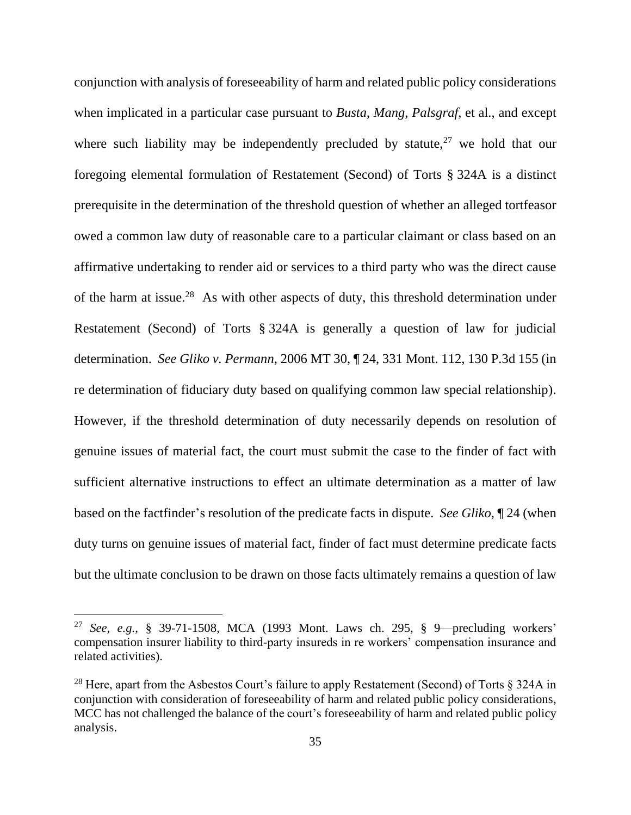conjunction with analysis of foreseeability of harm and related public policy considerations when implicated in a particular case pursuant to *Busta*, *Mang*, *Palsgraf*, et al., and except where such liability may be independently precluded by statute,  $27$  we hold that our foregoing elemental formulation of Restatement (Second) of Torts § 324A is a distinct prerequisite in the determination of the threshold question of whether an alleged tortfeasor owed a common law duty of reasonable care to a particular claimant or class based on an affirmative undertaking to render aid or services to a third party who was the direct cause of the harm at issue.<sup>28</sup> As with other aspects of duty, this threshold determination under Restatement (Second) of Torts § 324A is generally a question of law for judicial determination. *See Gliko v. Permann*, 2006 MT 30, ¶ 24, 331 Mont. 112, 130 P.3d 155 (in re determination of fiduciary duty based on qualifying common law special relationship). However, if the threshold determination of duty necessarily depends on resolution of genuine issues of material fact, the court must submit the case to the finder of fact with sufficient alternative instructions to effect an ultimate determination as a matter of law based on the factfinder's resolution of the predicate facts in dispute. *See Gliko*, ¶ 24 (when duty turns on genuine issues of material fact, finder of fact must determine predicate facts but the ultimate conclusion to be drawn on those facts ultimately remains a question of law

<sup>27</sup> *See, e.g.*, § 39-71-1508, MCA (1993 Mont. Laws ch. 295, § 9—precluding workers' compensation insurer liability to third-party insureds in re workers' compensation insurance and related activities).

<sup>&</sup>lt;sup>28</sup> Here, apart from the Asbestos Court's failure to apply Restatement (Second) of Torts  $\S$  324A in conjunction with consideration of foreseeability of harm and related public policy considerations, MCC has not challenged the balance of the court's foreseeability of harm and related public policy analysis.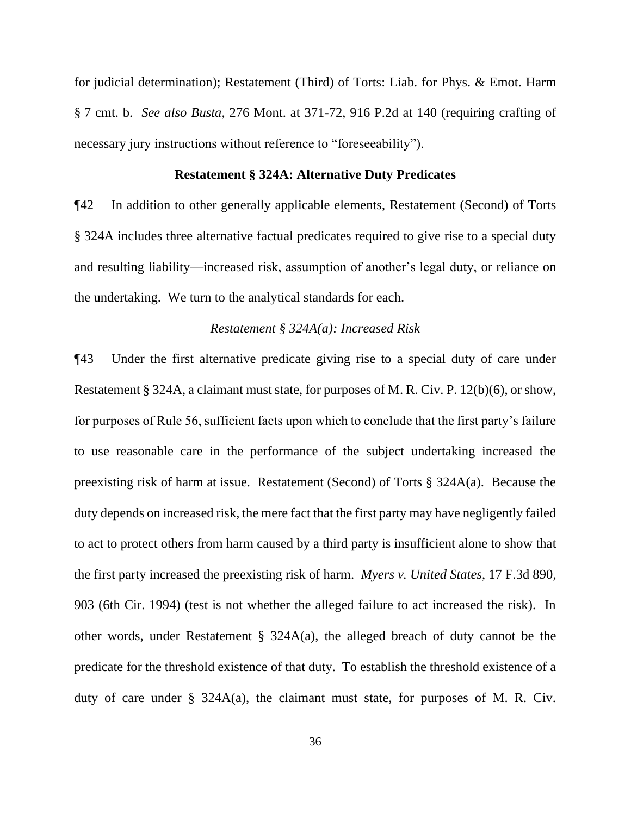for judicial determination); Restatement (Third) of Torts: Liab. for Phys. & Emot. Harm § 7 cmt. b. *See also Busta*, 276 Mont. at 371-72, 916 P.2d at 140 (requiring crafting of necessary jury instructions without reference to "foreseeability").

#### **Restatement § 324A: Alternative Duty Predicates**

¶42 In addition to other generally applicable elements, Restatement (Second) of Torts § 324A includes three alternative factual predicates required to give rise to a special duty and resulting liability—increased risk, assumption of another's legal duty, or reliance on the undertaking. We turn to the analytical standards for each.

# *Restatement § 324A(a): Increased Risk*

¶43 Under the first alternative predicate giving rise to a special duty of care under Restatement § 324A, a claimant must state, for purposes of M. R. Civ. P. 12(b)(6), or show, for purposes of Rule 56, sufficient facts upon which to conclude that the first party's failure to use reasonable care in the performance of the subject undertaking increased the preexisting risk of harm at issue. Restatement (Second) of Torts § 324A(a). Because the duty depends on increased risk, the mere fact that the first party may have negligently failed to act to protect others from harm caused by a third party is insufficient alone to show that the first party increased the preexisting risk of harm. *Myers v. United States*, 17 F.3d 890, 903 (6th Cir. 1994) (test is not whether the alleged failure to act increased the risk). In other words, under Restatement § 324A(a), the alleged breach of duty cannot be the predicate for the threshold existence of that duty. To establish the threshold existence of a duty of care under  $\S$  324A(a), the claimant must state, for purposes of M. R. Civ.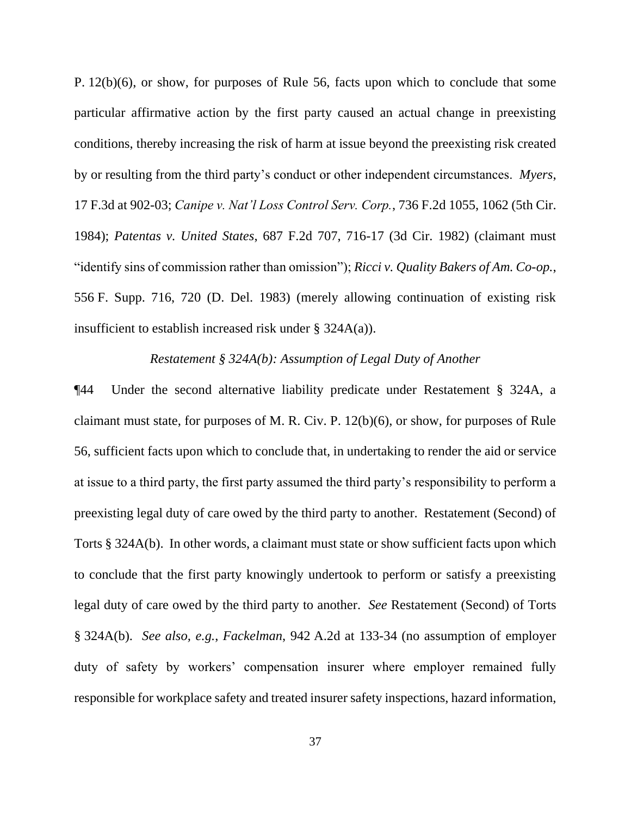P. 12(b)(6), or show, for purposes of Rule 56, facts upon which to conclude that some particular affirmative action by the first party caused an actual change in preexisting conditions, thereby increasing the risk of harm at issue beyond the preexisting risk created by or resulting from the third party's conduct or other independent circumstances. *Myers*, 17 F.3d at 902-03; *Canipe v. Nat'l Loss Control Serv. Corp.*, 736 F.2d 1055, 1062 (5th Cir. 1984); *Patentas v. United States*, 687 F.2d 707, 716-17 (3d Cir. 1982) (claimant must "identify sins of commission rather than omission"); *Ricci v. Quality Bakers of Am. Co-op.*, 556 F. Supp. 716, 720 (D. Del. 1983) (merely allowing continuation of existing risk insufficient to establish increased risk under § 324A(a)).

### *Restatement § 324A(b): Assumption of Legal Duty of Another*

¶44 Under the second alternative liability predicate under Restatement § 324A, a claimant must state, for purposes of M. R. Civ. P. 12(b)(6), or show, for purposes of Rule 56, sufficient facts upon which to conclude that, in undertaking to render the aid or service at issue to a third party, the first party assumed the third party's responsibility to perform a preexisting legal duty of care owed by the third party to another. Restatement (Second) of Torts § 324A(b). In other words, a claimant must state or show sufficient facts upon which to conclude that the first party knowingly undertook to perform or satisfy a preexisting legal duty of care owed by the third party to another. *See* Restatement (Second) of Torts § 324A(b). *See also, e.g.*, *Fackelman*, 942 A.2d at 133-34 (no assumption of employer duty of safety by workers' compensation insurer where employer remained fully responsible for workplace safety and treated insurer safety inspections, hazard information,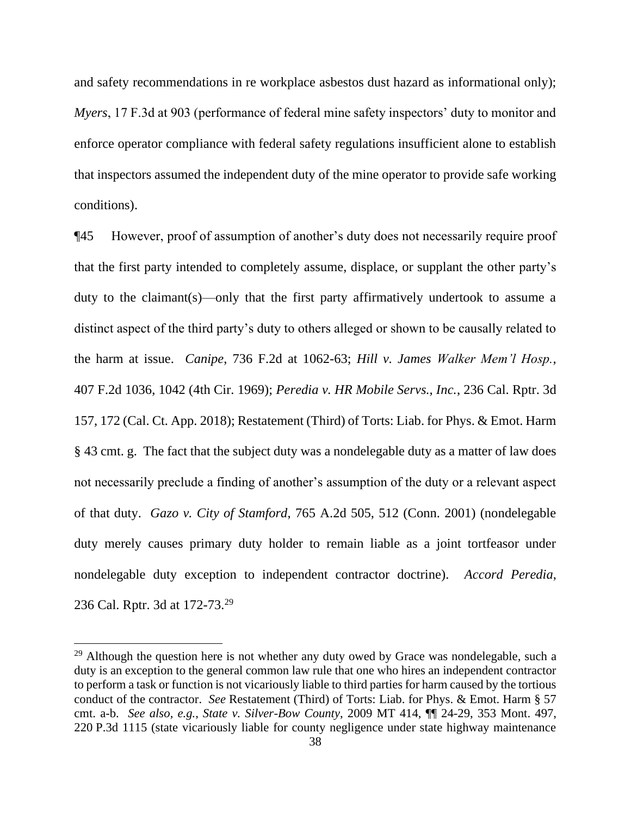and safety recommendations in re workplace asbestos dust hazard as informational only); *Myers*, 17 F.3d at 903 (performance of federal mine safety inspectors' duty to monitor and enforce operator compliance with federal safety regulations insufficient alone to establish that inspectors assumed the independent duty of the mine operator to provide safe working conditions).

¶45 However, proof of assumption of another's duty does not necessarily require proof that the first party intended to completely assume, displace, or supplant the other party's duty to the claimant(s)—only that the first party affirmatively undertook to assume a distinct aspect of the third party's duty to others alleged or shown to be causally related to the harm at issue. *Canipe*, 736 F.2d at 1062-63; *Hill v. James Walker Mem'l Hosp.*, 407 F.2d 1036, 1042 (4th Cir. 1969); *Peredia v. HR Mobile Servs., Inc.*, 236 Cal. Rptr. 3d 157, 172 (Cal. Ct. App. 2018); Restatement (Third) of Torts: Liab. for Phys. & Emot. Harm § 43 cmt. g. The fact that the subject duty was a nondelegable duty as a matter of law does not necessarily preclude a finding of another's assumption of the duty or a relevant aspect of that duty. *Gazo v. City of Stamford*, 765 A.2d 505, 512 (Conn. 2001) (nondelegable duty merely causes primary duty holder to remain liable as a joint tortfeasor under nondelegable duty exception to independent contractor doctrine). *Accord Peredia*, 236 Cal. Rptr. 3d at 172-73.<sup>29</sup>

 $29$  Although the question here is not whether any duty owed by Grace was nondelegable, such a duty is an exception to the general common law rule that one who hires an independent contractor to perform a task or function is not vicariously liable to third parties for harm caused by the tortious conduct of the contractor. *See* Restatement (Third) of Torts: Liab. for Phys. & Emot. Harm § 57 cmt. a-b. *See also, e.g.*, *State v. Silver-Bow County*, 2009 MT 414, ¶¶ 24-29, 353 Mont. 497, 220 P.3d 1115 (state vicariously liable for county negligence under state highway maintenance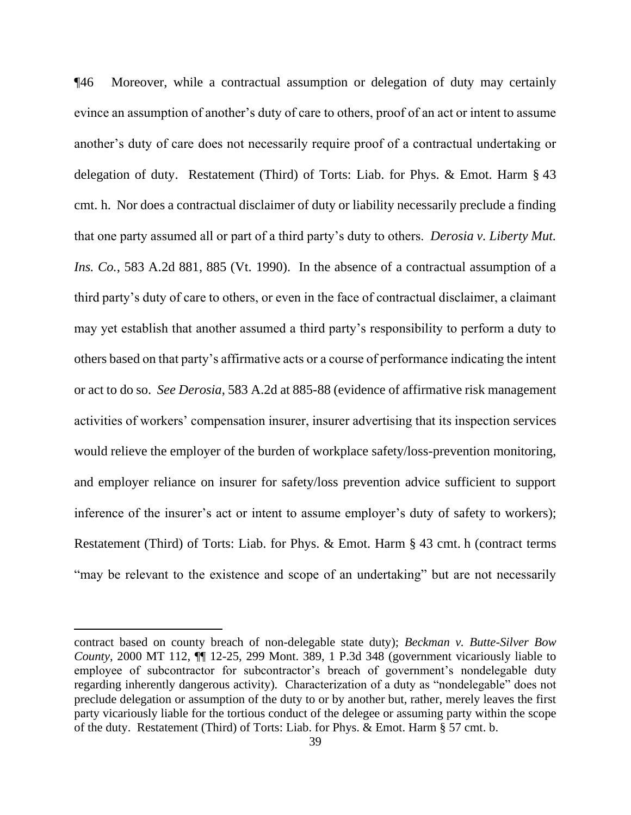¶46 Moreover, while a contractual assumption or delegation of duty may certainly evince an assumption of another's duty of care to others, proof of an act or intent to assume another's duty of care does not necessarily require proof of a contractual undertaking or delegation of duty. Restatement (Third) of Torts: Liab. for Phys. & Emot. Harm § 43 cmt. h. Nor does a contractual disclaimer of duty or liability necessarily preclude a finding that one party assumed all or part of a third party's duty to others. *Derosia v. Liberty Mut. Ins. Co.*, 583 A.2d 881, 885 (Vt. 1990). In the absence of a contractual assumption of a third party's duty of care to others, or even in the face of contractual disclaimer, a claimant may yet establish that another assumed a third party's responsibility to perform a duty to others based on that party's affirmative acts or a course of performance indicating the intent or act to do so. *See Derosia*, 583 A.2d at 885-88 (evidence of affirmative risk management activities of workers' compensation insurer, insurer advertising that its inspection services would relieve the employer of the burden of workplace safety/loss-prevention monitoring, and employer reliance on insurer for safety/loss prevention advice sufficient to support inference of the insurer's act or intent to assume employer's duty of safety to workers); Restatement (Third) of Torts: Liab. for Phys. & Emot. Harm § 43 cmt. h (contract terms "may be relevant to the existence and scope of an undertaking" but are not necessarily

contract based on county breach of non-delegable state duty); *Beckman v. Butte-Silver Bow County*, 2000 MT 112, ¶¶ 12-25, 299 Mont. 389, 1 P.3d 348 (government vicariously liable to employee of subcontractor for subcontractor's breach of government's nondelegable duty regarding inherently dangerous activity)*.* Characterization of a duty as "nondelegable" does not preclude delegation or assumption of the duty to or by another but, rather, merely leaves the first party vicariously liable for the tortious conduct of the delegee or assuming party within the scope of the duty. Restatement (Third) of Torts: Liab. for Phys. & Emot. Harm § 57 cmt. b.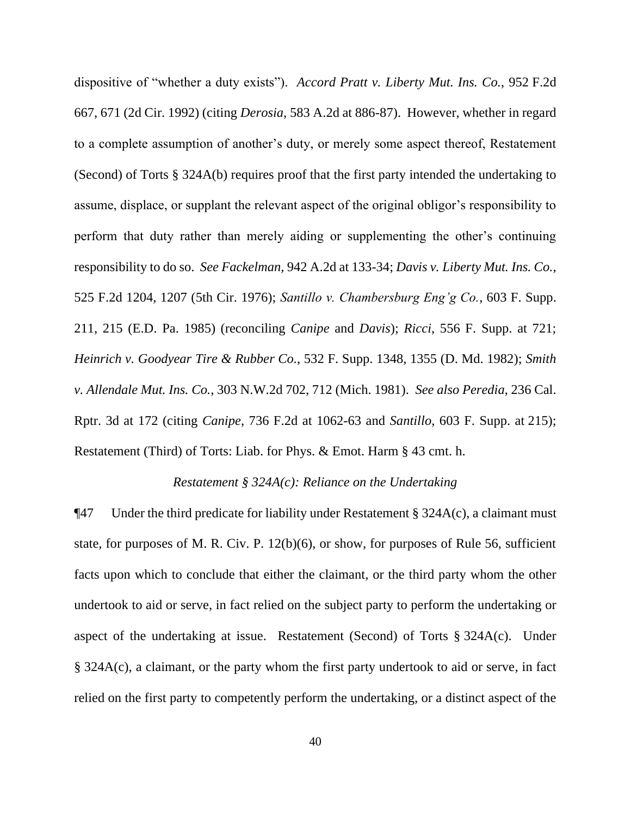dispositive of "whether a duty exists"). *Accord Pratt v. Liberty Mut. Ins. Co.*, 952 F.2d 667, 671 (2d Cir. 1992) (citing *Derosia*, 583 A.2d at 886-87). However, whether in regard to a complete assumption of another's duty, or merely some aspect thereof, Restatement (Second) of Torts § 324A(b) requires proof that the first party intended the undertaking to assume, displace, or supplant the relevant aspect of the original obligor's responsibility to perform that duty rather than merely aiding or supplementing the other's continuing responsibility to do so. *See Fackelman*, 942 A.2d at 133-34; *Davis v. Liberty Mut. Ins. Co.*, 525 F.2d 1204, 1207 (5th Cir. 1976); *Santillo v. Chambersburg Eng'g Co.*, 603 F. Supp. 211, 215 (E.D. Pa. 1985) (reconciling *Canipe* and *Davis*); *Ricci*, 556 F. Supp. at 721; *Heinrich v. Goodyear Tire & Rubber Co.*, 532 F. Supp. 1348, 1355 (D. Md. 1982); *Smith v. Allendale Mut. Ins. Co.*, 303 N.W.2d 702, 712 (Mich. 1981). *See also Peredia*, 236 Cal. Rptr. 3d at 172 (citing *Canipe*, 736 F.2d at 1062-63 and *Santillo*, 603 F. Supp. at 215); Restatement (Third) of Torts: Liab. for Phys. & Emot. Harm § 43 cmt. h.

### *Restatement § 324A(c): Reliance on the Undertaking*

 $\P$ 47 Under the third predicate for liability under Restatement § 324A(c), a claimant must state, for purposes of M. R. Civ. P. 12(b)(6), or show, for purposes of Rule 56, sufficient facts upon which to conclude that either the claimant, or the third party whom the other undertook to aid or serve, in fact relied on the subject party to perform the undertaking or aspect of the undertaking at issue. Restatement (Second) of Torts § 324A(c). Under § 324A(c), a claimant, or the party whom the first party undertook to aid or serve, in fact relied on the first party to competently perform the undertaking, or a distinct aspect of the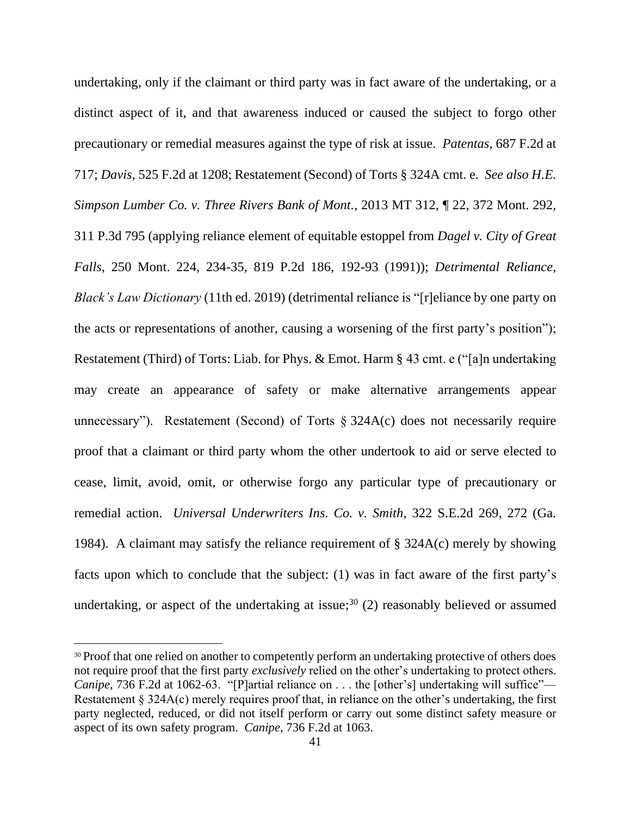undertaking, only if the claimant or third party was in fact aware of the undertaking, or a distinct aspect of it, and that awareness induced or caused the subject to forgo other precautionary or remedial measures against the type of risk at issue. *Patentas*, 687 F.2d at 717; *Davis*, 525 F.2d at 1208; Restatement (Second) of Torts § 324A cmt. e. *See also H.E. Simpson Lumber Co. v. Three Rivers Bank of Mont.*, 2013 MT 312, ¶ 22, 372 Mont. 292, 311 P.3d 795 (applying reliance element of equitable estoppel from *Dagel v. City of Great Falls*, 250 Mont. 224, 234-35, 819 P.2d 186, 192-93 (1991)); *Detrimental Reliance*, *Black's Law Dictionary* (11th ed. 2019) (detrimental reliance is "[r]eliance by one party on the acts or representations of another, causing a worsening of the first party's position"); Restatement (Third) of Torts: Liab. for Phys. & Emot. Harm § 43 cmt. e ("[a]n undertaking may create an appearance of safety or make alternative arrangements appear unnecessary"). Restatement (Second) of Torts  $\S$  324A(c) does not necessarily require proof that a claimant or third party whom the other undertook to aid or serve elected to cease, limit, avoid, omit, or otherwise forgo any particular type of precautionary or remedial action. *Universal Underwriters Ins. Co. v. Smith*, 322 S.E.2d 269, 272 (Ga. 1984). A claimant may satisfy the reliance requirement of § 324A(c) merely by showing facts upon which to conclude that the subject: (1) was in fact aware of the first party's undertaking, or aspect of the undertaking at issue;<sup>30</sup> (2) reasonably believed or assumed

<sup>&</sup>lt;sup>30</sup> Proof that one relied on another to competently perform an undertaking protective of others does not require proof that the first party *exclusively* relied on the other's undertaking to protect others. *Canipe*, 736 F.2d at 1062-63. "[P]artial reliance on . . . the [other's] undertaking will suffice"— Restatement § 324A(c) merely requires proof that, in reliance on the other's undertaking, the first party neglected, reduced, or did not itself perform or carry out some distinct safety measure or aspect of its own safety program. *Canipe*, 736 F.2d at 1063.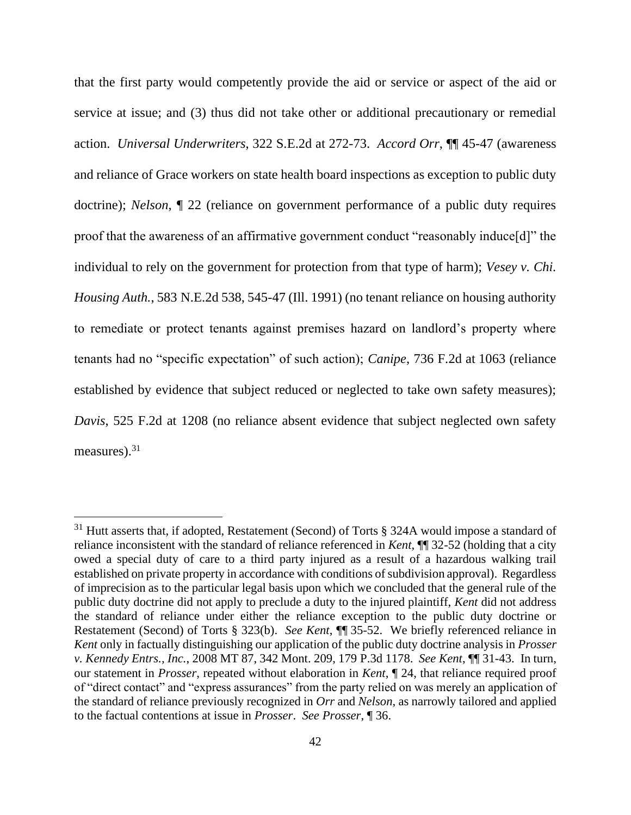that the first party would competently provide the aid or service or aspect of the aid or service at issue; and (3) thus did not take other or additional precautionary or remedial action. *Universal Underwriters*, 322 S.E.2d at 272-73. *Accord Orr*, ¶¶ 45-47 (awareness and reliance of Grace workers on state health board inspections as exception to public duty doctrine); *Nelson*, ¶ 22 (reliance on government performance of a public duty requires proof that the awareness of an affirmative government conduct "reasonably induce[d]" the individual to rely on the government for protection from that type of harm); *Vesey v. Chi. Housing Auth.*, 583 N.E.2d 538, 545-47 (Ill. 1991) (no tenant reliance on housing authority to remediate or protect tenants against premises hazard on landlord's property where tenants had no "specific expectation" of such action); *Canipe*, 736 F.2d at 1063 (reliance established by evidence that subject reduced or neglected to take own safety measures); *Davis*, 525 F.2d at 1208 (no reliance absent evidence that subject neglected own safety measures).<sup>31</sup>

<sup>&</sup>lt;sup>31</sup> Hutt asserts that, if adopted, Restatement (Second) of Torts § 324A would impose a standard of reliance inconsistent with the standard of reliance referenced in *Kent*, ¶¶ 32-52 (holding that a city owed a special duty of care to a third party injured as a result of a hazardous walking trail established on private property in accordance with conditions of subdivision approval). Regardless of imprecision as to the particular legal basis upon which we concluded that the general rule of the public duty doctrine did not apply to preclude a duty to the injured plaintiff, *Kent* did not address the standard of reliance under either the reliance exception to the public duty doctrine or Restatement (Second) of Torts § 323(b). *See Kent*, ¶¶ 35-52. We briefly referenced reliance in *Kent* only in factually distinguishing our application of the public duty doctrine analysis in *Prosser v. Kennedy Entrs., Inc.*, 2008 MT 87, 342 Mont. 209, 179 P.3d 1178. *See Kent*, ¶¶ 31-43. In turn, our statement in *Prosser*, repeated without elaboration in *Kent*, ¶ 24, that reliance required proof of "direct contact" and "express assurances" from the party relied on was merely an application of the standard of reliance previously recognized in *Orr* and *Nelson*, as narrowly tailored and applied to the factual contentions at issue in *Prosser*. *See Prosser*, ¶ 36.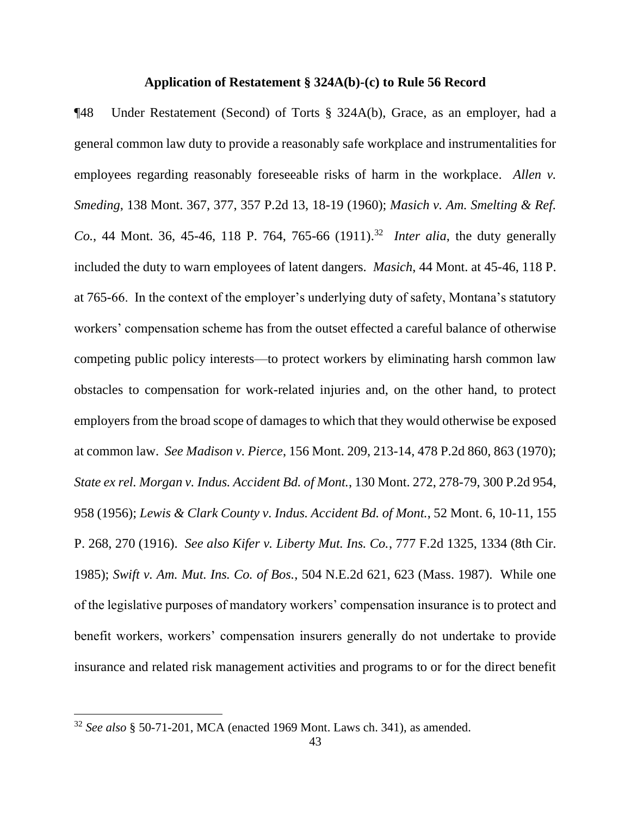#### **Application of Restatement § 324A(b)-(c) to Rule 56 Record**

¶48 Under Restatement (Second) of Torts § 324A(b), Grace, as an employer, had a general common law duty to provide a reasonably safe workplace and instrumentalities for employees regarding reasonably foreseeable risks of harm in the workplace. *Allen v. Smeding*, 138 Mont. 367, 377, 357 P.2d 13, 18-19 (1960); *Masich v. Am. Smelting & Ref. Co.*, 44 Mont. 36, 45-46, 118 P. 764, 765-66 (1911).<sup>32</sup> *Inter alia*, the duty generally included the duty to warn employees of latent dangers. *Masich*, 44 Mont. at 45-46, 118 P. at 765-66. In the context of the employer's underlying duty of safety, Montana's statutory workers' compensation scheme has from the outset effected a careful balance of otherwise competing public policy interests—to protect workers by eliminating harsh common law obstacles to compensation for work-related injuries and, on the other hand, to protect employers from the broad scope of damages to which that they would otherwise be exposed at common law. *See Madison v. Pierce*, 156 Mont. 209, 213-14, 478 P.2d 860, 863 (1970); *State ex rel. Morgan v. Indus. Accident Bd. of Mont.*, 130 Mont. 272, 278-79, 300 P.2d 954, 958 (1956); *Lewis & Clark County v. Indus. Accident Bd. of Mont.*, 52 Mont. 6, 10-11, 155 P. 268, 270 (1916). *See also Kifer v. Liberty Mut. Ins. Co.*, 777 F.2d 1325, 1334 (8th Cir. 1985); *Swift v. Am. Mut. Ins. Co. of Bos.*, 504 N.E.2d 621, 623 (Mass. 1987). While one of the legislative purposes of mandatory workers' compensation insurance is to protect and benefit workers, workers' compensation insurers generally do not undertake to provide insurance and related risk management activities and programs to or for the direct benefit

<sup>32</sup> *See also* § 50-71-201, MCA (enacted 1969 Mont. Laws ch. 341), as amended.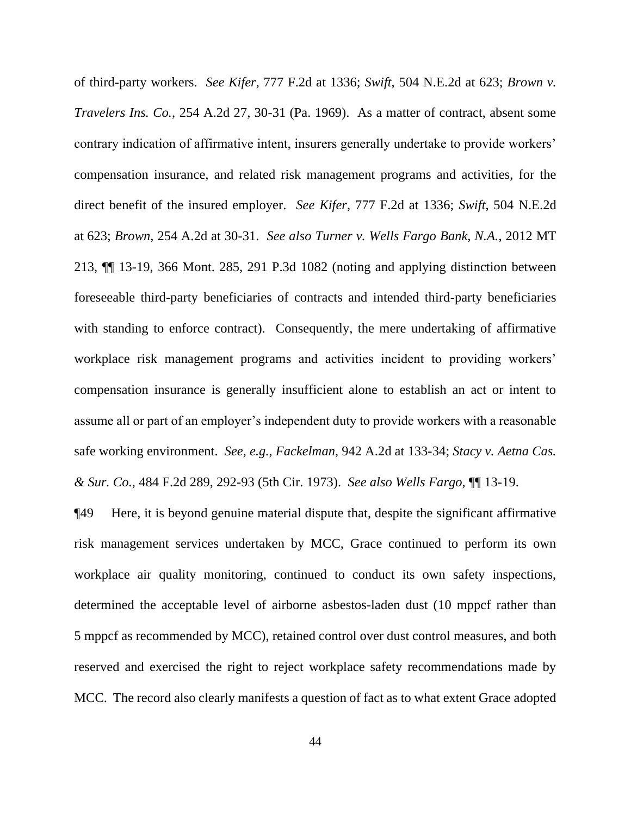of third-party workers. *See Kifer*, 777 F.2d at 1336; *Swift*, 504 N.E.2d at 623; *Brown v. Travelers Ins. Co.*, 254 A.2d 27, 30-31 (Pa. 1969). As a matter of contract, absent some contrary indication of affirmative intent, insurers generally undertake to provide workers' compensation insurance, and related risk management programs and activities, for the direct benefit of the insured employer. *See Kifer*, 777 F.2d at 1336; *Swift*, 504 N.E.2d at 623; *Brown*, 254 A.2d at 30-31. *See also Turner v. Wells Fargo Bank, N.A.*, 2012 MT 213, ¶¶ 13-19, 366 Mont. 285, 291 P.3d 1082 (noting and applying distinction between foreseeable third-party beneficiaries of contracts and intended third-party beneficiaries with standing to enforce contract). Consequently, the mere undertaking of affirmative workplace risk management programs and activities incident to providing workers' compensation insurance is generally insufficient alone to establish an act or intent to assume all or part of an employer's independent duty to provide workers with a reasonable safe working environment. *See, e.g.*, *Fackelman*, 942 A.2d at 133-34; *Stacy v. Aetna Cas. & Sur. Co.*, 484 F.2d 289, 292-93 (5th Cir. 1973). *See also Wells Fargo*, ¶¶ 13-19.

¶49 Here, it is beyond genuine material dispute that, despite the significant affirmative risk management services undertaken by MCC, Grace continued to perform its own workplace air quality monitoring, continued to conduct its own safety inspections, determined the acceptable level of airborne asbestos-laden dust (10 mppcf rather than 5 mppcf as recommended by MCC), retained control over dust control measures, and both reserved and exercised the right to reject workplace safety recommendations made by MCC. The record also clearly manifests a question of fact as to what extent Grace adopted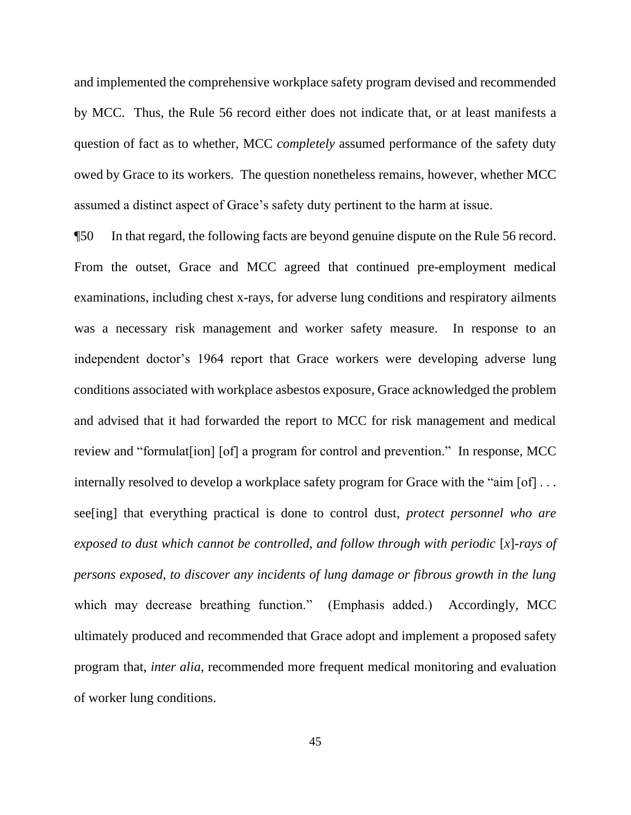and implemented the comprehensive workplace safety program devised and recommended by MCC. Thus, the Rule 56 record either does not indicate that, or at least manifests a question of fact as to whether, MCC *completely* assumed performance of the safety duty owed by Grace to its workers. The question nonetheless remains, however, whether MCC assumed a distinct aspect of Grace's safety duty pertinent to the harm at issue.

¶50 In that regard, the following facts are beyond genuine dispute on the Rule 56 record. From the outset, Grace and MCC agreed that continued pre-employment medical examinations, including chest x-rays, for adverse lung conditions and respiratory ailments was a necessary risk management and worker safety measure. In response to an independent doctor's 1964 report that Grace workers were developing adverse lung conditions associated with workplace asbestos exposure, Grace acknowledged the problem and advised that it had forwarded the report to MCC for risk management and medical review and "formulat[ion] [of] a program for control and prevention." In response, MCC internally resolved to develop a workplace safety program for Grace with the "aim [of] ... see[ing] that everything practical is done to control dust, *protect personnel who are exposed to dust which cannot be controlled, and follow through with periodic* [*x*]*-rays of persons exposed, to discover any incidents of lung damage or fibrous growth in the lung* which may decrease breathing function." (Emphasis added.) Accordingly, MCC ultimately produced and recommended that Grace adopt and implement a proposed safety program that, *inter alia*, recommended more frequent medical monitoring and evaluation of worker lung conditions.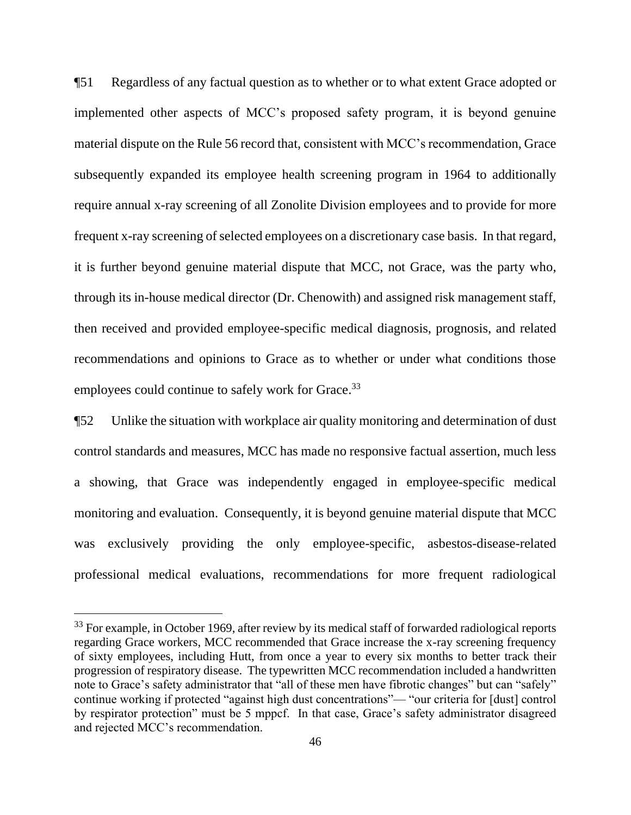¶51 Regardless of any factual question as to whether or to what extent Grace adopted or implemented other aspects of MCC's proposed safety program, it is beyond genuine material dispute on the Rule 56 record that, consistent with MCC's recommendation, Grace subsequently expanded its employee health screening program in 1964 to additionally require annual x-ray screening of all Zonolite Division employees and to provide for more frequent x-ray screening of selected employees on a discretionary case basis. In that regard, it is further beyond genuine material dispute that MCC, not Grace, was the party who, through its in-house medical director (Dr. Chenowith) and assigned risk management staff, then received and provided employee-specific medical diagnosis, prognosis, and related recommendations and opinions to Grace as to whether or under what conditions those employees could continue to safely work for Grace.<sup>33</sup>

¶52 Unlike the situation with workplace air quality monitoring and determination of dust control standards and measures, MCC has made no responsive factual assertion, much less a showing, that Grace was independently engaged in employee-specific medical monitoring and evaluation. Consequently, it is beyond genuine material dispute that MCC was exclusively providing the only employee-specific, asbestos-disease-related professional medical evaluations, recommendations for more frequent radiological

<sup>&</sup>lt;sup>33</sup> For example, in October 1969, after review by its medical staff of forwarded radiological reports regarding Grace workers, MCC recommended that Grace increase the x-ray screening frequency of sixty employees, including Hutt, from once a year to every six months to better track their progression of respiratory disease. The typewritten MCC recommendation included a handwritten note to Grace's safety administrator that "all of these men have fibrotic changes" but can "safely" continue working if protected "against high dust concentrations"— "our criteria for [dust] control by respirator protection" must be 5 mppcf. In that case, Grace's safety administrator disagreed and rejected MCC's recommendation.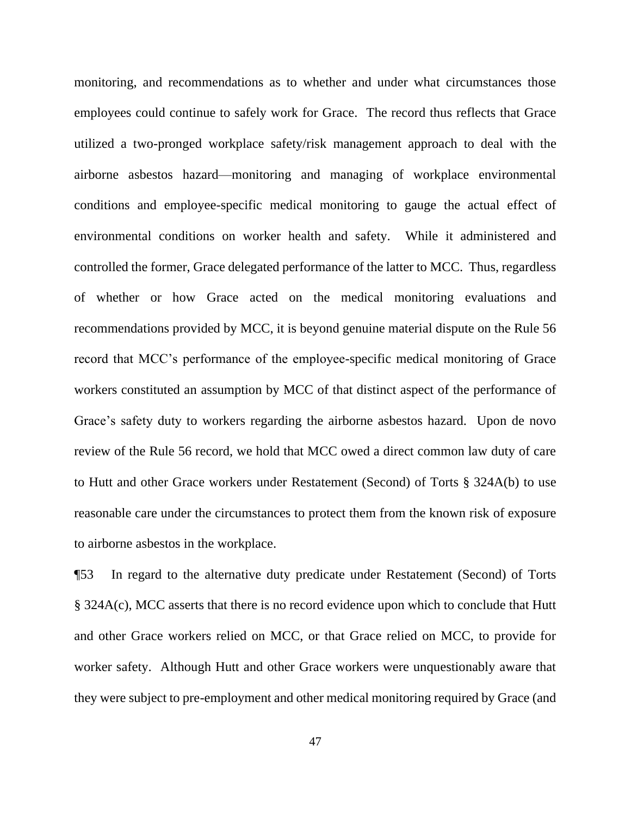monitoring, and recommendations as to whether and under what circumstances those employees could continue to safely work for Grace. The record thus reflects that Grace utilized a two-pronged workplace safety/risk management approach to deal with the airborne asbestos hazard—monitoring and managing of workplace environmental conditions and employee-specific medical monitoring to gauge the actual effect of environmental conditions on worker health and safety. While it administered and controlled the former, Grace delegated performance of the latter to MCC. Thus, regardless of whether or how Grace acted on the medical monitoring evaluations and recommendations provided by MCC, it is beyond genuine material dispute on the Rule 56 record that MCC's performance of the employee-specific medical monitoring of Grace workers constituted an assumption by MCC of that distinct aspect of the performance of Grace's safety duty to workers regarding the airborne asbestos hazard. Upon de novo review of the Rule 56 record, we hold that MCC owed a direct common law duty of care to Hutt and other Grace workers under Restatement (Second) of Torts § 324A(b) to use reasonable care under the circumstances to protect them from the known risk of exposure to airborne asbestos in the workplace.

¶53 In regard to the alternative duty predicate under Restatement (Second) of Torts § 324A(c), MCC asserts that there is no record evidence upon which to conclude that Hutt and other Grace workers relied on MCC, or that Grace relied on MCC, to provide for worker safety. Although Hutt and other Grace workers were unquestionably aware that they were subject to pre-employment and other medical monitoring required by Grace (and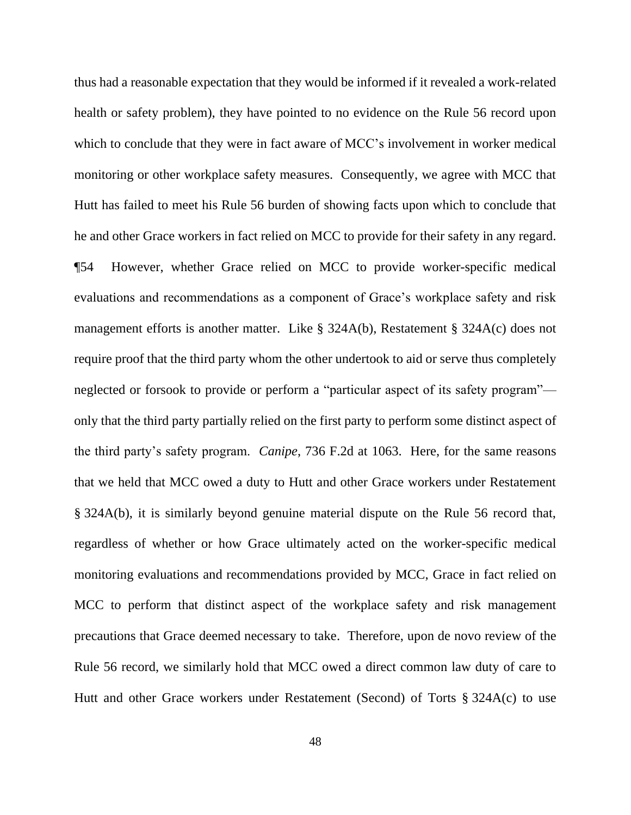thus had a reasonable expectation that they would be informed if it revealed a work-related health or safety problem), they have pointed to no evidence on the Rule 56 record upon which to conclude that they were in fact aware of MCC's involvement in worker medical monitoring or other workplace safety measures. Consequently, we agree with MCC that Hutt has failed to meet his Rule 56 burden of showing facts upon which to conclude that he and other Grace workers in fact relied on MCC to provide for their safety in any regard. ¶54 However, whether Grace relied on MCC to provide worker-specific medical evaluations and recommendations as a component of Grace's workplace safety and risk management efforts is another matter. Like § 324A(b), Restatement § 324A(c) does not require proof that the third party whom the other undertook to aid or serve thus completely neglected or forsook to provide or perform a "particular aspect of its safety program" only that the third party partially relied on the first party to perform some distinct aspect of the third party's safety program. *Canipe*, 736 F.2d at 1063. Here, for the same reasons that we held that MCC owed a duty to Hutt and other Grace workers under Restatement § 324A(b), it is similarly beyond genuine material dispute on the Rule 56 record that, regardless of whether or how Grace ultimately acted on the worker-specific medical monitoring evaluations and recommendations provided by MCC, Grace in fact relied on MCC to perform that distinct aspect of the workplace safety and risk management precautions that Grace deemed necessary to take. Therefore, upon de novo review of the Rule 56 record, we similarly hold that MCC owed a direct common law duty of care to Hutt and other Grace workers under Restatement (Second) of Torts § 324A(c) to use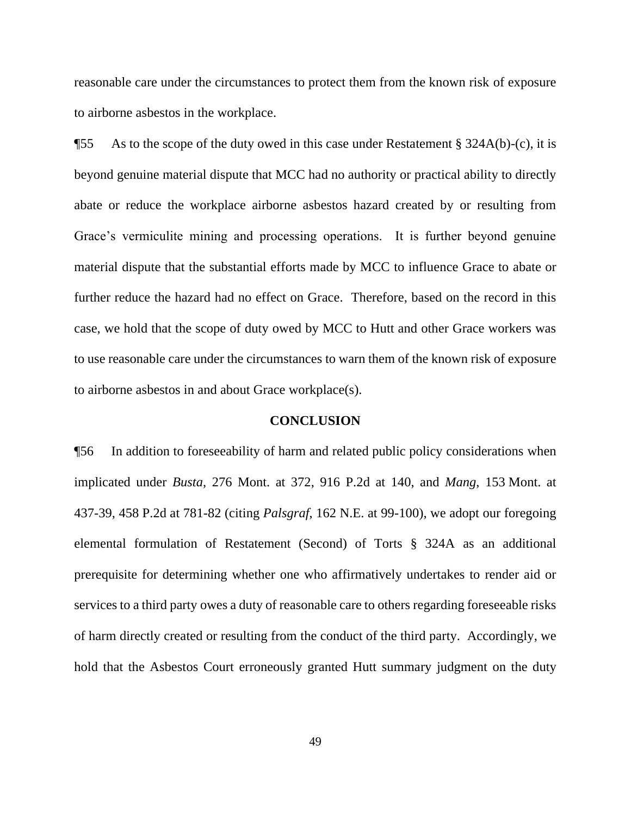reasonable care under the circumstances to protect them from the known risk of exposure to airborne asbestos in the workplace.

 $\text{I}$ 55 As to the scope of the duty owed in this case under Restatement § 324A(b)-(c), it is beyond genuine material dispute that MCC had no authority or practical ability to directly abate or reduce the workplace airborne asbestos hazard created by or resulting from Grace's vermiculite mining and processing operations. It is further beyond genuine material dispute that the substantial efforts made by MCC to influence Grace to abate or further reduce the hazard had no effect on Grace. Therefore, based on the record in this case, we hold that the scope of duty owed by MCC to Hutt and other Grace workers was to use reasonable care under the circumstances to warn them of the known risk of exposure to airborne asbestos in and about Grace workplace(s).

#### **CONCLUSION**

¶56 In addition to foreseeability of harm and related public policy considerations when implicated under *Busta*, 276 Mont. at 372, 916 P.2d at 140, and *Mang*, 153 Mont. at 437-39, 458 P.2d at 781-82 (citing *Palsgraf*, 162 N.E. at 99-100), we adopt our foregoing elemental formulation of Restatement (Second) of Torts § 324A as an additional prerequisite for determining whether one who affirmatively undertakes to render aid or services to a third party owes a duty of reasonable care to others regarding foreseeable risks of harm directly created or resulting from the conduct of the third party. Accordingly, we hold that the Asbestos Court erroneously granted Hutt summary judgment on the duty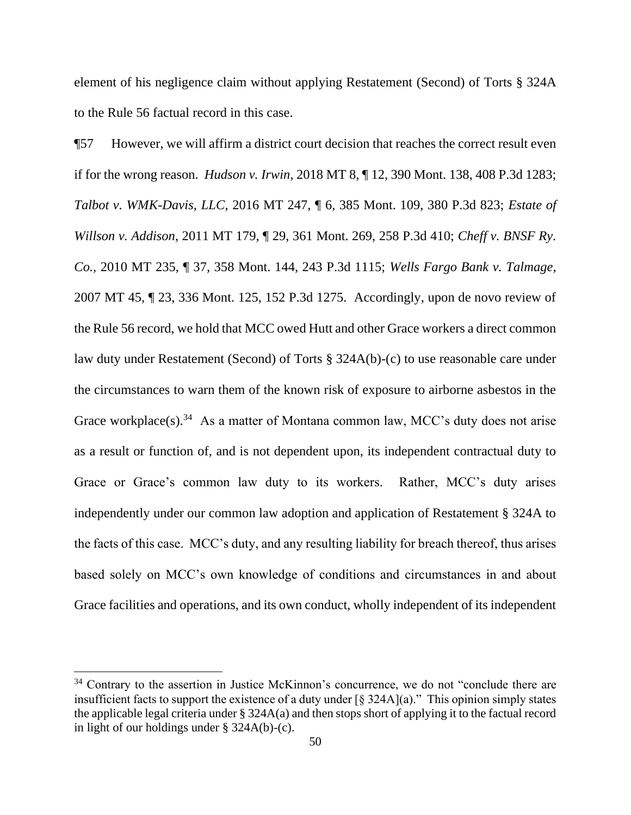element of his negligence claim without applying Restatement (Second) of Torts § 324A to the Rule 56 factual record in this case.

¶57 However, we will affirm a district court decision that reaches the correct result even if for the wrong reason. *Hudson v. Irwin*, 2018 MT 8, ¶ 12, 390 Mont. 138, 408 P.3d 1283; *Talbot v. WMK-Davis, LLC*, 2016 MT 247, ¶ 6, 385 Mont. 109, 380 P.3d 823; *Estate of Willson v. Addison*, 2011 MT 179, ¶ 29, 361 Mont. 269, 258 P.3d 410; *Cheff v. BNSF Ry. Co.*, 2010 MT 235, ¶ 37, 358 Mont. 144, 243 P.3d 1115; *Wells Fargo Bank v. Talmage,* 2007 MT 45, ¶ 23, 336 Mont. 125, 152 P.3d 1275. Accordingly, upon de novo review of the Rule 56 record, we hold that MCC owed Hutt and other Grace workers a direct common law duty under Restatement (Second) of Torts § 324A(b)-(c) to use reasonable care under the circumstances to warn them of the known risk of exposure to airborne asbestos in the Grace workplace(s).<sup>34</sup> As a matter of Montana common law, MCC's duty does not arise as a result or function of, and is not dependent upon, its independent contractual duty to Grace or Grace's common law duty to its workers. Rather, MCC's duty arises independently under our common law adoption and application of Restatement § 324A to the facts of this case. MCC's duty, and any resulting liability for breach thereof, thus arises based solely on MCC's own knowledge of conditions and circumstances in and about Grace facilities and operations, and its own conduct, wholly independent of its independent

<sup>&</sup>lt;sup>34</sup> Contrary to the assertion in Justice McKinnon's concurrence, we do not "conclude there are insufficient facts to support the existence of a duty under  $\lceil \frac{6}{5} \cdot 324A \rceil$  (a)." This opinion simply states the applicable legal criteria under § 324A(a) and then stops short of applying it to the factual record in light of our holdings under § 324A(b)-(c).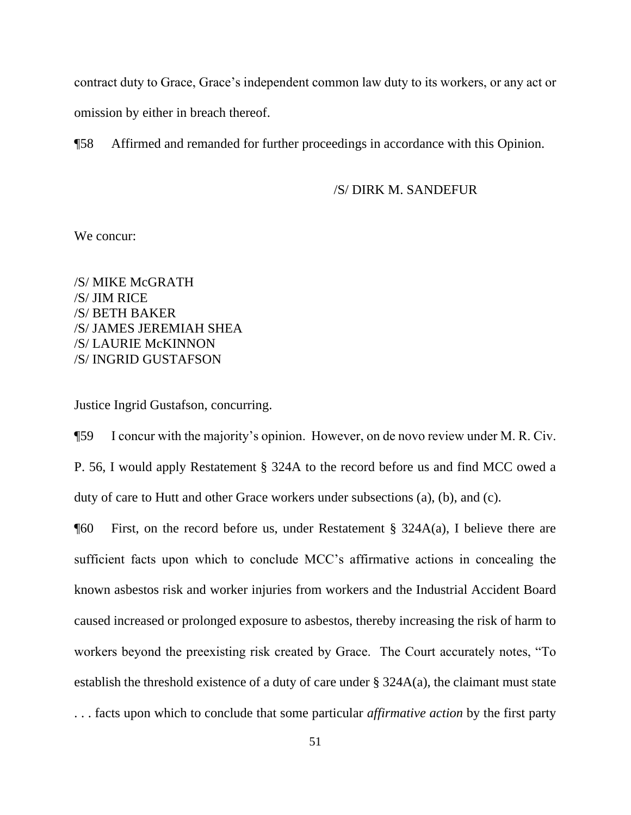contract duty to Grace, Grace's independent common law duty to its workers, or any act or omission by either in breach thereof.

¶58 Affirmed and remanded for further proceedings in accordance with this Opinion.

# /S/ DIRK M. SANDEFUR

We concur:

/S/ MIKE McGRATH /S/ JIM RICE /S/ BETH BAKER /S/ JAMES JEREMIAH SHEA /S/ LAURIE McKINNON /S/ INGRID GUSTAFSON

Justice Ingrid Gustafson, concurring.

¶59 I concur with the majority's opinion. However, on de novo review under M. R. Civ. P. 56, I would apply Restatement § 324A to the record before us and find MCC owed a duty of care to Hutt and other Grace workers under subsections (a), (b), and (c).

¶60 First, on the record before us, under Restatement § 324A(a), I believe there are sufficient facts upon which to conclude MCC's affirmative actions in concealing the known asbestos risk and worker injuries from workers and the Industrial Accident Board caused increased or prolonged exposure to asbestos, thereby increasing the risk of harm to workers beyond the preexisting risk created by Grace. The Court accurately notes, "To establish the threshold existence of a duty of care under  $\S$  324A(a), the claimant must state . . . facts upon which to conclude that some particular *affirmative action* by the first party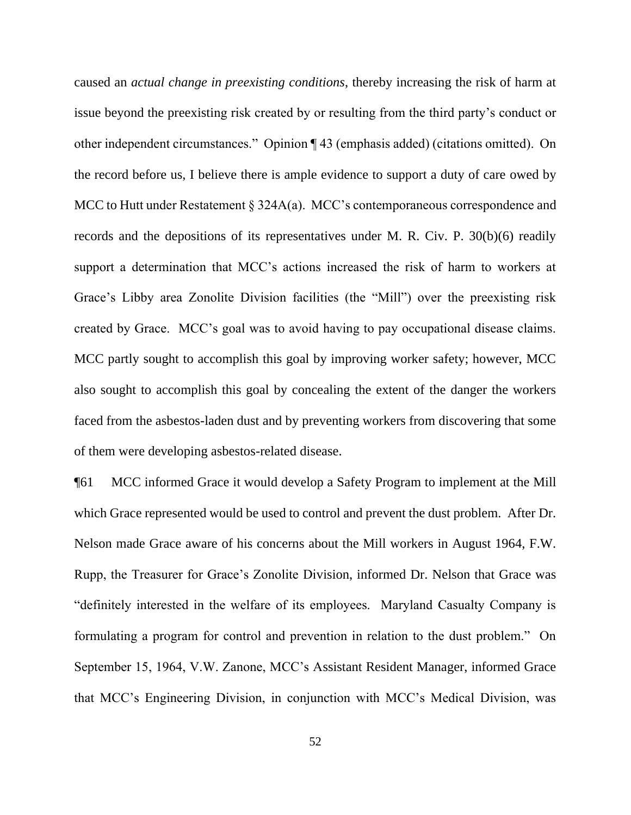caused an *actual change in preexisting conditions*, thereby increasing the risk of harm at issue beyond the preexisting risk created by or resulting from the third party's conduct or other independent circumstances." Opinion ¶ 43 (emphasis added) (citations omitted). On the record before us, I believe there is ample evidence to support a duty of care owed by MCC to Hutt under Restatement § 324A(a). MCC's contemporaneous correspondence and records and the depositions of its representatives under M. R. Civ. P. 30(b)(6) readily support a determination that MCC's actions increased the risk of harm to workers at Grace's Libby area Zonolite Division facilities (the "Mill") over the preexisting risk created by Grace. MCC's goal was to avoid having to pay occupational disease claims. MCC partly sought to accomplish this goal by improving worker safety; however, MCC also sought to accomplish this goal by concealing the extent of the danger the workers faced from the asbestos-laden dust and by preventing workers from discovering that some of them were developing asbestos-related disease.

¶61 MCC informed Grace it would develop a Safety Program to implement at the Mill which Grace represented would be used to control and prevent the dust problem. After Dr. Nelson made Grace aware of his concerns about the Mill workers in August 1964, F.W. Rupp, the Treasurer for Grace's Zonolite Division, informed Dr. Nelson that Grace was "definitely interested in the welfare of its employees. Maryland Casualty Company is formulating a program for control and prevention in relation to the dust problem." On September 15, 1964, V.W. Zanone, MCC's Assistant Resident Manager, informed Grace that MCC's Engineering Division, in conjunction with MCC's Medical Division, was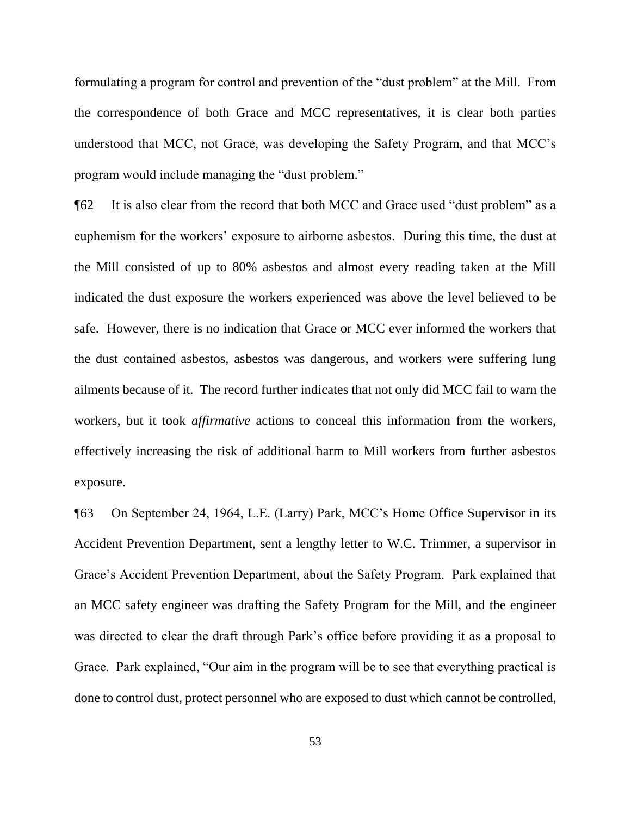formulating a program for control and prevention of the "dust problem" at the Mill. From the correspondence of both Grace and MCC representatives, it is clear both parties understood that MCC, not Grace, was developing the Safety Program, and that MCC's program would include managing the "dust problem."

¶62 It is also clear from the record that both MCC and Grace used "dust problem" as a euphemism for the workers' exposure to airborne asbestos. During this time, the dust at the Mill consisted of up to 80% asbestos and almost every reading taken at the Mill indicated the dust exposure the workers experienced was above the level believed to be safe. However, there is no indication that Grace or MCC ever informed the workers that the dust contained asbestos, asbestos was dangerous, and workers were suffering lung ailments because of it. The record further indicates that not only did MCC fail to warn the workers, but it took *affirmative* actions to conceal this information from the workers, effectively increasing the risk of additional harm to Mill workers from further asbestos exposure.

¶63 On September 24, 1964, L.E. (Larry) Park, MCC's Home Office Supervisor in its Accident Prevention Department, sent a lengthy letter to W.C. Trimmer, a supervisor in Grace's Accident Prevention Department, about the Safety Program. Park explained that an MCC safety engineer was drafting the Safety Program for the Mill, and the engineer was directed to clear the draft through Park's office before providing it as a proposal to Grace. Park explained, "Our aim in the program will be to see that everything practical is done to control dust, protect personnel who are exposed to dust which cannot be controlled,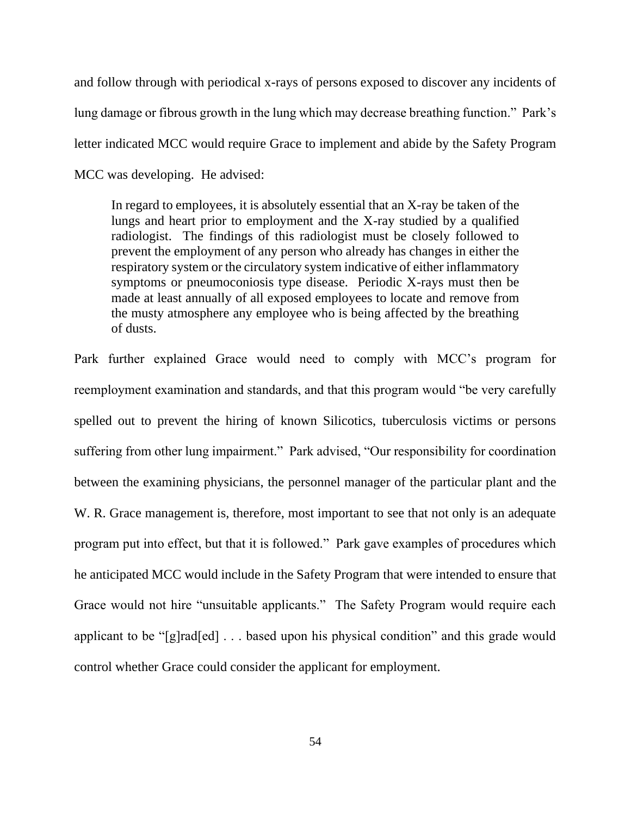and follow through with periodical x-rays of persons exposed to discover any incidents of lung damage or fibrous growth in the lung which may decrease breathing function." Park's letter indicated MCC would require Grace to implement and abide by the Safety Program MCC was developing. He advised:

In regard to employees, it is absolutely essential that an X-ray be taken of the lungs and heart prior to employment and the X-ray studied by a qualified radiologist. The findings of this radiologist must be closely followed to prevent the employment of any person who already has changes in either the respiratory system or the circulatory system indicative of either inflammatory symptoms or pneumoconiosis type disease. Periodic X-rays must then be made at least annually of all exposed employees to locate and remove from the musty atmosphere any employee who is being affected by the breathing of dusts.

Park further explained Grace would need to comply with MCC's program for reemployment examination and standards, and that this program would "be very carefully spelled out to prevent the hiring of known Silicotics, tuberculosis victims or persons suffering from other lung impairment." Park advised, "Our responsibility for coordination between the examining physicians, the personnel manager of the particular plant and the W. R. Grace management is, therefore, most important to see that not only is an adequate program put into effect, but that it is followed." Park gave examples of procedures which he anticipated MCC would include in the Safety Program that were intended to ensure that Grace would not hire "unsuitable applicants." The Safety Program would require each applicant to be "[g]rad[ed] . . . based upon his physical condition" and this grade would control whether Grace could consider the applicant for employment.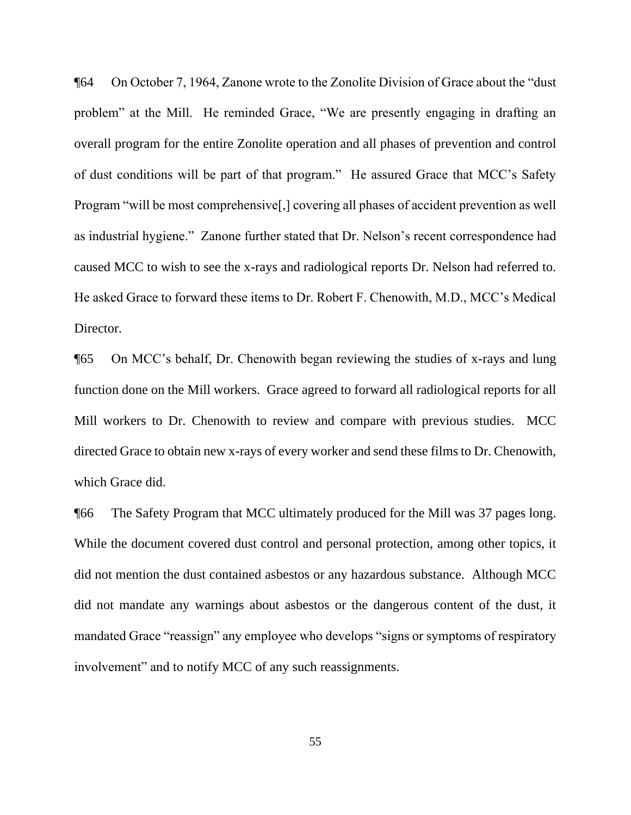¶64 On October 7, 1964, Zanone wrote to the Zonolite Division of Grace about the "dust problem" at the Mill. He reminded Grace, "We are presently engaging in drafting an overall program for the entire Zonolite operation and all phases of prevention and control of dust conditions will be part of that program." He assured Grace that MCC's Safety Program "will be most comprehensive[,] covering all phases of accident prevention as well as industrial hygiene." Zanone further stated that Dr. Nelson's recent correspondence had caused MCC to wish to see the x-rays and radiological reports Dr. Nelson had referred to. He asked Grace to forward these items to Dr. Robert F. Chenowith, M.D., MCC's Medical Director.

¶65 On MCC's behalf, Dr. Chenowith began reviewing the studies of x-rays and lung function done on the Mill workers. Grace agreed to forward all radiological reports for all Mill workers to Dr. Chenowith to review and compare with previous studies. MCC directed Grace to obtain new x-rays of every worker and send these films to Dr. Chenowith, which Grace did.

¶66 The Safety Program that MCC ultimately produced for the Mill was 37 pages long. While the document covered dust control and personal protection, among other topics, it did not mention the dust contained asbestos or any hazardous substance. Although MCC did not mandate any warnings about asbestos or the dangerous content of the dust, it mandated Grace "reassign" any employee who develops "signs or symptoms of respiratory involvement" and to notify MCC of any such reassignments.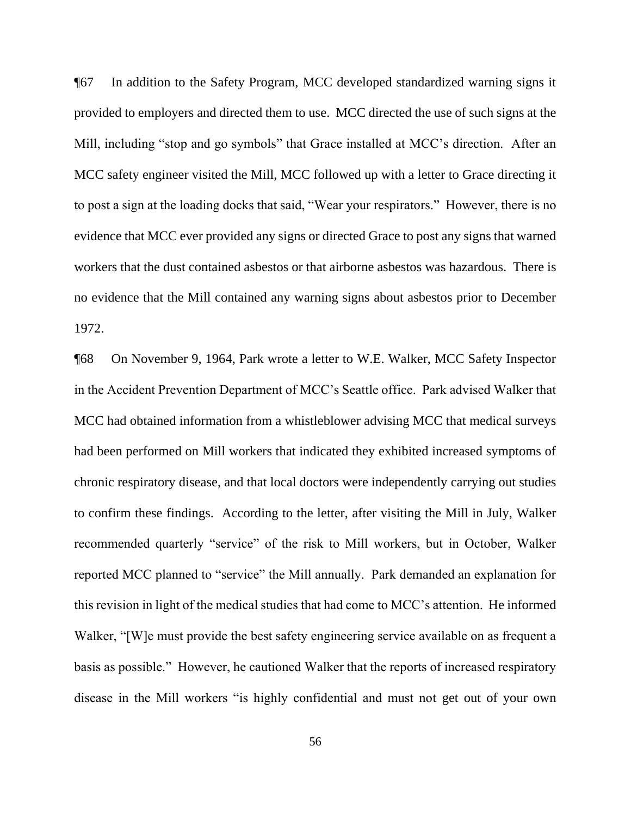¶67 In addition to the Safety Program, MCC developed standardized warning signs it provided to employers and directed them to use. MCC directed the use of such signs at the Mill, including "stop and go symbols" that Grace installed at MCC's direction. After an MCC safety engineer visited the Mill, MCC followed up with a letter to Grace directing it to post a sign at the loading docks that said, "Wear your respirators." However, there is no evidence that MCC ever provided any signs or directed Grace to post any signs that warned workers that the dust contained asbestos or that airborne asbestos was hazardous. There is no evidence that the Mill contained any warning signs about asbestos prior to December 1972.

¶68 On November 9, 1964, Park wrote a letter to W.E. Walker, MCC Safety Inspector in the Accident Prevention Department of MCC's Seattle office. Park advised Walker that MCC had obtained information from a whistleblower advising MCC that medical surveys had been performed on Mill workers that indicated they exhibited increased symptoms of chronic respiratory disease, and that local doctors were independently carrying out studies to confirm these findings. According to the letter, after visiting the Mill in July, Walker recommended quarterly "service" of the risk to Mill workers, but in October, Walker reported MCC planned to "service" the Mill annually. Park demanded an explanation for this revision in light of the medical studies that had come to MCC's attention. He informed Walker, "[W]e must provide the best safety engineering service available on as frequent a basis as possible." However, he cautioned Walker that the reports of increased respiratory disease in the Mill workers "is highly confidential and must not get out of your own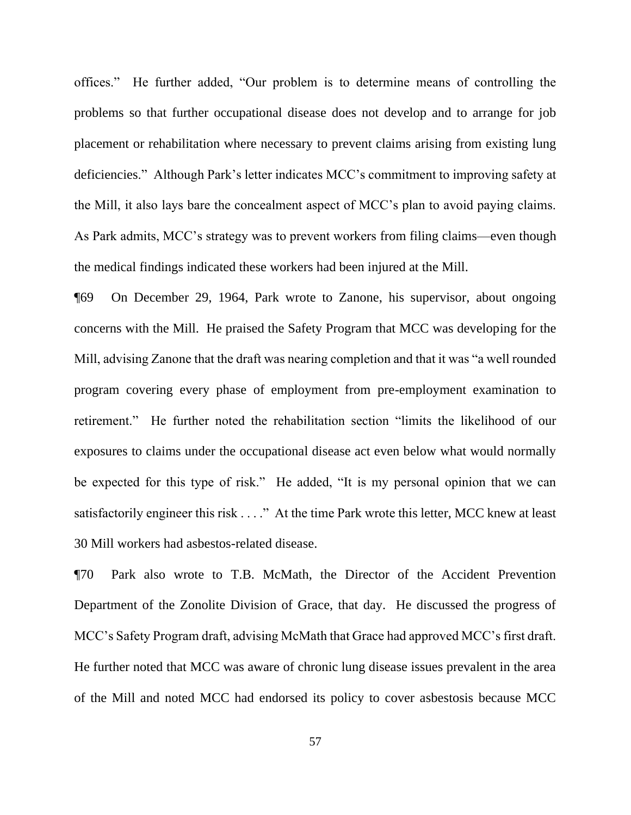offices." He further added, "Our problem is to determine means of controlling the problems so that further occupational disease does not develop and to arrange for job placement or rehabilitation where necessary to prevent claims arising from existing lung deficiencies." Although Park's letter indicates MCC's commitment to improving safety at the Mill, it also lays bare the concealment aspect of MCC's plan to avoid paying claims. As Park admits, MCC's strategy was to prevent workers from filing claims—even though the medical findings indicated these workers had been injured at the Mill.

¶69 On December 29, 1964, Park wrote to Zanone, his supervisor, about ongoing concerns with the Mill. He praised the Safety Program that MCC was developing for the Mill, advising Zanone that the draft was nearing completion and that it was "a well rounded program covering every phase of employment from pre-employment examination to retirement." He further noted the rehabilitation section "limits the likelihood of our exposures to claims under the occupational disease act even below what would normally be expected for this type of risk." He added, "It is my personal opinion that we can satisfactorily engineer this risk . . . ." At the time Park wrote this letter, MCC knew at least 30 Mill workers had asbestos-related disease.

¶70 Park also wrote to T.B. McMath, the Director of the Accident Prevention Department of the Zonolite Division of Grace, that day. He discussed the progress of MCC's Safety Program draft, advising McMath that Grace had approved MCC's first draft. He further noted that MCC was aware of chronic lung disease issues prevalent in the area of the Mill and noted MCC had endorsed its policy to cover asbestosis because MCC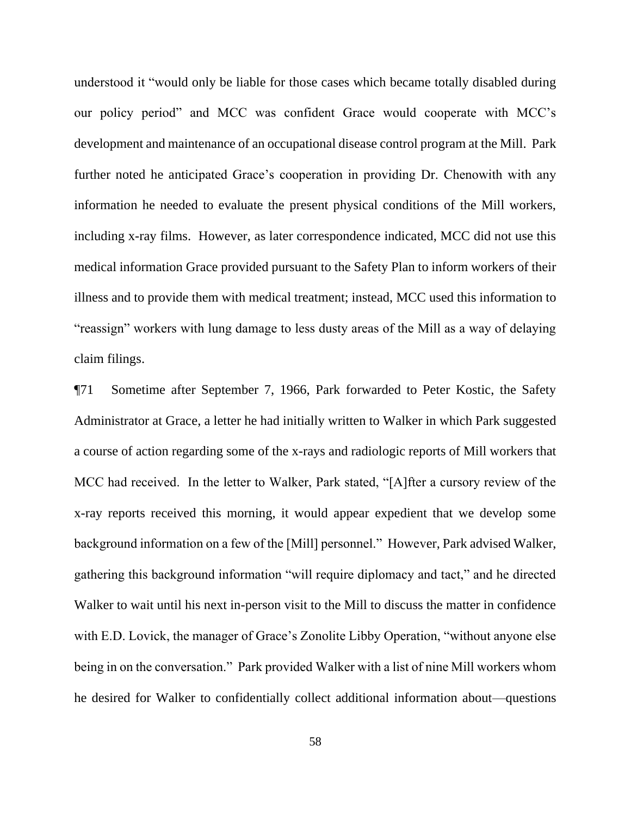understood it "would only be liable for those cases which became totally disabled during our policy period" and MCC was confident Grace would cooperate with MCC's development and maintenance of an occupational disease control program at the Mill. Park further noted he anticipated Grace's cooperation in providing Dr. Chenowith with any information he needed to evaluate the present physical conditions of the Mill workers, including x-ray films. However, as later correspondence indicated, MCC did not use this medical information Grace provided pursuant to the Safety Plan to inform workers of their illness and to provide them with medical treatment; instead, MCC used this information to "reassign" workers with lung damage to less dusty areas of the Mill as a way of delaying claim filings.

¶71 Sometime after September 7, 1966, Park forwarded to Peter Kostic, the Safety Administrator at Grace, a letter he had initially written to Walker in which Park suggested a course of action regarding some of the x-rays and radiologic reports of Mill workers that MCC had received. In the letter to Walker, Park stated, "[A]fter a cursory review of the x-ray reports received this morning, it would appear expedient that we develop some background information on a few of the [Mill] personnel." However, Park advised Walker, gathering this background information "will require diplomacy and tact," and he directed Walker to wait until his next in-person visit to the Mill to discuss the matter in confidence with E.D. Lovick, the manager of Grace's Zonolite Libby Operation, "without anyone else being in on the conversation." Park provided Walker with a list of nine Mill workers whom he desired for Walker to confidentially collect additional information about—questions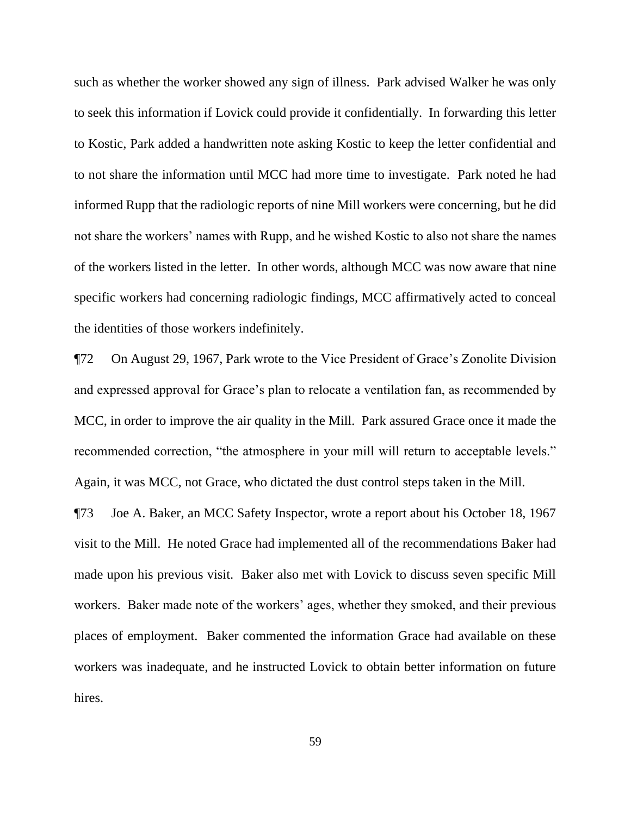such as whether the worker showed any sign of illness. Park advised Walker he was only to seek this information if Lovick could provide it confidentially. In forwarding this letter to Kostic, Park added a handwritten note asking Kostic to keep the letter confidential and to not share the information until MCC had more time to investigate. Park noted he had informed Rupp that the radiologic reports of nine Mill workers were concerning, but he did not share the workers' names with Rupp, and he wished Kostic to also not share the names of the workers listed in the letter. In other words, although MCC was now aware that nine specific workers had concerning radiologic findings, MCC affirmatively acted to conceal the identities of those workers indefinitely.

¶72 On August 29, 1967, Park wrote to the Vice President of Grace's Zonolite Division and expressed approval for Grace's plan to relocate a ventilation fan, as recommended by MCC, in order to improve the air quality in the Mill. Park assured Grace once it made the recommended correction, "the atmosphere in your mill will return to acceptable levels." Again, it was MCC, not Grace, who dictated the dust control steps taken in the Mill.

¶73 Joe A. Baker, an MCC Safety Inspector, wrote a report about his October 18, 1967 visit to the Mill. He noted Grace had implemented all of the recommendations Baker had made upon his previous visit. Baker also met with Lovick to discuss seven specific Mill workers. Baker made note of the workers' ages, whether they smoked, and their previous places of employment. Baker commented the information Grace had available on these workers was inadequate, and he instructed Lovick to obtain better information on future hires.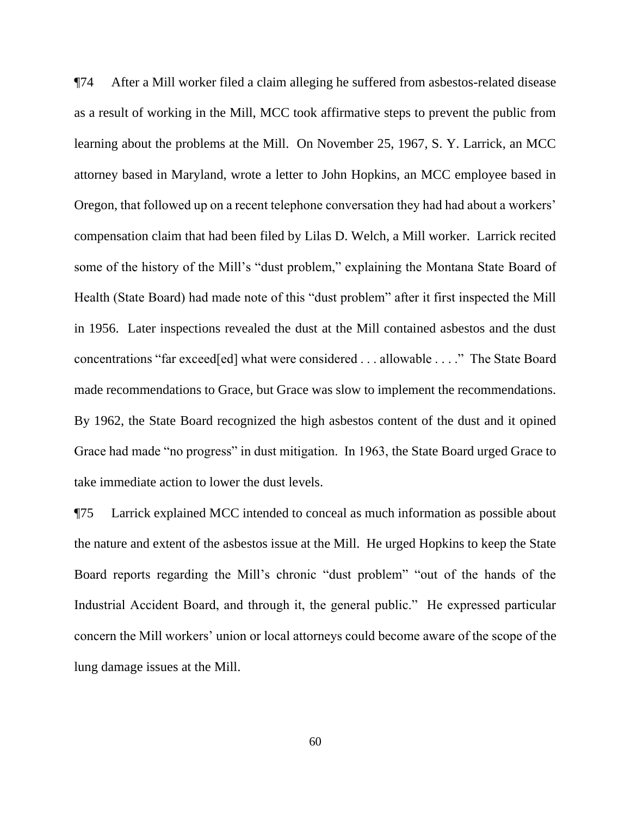¶74 After a Mill worker filed a claim alleging he suffered from asbestos-related disease as a result of working in the Mill, MCC took affirmative steps to prevent the public from learning about the problems at the Mill. On November 25, 1967, S. Y. Larrick, an MCC attorney based in Maryland, wrote a letter to John Hopkins, an MCC employee based in Oregon, that followed up on a recent telephone conversation they had had about a workers' compensation claim that had been filed by Lilas D. Welch, a Mill worker. Larrick recited some of the history of the Mill's "dust problem," explaining the Montana State Board of Health (State Board) had made note of this "dust problem" after it first inspected the Mill in 1956. Later inspections revealed the dust at the Mill contained asbestos and the dust concentrations "far exceed[ed] what were considered . . . allowable . . . ." The State Board made recommendations to Grace, but Grace was slow to implement the recommendations. By 1962, the State Board recognized the high asbestos content of the dust and it opined Grace had made "no progress" in dust mitigation. In 1963, the State Board urged Grace to take immediate action to lower the dust levels.

¶75 Larrick explained MCC intended to conceal as much information as possible about the nature and extent of the asbestos issue at the Mill. He urged Hopkins to keep the State Board reports regarding the Mill's chronic "dust problem" "out of the hands of the Industrial Accident Board, and through it, the general public." He expressed particular concern the Mill workers' union or local attorneys could become aware of the scope of the lung damage issues at the Mill.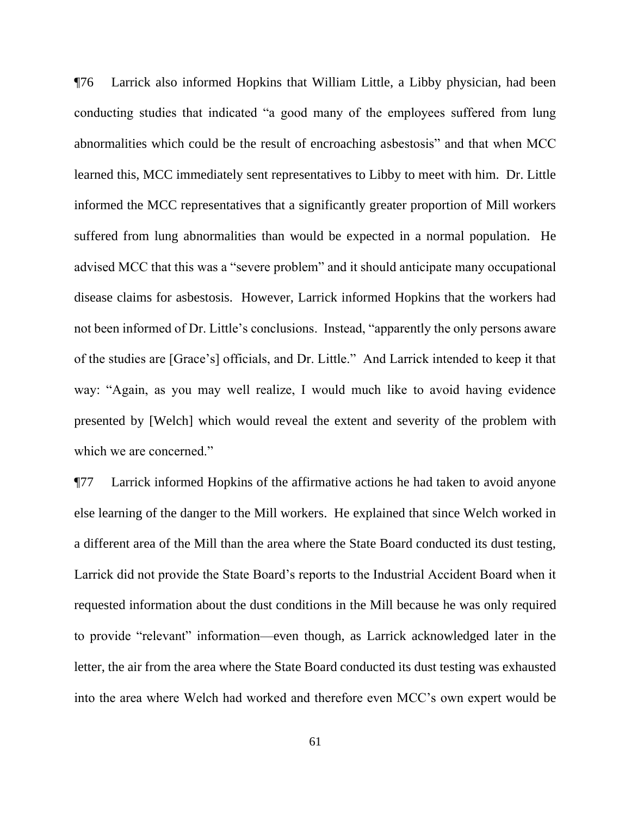¶76 Larrick also informed Hopkins that William Little, a Libby physician, had been conducting studies that indicated "a good many of the employees suffered from lung abnormalities which could be the result of encroaching asbestosis" and that when MCC learned this, MCC immediately sent representatives to Libby to meet with him. Dr. Little informed the MCC representatives that a significantly greater proportion of Mill workers suffered from lung abnormalities than would be expected in a normal population. He advised MCC that this was a "severe problem" and it should anticipate many occupational disease claims for asbestosis. However, Larrick informed Hopkins that the workers had not been informed of Dr. Little's conclusions. Instead, "apparently the only persons aware of the studies are [Grace's] officials, and Dr. Little." And Larrick intended to keep it that way: "Again, as you may well realize, I would much like to avoid having evidence presented by [Welch] which would reveal the extent and severity of the problem with which we are concerned."

¶77 Larrick informed Hopkins of the affirmative actions he had taken to avoid anyone else learning of the danger to the Mill workers. He explained that since Welch worked in a different area of the Mill than the area where the State Board conducted its dust testing, Larrick did not provide the State Board's reports to the Industrial Accident Board when it requested information about the dust conditions in the Mill because he was only required to provide "relevant" information—even though, as Larrick acknowledged later in the letter, the air from the area where the State Board conducted its dust testing was exhausted into the area where Welch had worked and therefore even MCC's own expert would be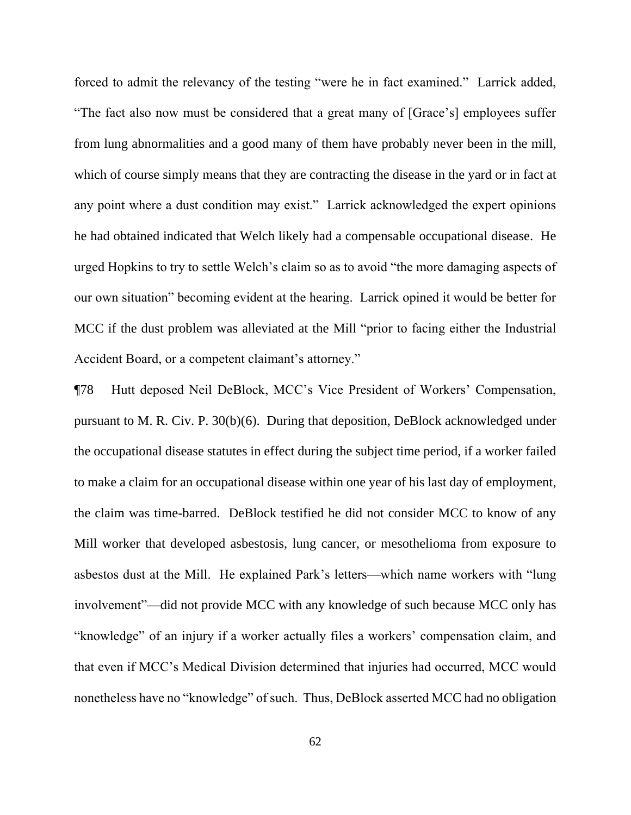forced to admit the relevancy of the testing "were he in fact examined." Larrick added, "The fact also now must be considered that a great many of [Grace's] employees suffer from lung abnormalities and a good many of them have probably never been in the mill, which of course simply means that they are contracting the disease in the yard or in fact at any point where a dust condition may exist." Larrick acknowledged the expert opinions he had obtained indicated that Welch likely had a compensable occupational disease. He urged Hopkins to try to settle Welch's claim so as to avoid "the more damaging aspects of our own situation" becoming evident at the hearing. Larrick opined it would be better for MCC if the dust problem was alleviated at the Mill "prior to facing either the Industrial Accident Board, or a competent claimant's attorney."

¶78 Hutt deposed Neil DeBlock, MCC's Vice President of Workers' Compensation, pursuant to M. R. Civ. P. 30(b)(6). During that deposition, DeBlock acknowledged under the occupational disease statutes in effect during the subject time period, if a worker failed to make a claim for an occupational disease within one year of his last day of employment, the claim was time-barred. DeBlock testified he did not consider MCC to know of any Mill worker that developed asbestosis, lung cancer, or mesothelioma from exposure to asbestos dust at the Mill. He explained Park's letters—which name workers with "lung involvement"—did not provide MCC with any knowledge of such because MCC only has "knowledge" of an injury if a worker actually files a workers' compensation claim, and that even if MCC's Medical Division determined that injuries had occurred, MCC would nonetheless have no "knowledge" of such. Thus, DeBlock asserted MCC had no obligation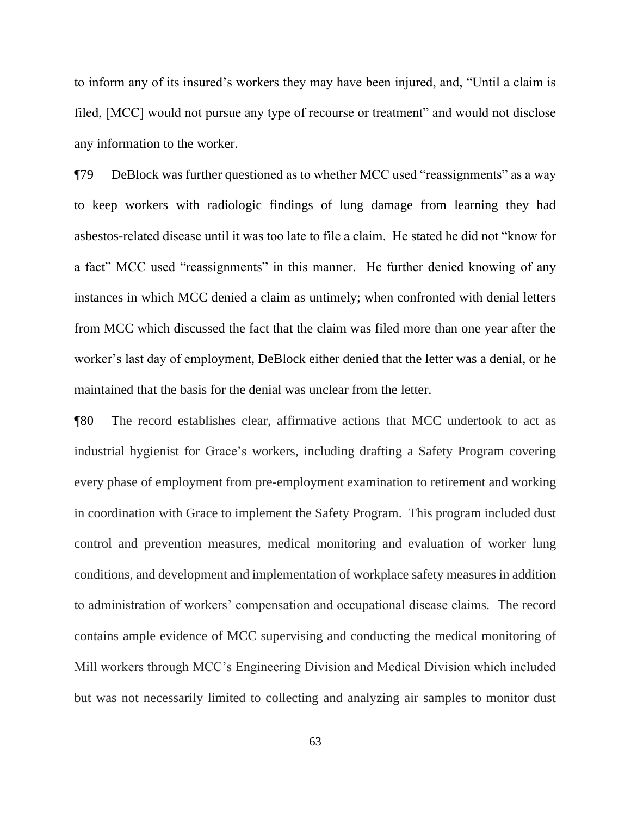to inform any of its insured's workers they may have been injured, and, "Until a claim is filed, [MCC] would not pursue any type of recourse or treatment" and would not disclose any information to the worker.

¶79 DeBlock was further questioned as to whether MCC used "reassignments" as a way to keep workers with radiologic findings of lung damage from learning they had asbestos-related disease until it was too late to file a claim. He stated he did not "know for a fact" MCC used "reassignments" in this manner. He further denied knowing of any instances in which MCC denied a claim as untimely; when confronted with denial letters from MCC which discussed the fact that the claim was filed more than one year after the worker's last day of employment, DeBlock either denied that the letter was a denial, or he maintained that the basis for the denial was unclear from the letter.

¶80 The record establishes clear, affirmative actions that MCC undertook to act as industrial hygienist for Grace's workers, including drafting a Safety Program covering every phase of employment from pre-employment examination to retirement and working in coordination with Grace to implement the Safety Program. This program included dust control and prevention measures, medical monitoring and evaluation of worker lung conditions, and development and implementation of workplace safety measures in addition to administration of workers' compensation and occupational disease claims. The record contains ample evidence of MCC supervising and conducting the medical monitoring of Mill workers through MCC's Engineering Division and Medical Division which included but was not necessarily limited to collecting and analyzing air samples to monitor dust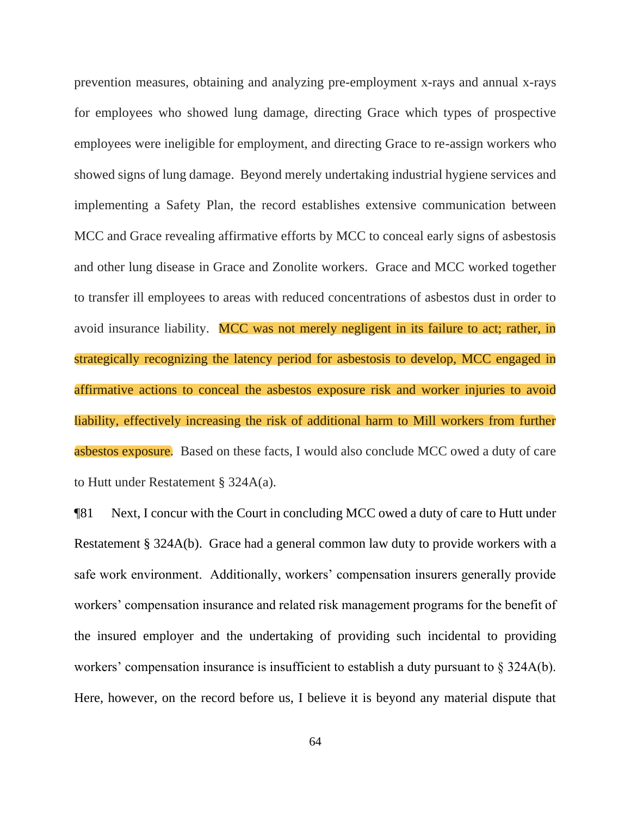prevention measures, obtaining and analyzing pre-employment x-rays and annual x-rays for employees who showed lung damage, directing Grace which types of prospective employees were ineligible for employment, and directing Grace to re-assign workers who showed signs of lung damage. Beyond merely undertaking industrial hygiene services and implementing a Safety Plan, the record establishes extensive communication between MCC and Grace revealing affirmative efforts by MCC to conceal early signs of asbestosis and other lung disease in Grace and Zonolite workers. Grace and MCC worked together to transfer ill employees to areas with reduced concentrations of asbestos dust in order to avoid insurance liability. MCC was not merely negligent in its failure to act; rather, in strategically recognizing the latency period for asbestosis to develop, MCC engaged in affirmative actions to conceal the asbestos exposure risk and worker injuries to avoid liability, effectively increasing the risk of additional harm to Mill workers from further asbestos exposure. Based on these facts, I would also conclude MCC owed a duty of care to Hutt under Restatement § 324A(a).

¶81 Next, I concur with the Court in concluding MCC owed a duty of care to Hutt under Restatement § 324A(b). Grace had a general common law duty to provide workers with a safe work environment. Additionally, workers' compensation insurers generally provide workers' compensation insurance and related risk management programs for the benefit of the insured employer and the undertaking of providing such incidental to providing workers' compensation insurance is insufficient to establish a duty pursuant to § 324A(b). Here, however, on the record before us, I believe it is beyond any material dispute that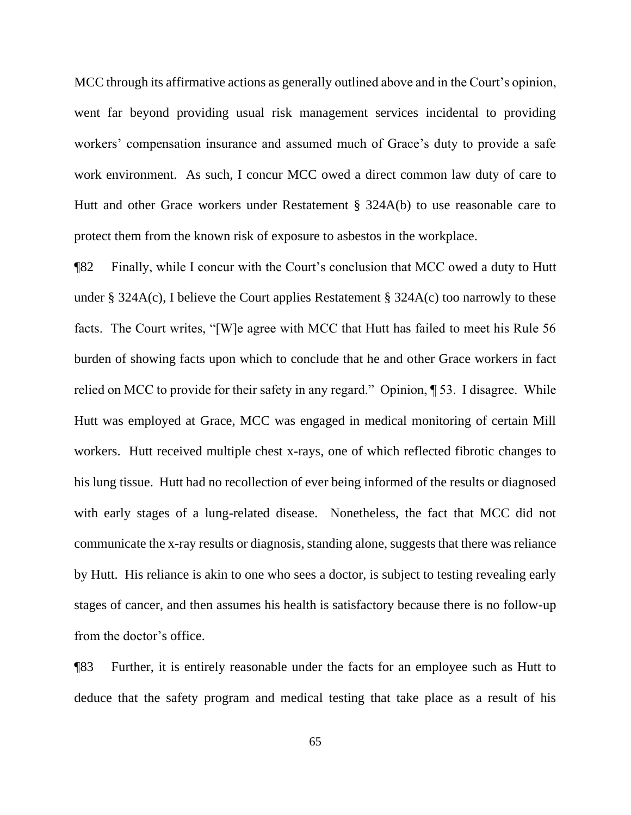MCC through its affirmative actions as generally outlined above and in the Court's opinion, went far beyond providing usual risk management services incidental to providing workers' compensation insurance and assumed much of Grace's duty to provide a safe work environment. As such, I concur MCC owed a direct common law duty of care to Hutt and other Grace workers under Restatement § 324A(b) to use reasonable care to protect them from the known risk of exposure to asbestos in the workplace.

¶82 Finally, while I concur with the Court's conclusion that MCC owed a duty to Hutt under § 324A(c), I believe the Court applies Restatement § 324A(c) too narrowly to these facts. The Court writes, "[W]e agree with MCC that Hutt has failed to meet his Rule 56 burden of showing facts upon which to conclude that he and other Grace workers in fact relied on MCC to provide for their safety in any regard." Opinion, ¶ 53. I disagree. While Hutt was employed at Grace, MCC was engaged in medical monitoring of certain Mill workers. Hutt received multiple chest x-rays, one of which reflected fibrotic changes to his lung tissue. Hutt had no recollection of ever being informed of the results or diagnosed with early stages of a lung-related disease. Nonetheless, the fact that MCC did not communicate the x-ray results or diagnosis, standing alone, suggests that there was reliance by Hutt. His reliance is akin to one who sees a doctor, is subject to testing revealing early stages of cancer, and then assumes his health is satisfactory because there is no follow-up from the doctor's office.

¶83 Further, it is entirely reasonable under the facts for an employee such as Hutt to deduce that the safety program and medical testing that take place as a result of his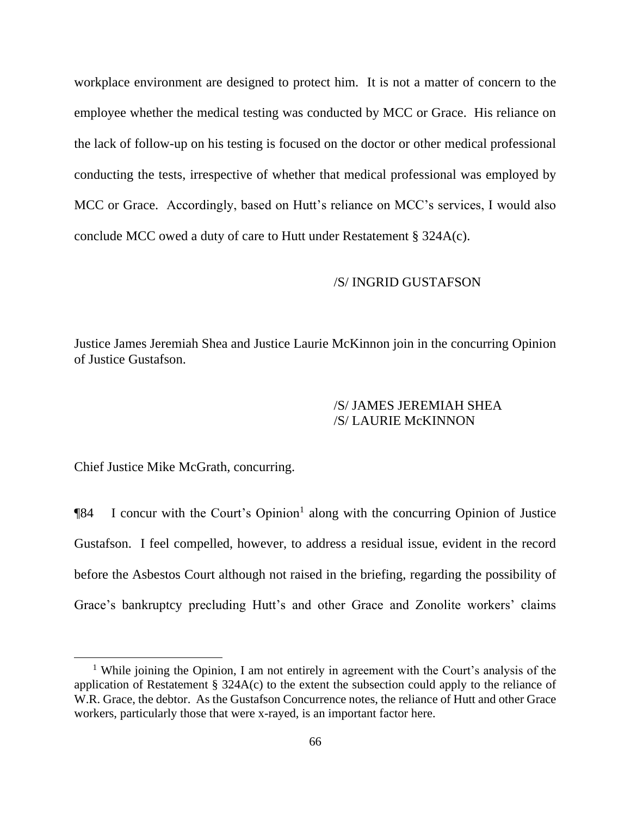workplace environment are designed to protect him. It is not a matter of concern to the employee whether the medical testing was conducted by MCC or Grace. His reliance on the lack of follow-up on his testing is focused on the doctor or other medical professional conducting the tests, irrespective of whether that medical professional was employed by MCC or Grace. Accordingly, based on Hutt's reliance on MCC's services, I would also conclude MCC owed a duty of care to Hutt under Restatement § 324A(c).

# /S/ INGRID GUSTAFSON

Justice James Jeremiah Shea and Justice Laurie McKinnon join in the concurring Opinion of Justice Gustafson.

# /S/ JAMES JEREMIAH SHEA /S/ LAURIE McKINNON

Chief Justice Mike McGrath, concurring.

**The State I** concur with the Court's Opinion<sup>1</sup> along with the concurring Opinion of Justice Gustafson. I feel compelled, however, to address a residual issue, evident in the record before the Asbestos Court although not raised in the briefing, regarding the possibility of Grace's bankruptcy precluding Hutt's and other Grace and Zonolite workers' claims

<sup>&</sup>lt;sup>1</sup> While joining the Opinion, I am not entirely in agreement with the Court's analysis of the application of Restatement § 324A(c) to the extent the subsection could apply to the reliance of W.R. Grace, the debtor. As the Gustafson Concurrence notes, the reliance of Hutt and other Grace workers, particularly those that were x-rayed, is an important factor here.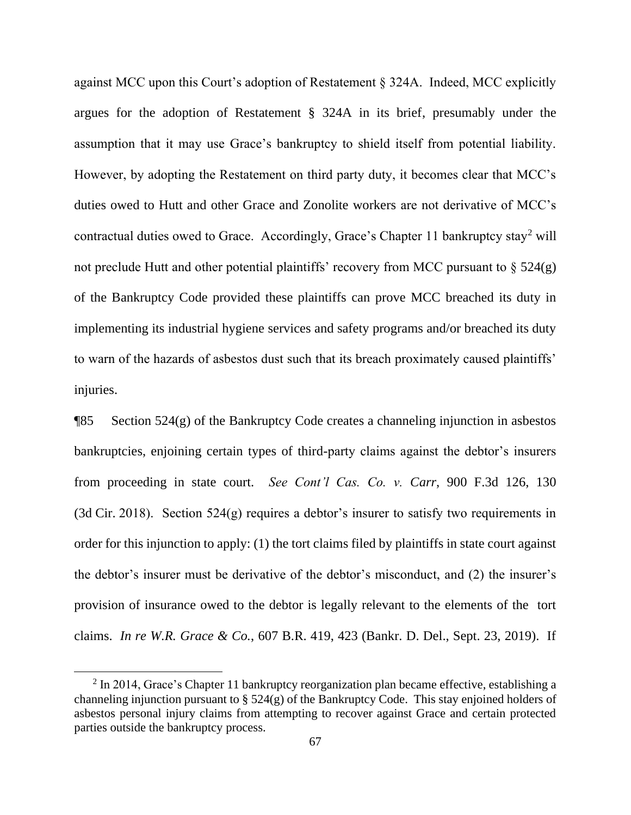against MCC upon this Court's adoption of Restatement § 324A. Indeed, MCC explicitly argues for the adoption of Restatement § 324A in its brief, presumably under the assumption that it may use Grace's bankruptcy to shield itself from potential liability. However, by adopting the Restatement on third party duty, it becomes clear that MCC's duties owed to Hutt and other Grace and Zonolite workers are not derivative of MCC's contractual duties owed to Grace. Accordingly, Grace's Chapter 11 bankruptcy stay<sup>2</sup> will not preclude Hutt and other potential plaintiffs' recovery from MCC pursuant to  $\S$  524(g) of the Bankruptcy Code provided these plaintiffs can prove MCC breached its duty in implementing its industrial hygiene services and safety programs and/or breached its duty to warn of the hazards of asbestos dust such that its breach proximately caused plaintiffs' injuries.

¶85 Section 524(g) of the Bankruptcy Code creates a channeling injunction in asbestos bankruptcies, enjoining certain types of third-party claims against the debtor's insurers from proceeding in state court. *See Cont'l Cas. Co. v. Carr*, 900 F.3d 126, 130 (3d Cir. 2018). Section 524(g) requires a debtor's insurer to satisfy two requirements in order for this injunction to apply: (1) the tort claims filed by plaintiffs in state court against the debtor's insurer must be derivative of the debtor's misconduct, and (2) the insurer's provision of insurance owed to the debtor is legally relevant to the elements of the tort claims. *In re W.R. Grace & Co.*, 607 B.R. 419, 423 (Bankr. D. Del., Sept. 23, 2019). If

 $2 \ln 2014$ , Grace's Chapter 11 bankruptcy reorganization plan became effective, establishing a channeling injunction pursuant to § 524(g) of the Bankruptcy Code. This stay enjoined holders of asbestos personal injury claims from attempting to recover against Grace and certain protected parties outside the bankruptcy process.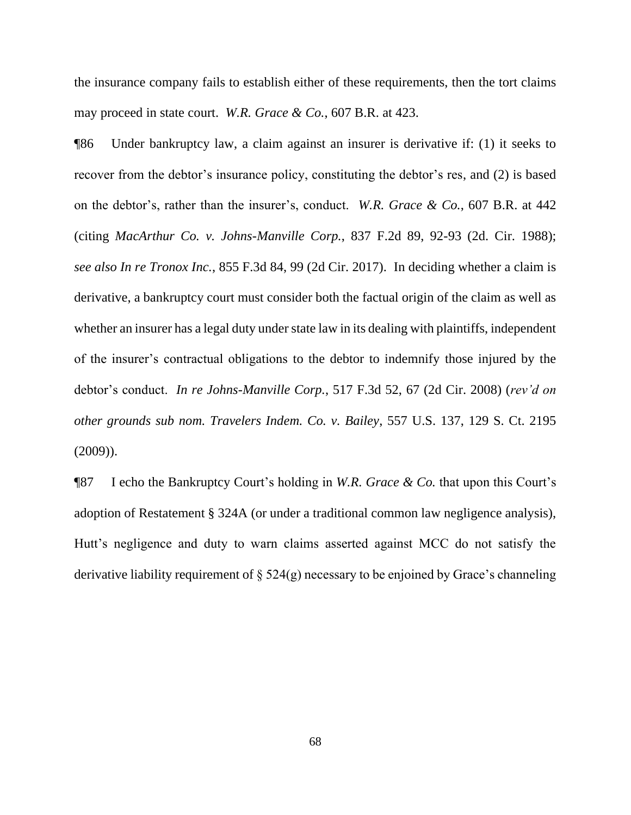the insurance company fails to establish either of these requirements, then the tort claims may proceed in state court. *W.R. Grace & Co.*, 607 B.R. at 423.

¶86 Under bankruptcy law, a claim against an insurer is derivative if: (1) it seeks to recover from the debtor's insurance policy, constituting the debtor's res, and (2) is based on the debtor's, rather than the insurer's, conduct. *W.R. Grace & Co.*, 607 B.R. at 442 (citing *MacArthur Co. v. Johns-Manville Corp.*, 837 F.2d 89, 92-93 (2d. Cir. 1988); *see also In re Tronox Inc.*, 855 F.3d 84, 99 (2d Cir. 2017).In deciding whether a claim is derivative, a bankruptcy court must consider both the factual origin of the claim as well as whether an insurer has a legal duty under state law in its dealing with plaintiffs, independent of the insurer's contractual obligations to the debtor to indemnify those injured by the debtor's conduct. *In re Johns-Manville Corp.*, 517 F.3d 52, 67 (2d Cir. 2008) (*rev'd on other grounds sub nom. Travelers Indem. Co. v. Bailey*, 557 U.S. 137, 129 S. Ct. 2195 (2009)).

¶87 I echo the Bankruptcy Court's holding in *W.R. Grace & Co.* that upon this Court's adoption of Restatement § 324A (or under a traditional common law negligence analysis), Hutt's negligence and duty to warn claims asserted against MCC do not satisfy the derivative liability requirement of  $\S$  524(g) necessary to be enjoined by Grace's channeling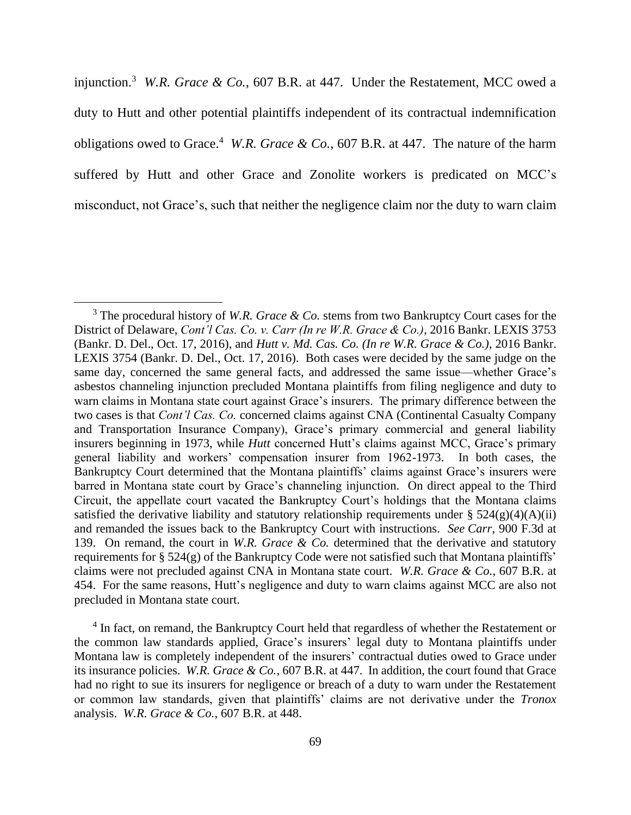injunction.<sup>3</sup> *W.R. Grace & Co.*, 607 B.R. at 447. Under the Restatement, MCC owed a duty to Hutt and other potential plaintiffs independent of its contractual indemnification obligations owed to Grace.<sup>4</sup> W.R. Grace & Co., 607 B.R. at 447. The nature of the harm suffered by Hutt and other Grace and Zonolite workers is predicated on MCC's misconduct, not Grace's, such that neither the negligence claim nor the duty to warn claim

<sup>4</sup> In fact, on remand, the Bankruptcy Court held that regardless of whether the Restatement or the common law standards applied, Grace's insurers' legal duty to Montana plaintiffs under Montana law is completely independent of the insurers' contractual duties owed to Grace under its insurance policies. *W.R. Grace & Co.*, 607 B.R. at 447. In addition, the court found that Grace had no right to sue its insurers for negligence or breach of a duty to warn under the Restatement or common law standards, given that plaintiffs' claims are not derivative under the *Tronox*  analysis. *W.R. Grace & Co.*, 607 B.R. at 448.

<sup>3</sup> The procedural history of *W.R. Grace & Co.* stems from two Bankruptcy Court cases for the District of Delaware, *Cont'l Cas. Co. v. Carr (In re W.R. Grace & Co.)*, 2016 Bankr. LEXIS 3753 (Bankr. D. Del., Oct. 17, 2016), and *Hutt v. Md. Cas. Co. (In re W.R. Grace & Co.)*, 2016 Bankr. LEXIS 3754 (Bankr. D. Del., Oct. 17, 2016). Both cases were decided by the same judge on the same day, concerned the same general facts, and addressed the same issue—whether Grace's asbestos channeling injunction precluded Montana plaintiffs from filing negligence and duty to warn claims in Montana state court against Grace's insurers. The primary difference between the two cases is that *Cont'l Cas. Co.* concerned claims against CNA (Continental Casualty Company and Transportation Insurance Company), Grace's primary commercial and general liability insurers beginning in 1973, while *Hutt* concerned Hutt's claims against MCC, Grace's primary general liability and workers' compensation insurer from 1962-1973. In both cases, the Bankruptcy Court determined that the Montana plaintiffs' claims against Grace's insurers were barred in Montana state court by Grace's channeling injunction. On direct appeal to the Third Circuit, the appellate court vacated the Bankruptcy Court's holdings that the Montana claims satisfied the derivative liability and statutory relationship requirements under  $\S 524(g)(4)(A)(ii)$ and remanded the issues back to the Bankruptcy Court with instructions. *See Carr*, 900 F.3d at 139. On remand, the court in *W.R. Grace & Co.* determined that the derivative and statutory requirements for § 524(g) of the Bankruptcy Code were not satisfied such that Montana plaintiffs' claims were not precluded against CNA in Montana state court. *W.R. Grace & Co.*, 607 B.R. at 454.For the same reasons, Hutt's negligence and duty to warn claims against MCC are also not precluded in Montana state court.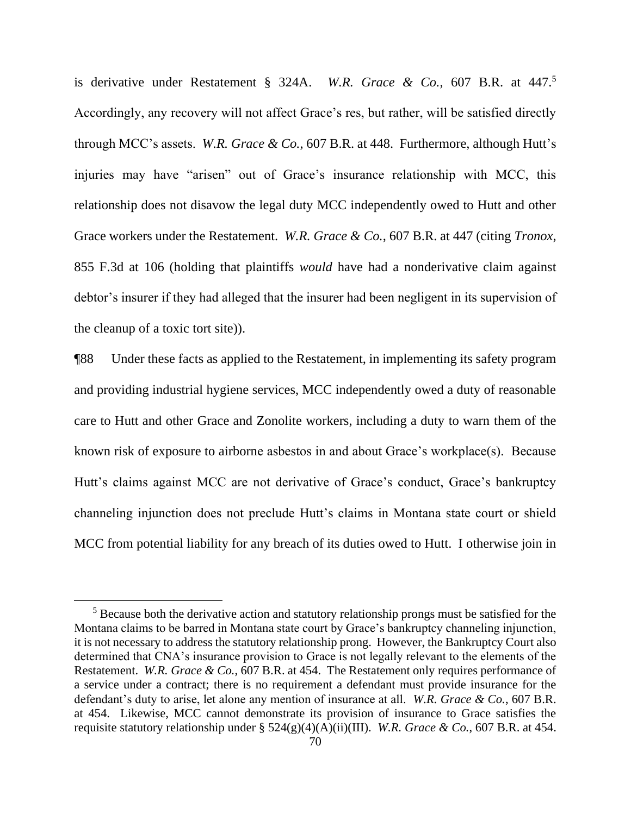is derivative under Restatement § 324A. *W.R. Grace & Co.*, 607 B.R. at 447.<sup>5</sup> Accordingly, any recovery will not affect Grace's res, but rather, will be satisfied directly through MCC's assets. *W.R. Grace & Co.*, 607 B.R. at 448. Furthermore, although Hutt's injuries may have "arisen" out of Grace's insurance relationship with MCC, this relationship does not disavow the legal duty MCC independently owed to Hutt and other Grace workers under the Restatement. *W.R. Grace & Co.*, 607 B.R. at 447 (citing *Tronox*, 855 F.3d at 106 (holding that plaintiffs *would* have had a nonderivative claim against debtor's insurer if they had alleged that the insurer had been negligent in its supervision of the cleanup of a toxic tort site)).

¶88 Under these facts as applied to the Restatement, in implementing its safety program and providing industrial hygiene services, MCC independently owed a duty of reasonable care to Hutt and other Grace and Zonolite workers, including a duty to warn them of the known risk of exposure to airborne asbestos in and about Grace's workplace(s). Because Hutt's claims against MCC are not derivative of Grace's conduct, Grace's bankruptcy channeling injunction does not preclude Hutt's claims in Montana state court or shield MCC from potential liability for any breach of its duties owed to Hutt. I otherwise join in

<sup>&</sup>lt;sup>5</sup> Because both the derivative action and statutory relationship prongs must be satisfied for the Montana claims to be barred in Montana state court by Grace's bankruptcy channeling injunction, it is not necessary to address the statutory relationship prong. However, the Bankruptcy Court also determined that CNA's insurance provision to Grace is not legally relevant to the elements of the Restatement. *W.R. Grace & Co.*, 607 B.R. at 454. The Restatement only requires performance of a service under a contract; there is no requirement a defendant must provide insurance for the defendant's duty to arise, let alone any mention of insurance at all. *W.R. Grace & Co.*, 607 B.R. at 454. Likewise, MCC cannot demonstrate its provision of insurance to Grace satisfies the requisite statutory relationship under § 524(g)(4)(A)(ii)(III). *W.R. Grace & Co.*, 607 B.R. at 454.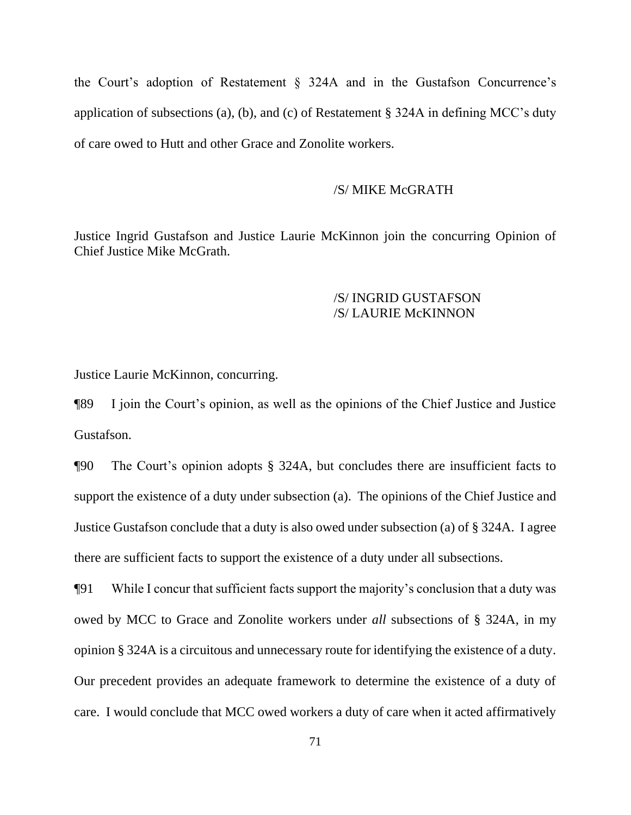the Court's adoption of Restatement § 324A and in the Gustafson Concurrence's application of subsections (a), (b), and (c) of Restatement § 324A in defining MCC's duty of care owed to Hutt and other Grace and Zonolite workers.

#### /S/ MIKE McGRATH

Justice Ingrid Gustafson and Justice Laurie McKinnon join the concurring Opinion of Chief Justice Mike McGrath.

# /S/ INGRID GUSTAFSON /S/ LAURIE McKINNON

Justice Laurie McKinnon, concurring.

¶89 I join the Court's opinion, as well as the opinions of the Chief Justice and Justice Gustafson.

¶90 The Court's opinion adopts § 324A, but concludes there are insufficient facts to support the existence of a duty under subsection (a). The opinions of the Chief Justice and Justice Gustafson conclude that a duty is also owed under subsection (a) of § 324A. I agree there are sufficient facts to support the existence of a duty under all subsections.

¶91 While I concur that sufficient facts support the majority's conclusion that a duty was owed by MCC to Grace and Zonolite workers under *all* subsections of § 324A, in my opinion § 324A is a circuitous and unnecessary route for identifying the existence of a duty. Our precedent provides an adequate framework to determine the existence of a duty of care. I would conclude that MCC owed workers a duty of care when it acted affirmatively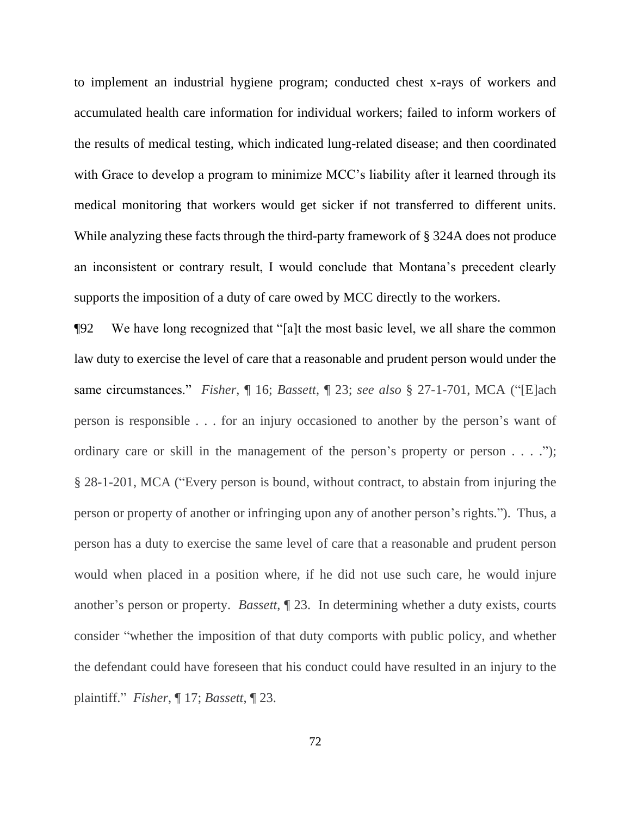to implement an industrial hygiene program; conducted chest x-rays of workers and accumulated health care information for individual workers; failed to inform workers of the results of medical testing, which indicated lung-related disease; and then coordinated with Grace to develop a program to minimize MCC's liability after it learned through its medical monitoring that workers would get sicker if not transferred to different units. While analyzing these facts through the third-party framework of § 324A does not produce an inconsistent or contrary result, I would conclude that Montana's precedent clearly supports the imposition of a duty of care owed by MCC directly to the workers.

¶92 We have long recognized that "[a]t the most basic level, we all share the common law duty to exercise the level of care that a reasonable and prudent person would under the same circumstances." *Fisher*, ¶ 16; *Bassett*, ¶ 23; *see also* § 27-1-701, MCA ("[E]ach person is responsible . . . for an injury occasioned to another by the person's want of ordinary care or skill in the management of the person's property or person . . . ."); § 28-1-201, MCA ("Every person is bound, without contract, to abstain from injuring the person or property of another or infringing upon any of another person's rights."). Thus, a person has a duty to exercise the same level of care that a reasonable and prudent person would when placed in a position where, if he did not use such care, he would injure another's person or property. *Bassett*, ¶ 23. In determining whether a duty exists, courts consider "whether the imposition of that duty comports with public policy, and whether the defendant could have foreseen that his conduct could have resulted in an injury to the plaintiff." *Fisher*, ¶ 17; *Bassett*, ¶ 23.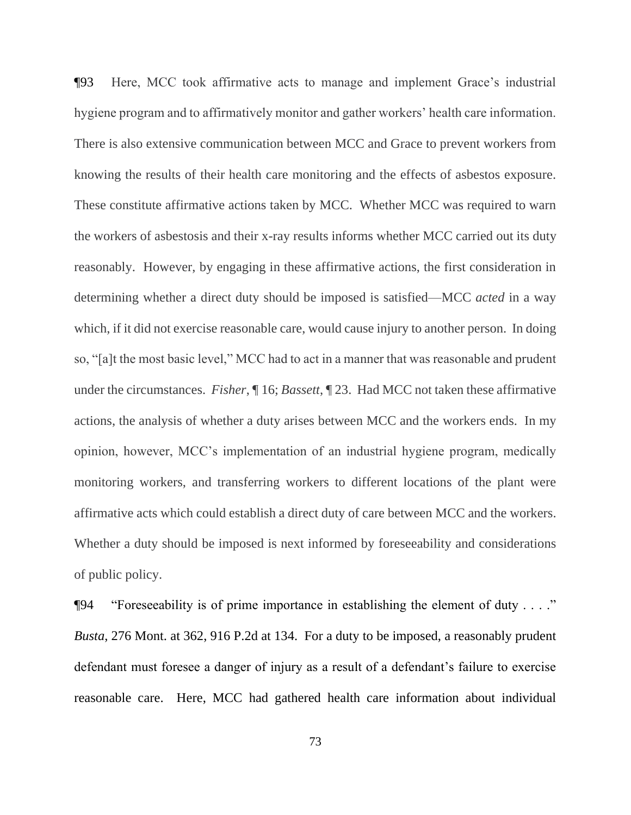¶93 Here, MCC took affirmative acts to manage and implement Grace's industrial hygiene program and to affirmatively monitor and gather workers' health care information. There is also extensive communication between MCC and Grace to prevent workers from knowing the results of their health care monitoring and the effects of asbestos exposure. These constitute affirmative actions taken by MCC. Whether MCC was required to warn the workers of asbestosis and their x-ray results informs whether MCC carried out its duty reasonably. However, by engaging in these affirmative actions, the first consideration in determining whether a direct duty should be imposed is satisfied—MCC *acted* in a way which, if it did not exercise reasonable care, would cause injury to another person. In doing so, "[a]t the most basic level," MCC had to act in a manner that was reasonable and prudent under the circumstances. *Fisher*, ¶ 16; *Bassett*, ¶ 23. Had MCC not taken these affirmative actions, the analysis of whether a duty arises between MCC and the workers ends. In my opinion, however, MCC's implementation of an industrial hygiene program, medically monitoring workers, and transferring workers to different locations of the plant were affirmative acts which could establish a direct duty of care between MCC and the workers. Whether a duty should be imposed is next informed by foreseeability and considerations of public policy.

¶94 "Foreseeability is of prime importance in establishing the element of duty . . . ." *Busta*, 276 Mont. at 362, 916 P.2d at 134. For a duty to be imposed, a reasonably prudent defendant must foresee a danger of injury as a result of a defendant's failure to exercise reasonable care. Here, MCC had gathered health care information about individual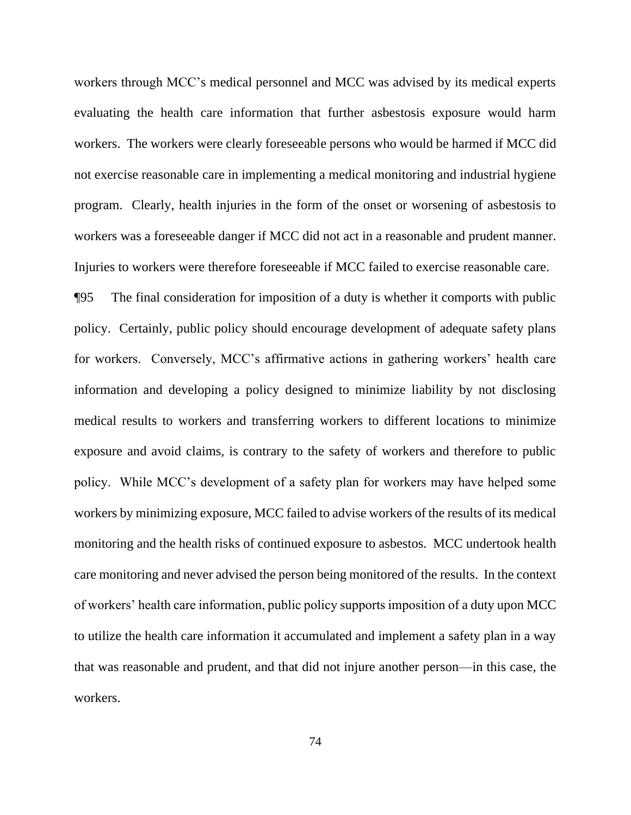workers through MCC's medical personnel and MCC was advised by its medical experts evaluating the health care information that further asbestosis exposure would harm workers. The workers were clearly foreseeable persons who would be harmed if MCC did not exercise reasonable care in implementing a medical monitoring and industrial hygiene program. Clearly, health injuries in the form of the onset or worsening of asbestosis to workers was a foreseeable danger if MCC did not act in a reasonable and prudent manner. Injuries to workers were therefore foreseeable if MCC failed to exercise reasonable care.

¶95 The final consideration for imposition of a duty is whether it comports with public policy. Certainly, public policy should encourage development of adequate safety plans for workers. Conversely, MCC's affirmative actions in gathering workers' health care information and developing a policy designed to minimize liability by not disclosing medical results to workers and transferring workers to different locations to minimize exposure and avoid claims, is contrary to the safety of workers and therefore to public policy. While MCC's development of a safety plan for workers may have helped some workers by minimizing exposure, MCC failed to advise workers of the results of its medical monitoring and the health risks of continued exposure to asbestos. MCC undertook health care monitoring and never advised the person being monitored of the results. In the context of workers' health care information, public policy supports imposition of a duty upon MCC to utilize the health care information it accumulated and implement a safety plan in a way that was reasonable and prudent, and that did not injure another person—in this case, the workers.